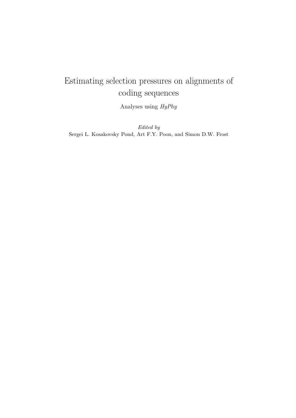# Estimating selection pressures on alignments of coding sequences

Analyses using HyPhy

Edited by Sergei L. Kosakovsky Pond, Art F.Y. Poon, and Simon D.W. Frost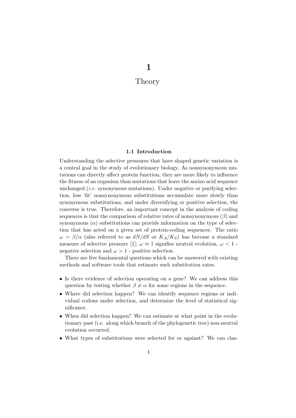# 1

# Theory

# 1.1 Introduction

Understanding the selective pressures that have shaped genetic variation is a central goal in the study of evolutionary biology. As nonsynonymous mutations can directly affect protein function, they are more likely to influence the fitness of an organism than mutations that leave the amino acid sequence unchanged *(i.e.* synonymous mutations). Under negative or purifying selection, less 'fit' nonsynonymous substitutions accumulate more slowly than synonymous substitutions, and under diversifying or positive selection, the converse is true. Therefore, an important concept in the analysis of coding sequences is that the comparison of relative rates of nonsynonymous  $(\beta)$  and synonymous  $(\alpha)$  substitutions can provide information on the type of selection that has acted on a given set of protein-coding sequences. The ratio  $\omega = \beta/\alpha$  (also referred to as  $dN/dS$  or  $K_A/K_S$ ) has become a standard measure of selective pressure [1];  $\omega \approx 1$  signifies neutral evolution,  $\omega < 1$ . negative selection and  $\omega > 1$  - positive selection.

There are five fundamental questions which can be answered with existing methods and software tools that estimate such substitution rates.

- Is there evidence of selection operating on a gene? We can address this question by testing whether  $\beta \neq \alpha$  for some regions in the sequence.
- Where did selection happen? We can identify sequence regions or individual codons under selection, and determine the level of statistical significance.
- When did selection happen? We can estimate at what point in the evolutionary past (i.e. along which branch of the phylogenetic tree) non-neutral evolution occurred.
- What types of substitutions were selected for or against? We can clas-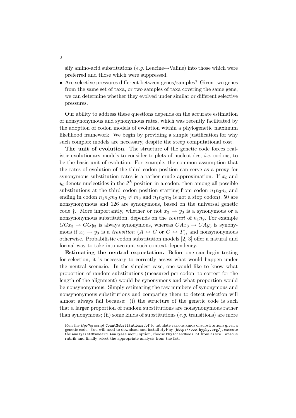sify amino-acid substitutions (e.g. Leucine $\leftrightarrow$ Valine) into those which were preferred and those which were suppressed.

• Are selective pressures different between genes/samples? Given two genes from the same set of taxa, or two samples of taxa covering the same gene, we can determine whether they evolved under similar or different selective pressures.

Our ability to address these questions depends on the accurate estimation of nonsynonymous and synonymous rates, which was recently facilitated by the adoption of codon models of evolution within a phylogenetic maximum likelihood framework. We begin by providing a simple justification for why such complex models are necessary, despite the steep computational cost.

The unit of evolution. The structure of the genetic code forces realistic evolutionary models to consider triplets of nucleotides, i.e. codons, to be the basic unit of evolution. For example, the common assumption that the rates of evolution of the third codon position can serve as a proxy for synonymous substitution rates is a rather crude approximation. If  $x_i$  and  $y_i$  denote nucleotides in the  $i^{th}$  position in a codon, then among all possible substitutions at the third codon position starting from codon  $n_1n_2n_3$  and ending in codon  $n_1n_2m_3$  ( $n_3 \neq m_3$  and  $n_1n_2m_3$  is not a stop codon), 50 are nonsynonymous and 126 are synonymous, based on the universal genetic code  $\dagger$ . More importantly, whether or not  $x_3 \rightarrow y_3$  is a synonymous or a nonsynonymous substitution, depends on the *context* of  $n_1n_2$ . For example  $GGx_3 \rightarrow GGy_3$  is always synonymous, whereas  $CAx_3 \rightarrow CAy_3$  is synonymous if  $x_3 \to y_3$  is a transition  $(A \leftrightarrow G$  or  $C \leftrightarrow T)$ , and nonsynonymous otherwise. Probabilistic codon substitution models [2, 3] offer a natural and formal way to take into account such context dependency.

Estimating the neutral expectation. Before one can begin testing for selection, it is necessary to correctly assess what would happen under the neutral scenario. In the simplest case, one would like to know what proportion of random substitutions (measured per codon, to correct for the length of the alignment) would be synonymous and what proportion would be nonsynonymous. Simply estimating the raw numbers of synonymous and nonsynonymous substitutions and comparing them to detect selection will almost always fail because: (i) the structure of the genetic code is such that a larger proportion of random substitutions are nonsynonymous rather than synonymous; (ii) some kinds of substitutions  $(e.g.$  transitions) are more

<sup>†</sup> Run the HyPhy script CountSubstitutions.bf to tabulate various kinds of substitutions given a genetic code. You will need to download and install HyPhy (http://www.hyphy.org/), execute the Analysis>Standard Analyses menu option, choose Phylohandbook.bf from Miscellaneous rubrik and finally select the appropriate analysis from the list.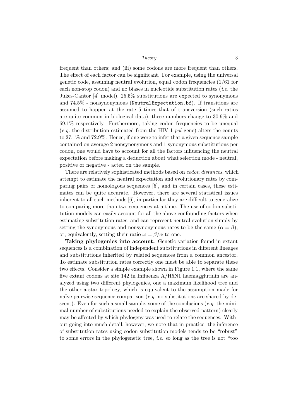frequent than others; and (iii) some codons are more frequent than others. The effect of each factor can be significant. For example, using the universal genetic code, assuming neutral evolution, equal codon frequencies  $(1/61$  for each non-stop codon) and no biases in nucleotide substitution rates (i.e. the Jukes-Cantor [4] model), 25.5% substitutions are expected to synonymous and 74.5% - nonsynonymous (NeutralExpectation.bf). If transitions are assumed to happen at the rate 5 times that of transversion (such ratios are quite common in biological data), these numbers change to 30.9% and 69.1% respectively. Furthermore, taking codon frequencies to be unequal (e.g. the distribution estimated from the HIV-1 pol gene) alters the counts to 27.1% and 72.9%. Hence, if one were to infer that a given sequence sample contained on average 2 nonsynonymous and 1 synonymous substitutions per codon, one would have to account for all the factors influencing the neutral expectation before making a deduction about what selection mode - neutral, positive or negative - acted on the sample.

There are relatively sophisticated methods based on *codon distances*, which attempt to estimate the neutral expectation and evolutionary rates by comparing pairs of homologous sequences [5], and in certain cases, these estimates can be quite accurate. However, there are several statistical issues inherent to all such methods  $[6]$ , in particular they are difficult to generalize to comparing more than two sequences at a time. The use of codon substitution models can easily account for all the above confounding factors when estimating substitution rates, and can represent neutral evolution simply by setting the synonymous and nonsynonymous rates to be the same  $(\alpha = \beta)$ , or, equivalently, setting their ratio  $\omega = \beta/\alpha$  to one.

Taking phylogenies into account. Genetic variation found in extant sequences is a combination of independent substitutions in different lineages and substitutions inherited by related sequences from a common ancestor. To estimate substitution rates correctly one must be able to separate these two effects. Consider a simple example shown in Figure 1.1, where the same five extant codons at site 142 in Influenza A/H5N1 haemagglutinin are analyzed using two different phylogenies, one a maximum likelihood tree and the other a star topology, which is equivalent to the assumption made for naïve pairwise sequence comparison (e.g. no substitutions are shared by descent). Even for such a small sample, some of the conclusions (e.g. the minimal number of substitutions needed to explain the observed pattern) clearly may be affected by which phylogeny was used to relate the sequences. Without going into much detail, however, we note that in practice, the inference of substitution rates using codon substitution models tends to be "robust" to some errors in the phylogenetic tree, *i.e.* so long as the tree is not "too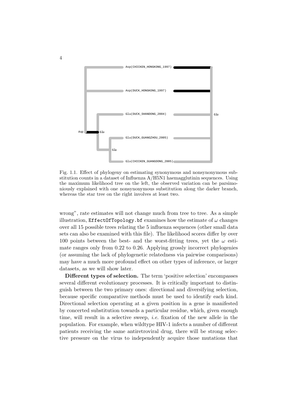

Fig. 1.1. Effect of phylogeny on estimating synonymous and nonsynonymous substitution counts in a dataset of Influenza A/H5N1 haemagglutinin sequences. Using the maximum likelihood tree on the left, the observed variation can be parsimoniously explained with one nonsynonymous substitution along the darker branch, whereas the star tree on the right involves at least two.

wrong", rate estimates will not change much from tree to tree. As a simple illustration, EffectOfTopology.bf examines how the estimate of  $\omega$  changes over all 15 possible trees relating the 5 influenza sequences (other small data sets can also be examined with this file). The likelihood scores differ by over 100 points between the best- and the worst-fitting trees, yet the  $\omega$  estimate ranges only from 0.22 to 0.26. Applying grossly incorrect phylogenies (or assuming the lack of phylogenetic relatedness via pairwise comparisons) may have a much more profound effect on other types of inference, or larger datasets, as we will show later.

Different types of selection. The term 'positive selection' encompasses several different evolutionary processes. It is critically important to distinguish between the two primary ones: directional and diversifying selection, because specific comparative methods must be used to identify each kind. Directional selection operating at a given position in a gene is manifested by concerted substitution towards a particular residue, which, given enough time, will result in a selective sweep, i.e. fixation of the new allele in the population. For example, when wildtype HIV-1 infects a number of different patients receiving the same antiretroviral drug, there will be strong selective pressure on the virus to independently acquire those mutations that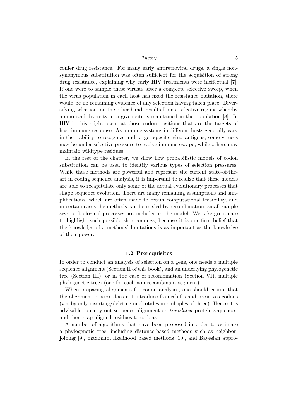confer drug resistance. For many early antiretroviral drugs, a single nonsynonymous substitution was often sufficient for the acquisition of strong drug resistance, explaining why early HIV treatments were ineffectual [7]. If one were to sample these viruses after a complete selective sweep, when the virus population in each host has fixed the resistance mutation, there would be no remaining evidence of any selection having taken place. Diversifying selection, on the other hand, results from a selective regime whereby amino-acid diversity at a given site is maintained in the population [8]. In HIV-1, this might occur at those codon positions that are the targets of host immune response. As immune systems in different hosts generally vary in their ability to recognize and target specific viral antigens, some viruses may be under selective pressure to evolve immune escape, while others may maintain wildtype residues.

In the rest of the chapter, we show how probabilistic models of codon substitution can be used to identify various types of selection pressures. While these methods are powerful and represent the current state-of-theart in coding sequence analysis, it is important to realize that these models are able to recapitulate only some of the actual evolutionary processes that shape sequence evolution. There are many remaining assumptions and simplifications, which are often made to retain computational feasibility, and in certain cases the methods can be misled by recombination, small sample size, or biological processes not included in the model. We take great care to highlight such possible shortcomings, because it is our firm belief that the knowledge of a methods' limitations is as important as the knowledge of their power.

#### 1.2 Prerequisites

In order to conduct an analysis of selection on a gene, one needs a multiple sequence alignment (Section II of this book), and an underlying phylogenetic tree (Section III), or in the case of recombination (Section VI), multiple phylogenetic trees (one for each non-recombinant segment).

When preparing alignments for codon analyses, one should ensure that the alignment process does not introduce frameshifts and preserves codons  $(i.e.$  by only inserting/deleting nucleotides in multiples of three). Hence it is advisable to carry out sequence alignment on translated protein sequences, and then map aligned residues to codons.

A number of algorithms that have been proposed in order to estimate a phylogenetic tree, including distance-based methods such as neighborjoining [9], maximum likelihood based methods [10], and Bayesian appro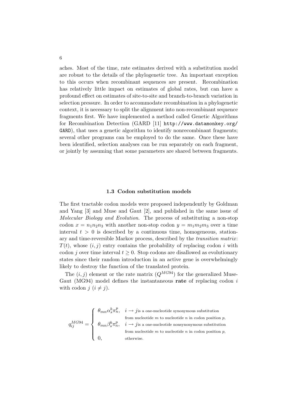aches. Most of the time, rate estimates derived with a substitution model are robust to the details of the phylogenetic tree. An important exception to this occurs when recombinant sequences are present. Recombination has relatively little impact on estimates of global rates, but can have a profound effect on estimates of site-to-site and branch-to-branch variation in selection pressure. In order to accommodate recombination in a phylogenetic context, it is necessary to split the alignment into non-recombinant sequence fragments first. We have implemented a method called Genetic Algorithms for Recombination Detection (GARD [11] http://www.datamonkey.org/ GARD), that uses a genetic algorithm to identify nonrecombinant fragments; several other programs can be employed to do the same. Once these have been identified, selection analyses can be run separately on each fragment, or jointly by assuming that some parameters are shared between fragments.

#### 1.3 Codon substitution models

The first tractable codon models were proposed independently by Goldman and Yang [3] and Muse and Gaut [2], and published in the same issue of Molecular Biology and Evolution. The process of substituting a non-stop codon  $x = n_1 n_2 n_3$  with another non-stop codon  $y = m_1 m_2 m_3$  over a time interval  $t > 0$  is described by a continuous time, homogeneous, stationary and time-reversible Markov process, described by the transition matrix :  $T(t)$ , whose  $(i, j)$  entry contains the probability of replacing codon i with codon j over time interval  $t \geq 0$ . Stop codons are disallowed as evolutionary states since their random introduction in an active gene is overwhelmingly likely to destroy the function of the translated protein.

The  $(i, j)$  element or the rate matrix  $(Q^{MG94})$  for the generalized Muse-Gaut (MG94) model defines the instantaneous rate of replacing codon  $i$ with codon  $j$   $(i \neq j)$ .

$$
\mathcal{M}^{G94} = \begin{cases} \theta_{mn} \alpha_s^b \pi_n^p, & i \to j \text{ is a one-nucleotide synonymous substitution} \\ \theta_{mn} \beta_s^b \pi_n^p, & i \to j \text{ is a one-nucleotide nonsynonymous substitution} \\ \theta_{mn} \beta_s^b \pi_n^p, & i \to j \text{ is a one-nucleotide nonsynonymous substitution} \\ \text{from nucleotide } m \text{ to nucleotide } n \text{ in codon position } p, \\ 0, & \text{otherwise.} \end{cases}
$$

q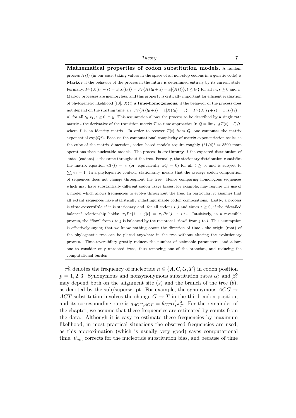Mathematical properties of codon substitution models. A random process  $X(t)$  (in our case, taking values in the space of all non-stop codons in a genetic code) is Markov if the behavior of the process in the future is determined entirely by its current state. Formally,  $Pr{X(t_0 + s) = x | X(t_0)} = Pr{X(t_0 + s) = x | X(t)}$ ,  $t \le t_0$  for all  $t_0, s \ge 0$  and x. Markov processes are memoryless, and this property is critically important for efficient evaluation of phylogenetic likelihood [10].  $X(t)$  is **time-homogeneous**, if the behavior of the process does not depend on the starting time, i.e.  $Pr{X(t_0+s) = x|X(t_0) = y} = Pr{X(t_1+s) = x|X(t_1) = x}$ y} for all  $t_0, t_1, s \geq 0, x, y$ . This assumption allows the process to be described by a single rate matrix - the derivative of the transition matrix T as time approaches 0:  $Q = \lim_{t \downarrow 0} (T(t) - I)/t$ , where I is an identity matrix. In order to recover  $T(t)$  from  $Q$ , one computes the matrix exponential  $exp(Qt)$ . Because the computational complexity of matrix exponentiation scales as the cube of the matrix dimension, codon based models require roughly  $(61/4)^3 \approx 3500$  more operations than nucleotide models. The process is stationary if the expected distribution of states (codons) is the same throughout the tree. Formally, the stationary distribution  $\pi$  satisfies the matrix equation  $\pi T(t) = \pi$  (or, equivalently  $\pi Q = 0$ ) for all  $t \geq 0$ , and is subject to  $\sum_i \pi_i = 1$ . In a phylogenetic context, stationarity means that the average codon composition of sequences does not change throughout the tree. Hence comparing homologous sequences which may have substantially different codon usage biases, for example, may require the use of a model which allows frequencies to evolve throughout the tree. In particular, it assumes that all extant sequences have statistically indistinguishable codon compositions. Lastly, a process is **time-reversible** if it is stationary and, for all codons i, j and times  $t \geq 0$ , if the "detailed" balance" relationship holds:  $\pi_i Pr\{i \to j|t\} = \pi_j Pr\{j \to i|t\}$ . Intuitively, in a reversible process, the "flow" from  $i$  to  $j$  is balanced by the reciprocal "flow" from  $j$  to  $i$ . This assumption is effectively saying that we know nothing about the direction of time - the origin (root) of the phylogenetic tree can be placed anywhere in the tree without altering the evolutionary process. Time-reversibility greatly reduces the number of estimable parameters, and allows one to consider only unrooted trees, thus removing one of the branches, and reducing the computational burden.

 $\pi_n^p$  denotes the frequency of nucleotide  $n \in \{A, C, G, T\}$  in codon position  $p = 1, 2, 3$ . Synonymous and nonsynonymous substitution rates  $\alpha_s^b$  and  $\beta_s^b$ may depend both on the alignment site  $(s)$  and the branch of the tree  $(b)$ , as denoted by the sub/superscript. For example, the synonymous  $ACG \rightarrow$ ACT substitution involves the change  $G \to T$  in the third codon position, and its corresponding rate is  $q_{ACG, ACT} = \theta_{GT} \alpha_s^b \pi_T^3$ . For the remainder of the chapter, we assume that these frequencies are estimated by counts from the data. Although it is easy to estimate these frequencies by maximum likelihood, in most practical situations the observed frequencies are used, as this approximation (which is usually very good) saves computational time.  $\theta_{mn}$  corrects for the nucleotide substitution bias, and because of time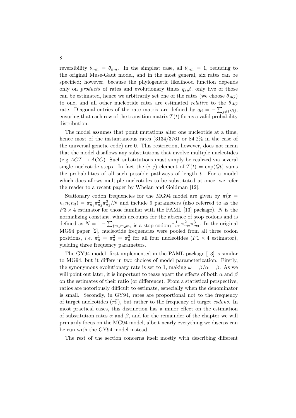reversibility  $\theta_{mn} = \theta_{nm}$ . In the simplest case, all  $\theta_{mn} = 1$ , reducing to the original Muse-Gaut model, and in the most general, six rates can be specified; however, because the phylogenetic likelihood function depends only on *products* of rates and evolutionary times  $q_{xy}t$ , only five of those can be estimated, hence we arbitrarily set one of the rates (we choose  $\theta_{AG}$ ) to one, and all other nucleotide rates are estimated *relative* to the  $\theta_{AG}$ rate. Diagonal entries of the rate matrix are defined by  $q_{ii} = -\sum_{j\neq i} q_{ij}$ , ensuring that each row of the transition matrix  $T(t)$  forms a valid probability distribution.

The model assumes that point mutations alter one nucleotide at a time, hence most of the instantaneous rates (3134/3761 or 84.2% in the case of the universal genetic code) are 0. This restriction, however, does not mean that the model disallows any substitutions that involve multiple nucleotides (e.g  $ACT \rightarrow AGG$ ). Such substitutions must simply be realized via several single nucleotide steps. In fact the  $(i, j)$  element of  $T(t) = \exp(Qt)$  sums the probabilities of all such possible pathways of length  $t$ . For a model which does allows multiple nucleotides to be substituted at once, we refer the reader to a recent paper by Whelan and Goldman [12].

Stationary codon frequencies for the MG94 model are given by  $\pi(x)$  $n_1 n_2 n_3$ ) =  $\pi_{n_1}^1 \pi_{n_2}^2 \pi_{n_3}^3/N$  and include 9 parameters (also referred to as the  $F3 \times 4$  estimator for those familiar with the PAML [13] package). N is the normalizing constant, which accounts for the absence of stop codons and is defined as  $N = 1 - \sum_{(m_1,m_2m_3)}$  is a stop codon)  $\pi_{m_1}^1 \pi_{m_2}^2 \pi_{m_3}^3$ . In the original MG94 paper [2], nucleotide frequencies were pooled from all three codon positions, *i.e.*  $\pi_n^1 = \pi_n^2 = \pi_n^3$  for all four nucleotides  $(F1 \times 4 \text{ estimator})$ , yielding three frequency parameters.

The GY94 model, first implemented in the PAML package [13] is similar to MG94, but it differs in two choices of model parameterization. Firstly, the synonymous evolutionary rate is set to 1, making  $\omega = \beta/\alpha = \beta$ . As we will point out later, it is important to tease apart the effects of both  $\alpha$  and  $\beta$ on the estimates of their ratio (or difference). From a statistical perspective, ratios are notoriously difficult to estimate, especially when the denominator is small. Secondly, in GY94, rates are proportional not to the frequency of target nucleotides  $(\pi_n^p)$ , but rather to the frequency of target *codons*. In most practical cases, this distinction has a minor effect on the estimation of substitution rates  $\alpha$  and  $\beta$ , and for the remainder of the chapter we will primarily focus on the MG94 model, albeit nearly everything we discuss can be run with the GY94 model instead.

The rest of the section concerns itself mostly with describing different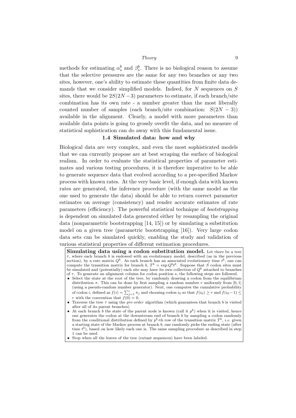methods for estimating  $\alpha_s^b$  and  $\beta_s^b$ . There is no biological reason to assume that the selective pressures are the same for any two branches or any two sites, however, one's ability to estimate these quantities from finite data demands that we consider simplified models. Indeed, for  $N$  sequences on  $S$ sites, there would be  $2S(2N-3)$  parameters to estimate, if each branch/site combination has its own rate - a number greater than the most liberally counted number of samples (each branch/site combination:  $S(2N-3)$ ) available in the alignment. Clearly, a model with more parameters than available data points is going to grossly overfit the data, and no measure of statistical sophistication can do away with this fundamental issue.

#### 1.4 Simulated data: how and why

Biological data are very complex, and even the most sophisticated models that we can currently propose are at best scraping the surface of biological realism. In order to evaluate the statistical properties of parameter estimates and various testing procedures, it is therefore imperative to be able to generate sequence data that evolved according to a pre-specified Markov process with known rates. At the very basic level, if enough data with known rates are generated, the inference procedure (with the same model as the one used to generate the data) should be able to return correct parameter estimates on average (consistency) and render accurate estimates of rate parameters (efficiency). The powerful statistical technique of bootstrapping is dependent on simulated data generated either by resampling the original data (nonparametric bootstrapping [14, 15]) or by simulating a substitution model on a given tree (parametric bootstrapping [16]). Very large codon data sets can be simulated quickly, enabling the study and validation of various statistical properties of different estimation procedures.

- Simulating data using a codon substitution model. Let there be a tree  $\tau$ , where each branch b is endowed with an evolutionary model, described (as in the previous section), by a rate matrix  $Q^b$ . As each branch has an associated evolutionary time  $t^b$ , one can compute the transition matrix for branch b,  $T^b = \exp Q^b t^b$ . Suppose that S codon sites must be simulated and (potentially) each site may have its own collection of  $Q^b$  attached to branches of  $\tau$ . To generate an alignment column for codon position s, the following steps are followed.
- Select the state at the root of the tree, by randomly drawing a codon from the equilibrium distribution  $\pi$ . This can be done by first sampling a random number  $r$  uniformly from  $[0,1]$ (using a pseudo-random number generator). Next, one computes the cumulative probability of codon *i*, defined as  $f(i) = \sum_{j=1}^{i} \pi_j$  and choosing codon *i*<sub>0</sub> so that  $f(i_0) \ge r$  and  $f(i_0 - 1) \le$ r with the convention that  $f(\vec{0}) = 0$ .
- Traverse the tree  $\tau$  using the *pre-order* algorithm (which guarantees that branch b is visited after all of its parent branches)
- At each branch b the state of the parent node is known (call it  $p^b$ ) when it is visited, hence one generates the codon at the downstream end of branch b by sampling a codon randomly from the conditional distribution defined by  $p^b$ -th row of the transition matrix  $T^b$ , *i.e.* given a starting state of the Markov process at branch b, one randomly picks the ending state (after time  $t^b$ ), based on how likely each one is. The same sampling procedure as described in step 1 can be used.
- Stop when all the leaves of the tree (extant sequences) have been labeled.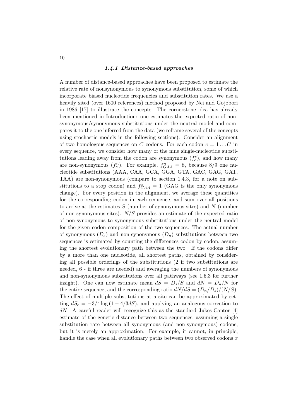# 1.4.1 Distance-based approaches

A number of distance-based approaches have been proposed to estimate the relative rate of nonsynonymous to synonymous substitution, some of which incorporate biased nucleotide frequencies and substitution rates. We use a heavily sited (over 1600 references) method proposed by Nei and Gojobori in 1986 [17] to illustrate the concepts. The cornerstone idea has already been mentioned in Introduction: one estimates the expected ratio of nonsynonymous/synonymous substitutions under the neutral model and compares it to the one inferred from the data (we reframe several of the concepts using stochastic models in the following sections). Consider an alignment of two homologous sequences on C codons. For each codon  $c = 1...C$  in every sequence, we consider how many of the nine single-nucleotide substitutions leading away from the codon are synonymous  $(f_c^s)$ , and how many are non-synonymous  $(f_c^n)$ . For example,  $f_{GAA}^n = 8$ , because 8/9 one nucleotide substitutions (AAA, CAA, GCA, GGA, GTA, GAC, GAG, GAT, TAA) are non-synonymous (compare to section 1.4.3, for a note on substitutions to a stop codon) and  $f_{GAA}^s = 1$  (GAG is the only synonymous change). For every position in the alignment, we average these quantities for the corresponding codon in each sequence, and sum over all positions to arrive at the estimates  $S$  (number of synonymous sites) and  $N$  (number of non-synonymous sites).  $N/S$  provides an estimate of the expected ratio of non-synonymous to synonymous substitutions under the neutral model for the given codon composition of the two sequences. The actual number of synonymous  $(D_s)$  and non-synonymous  $(D_n)$  substitutions between two sequences is estimated by counting the differences codon by codon, assuming the shortest evolutionary path between the two. If the codons differ by a more than one nucleotide, all shortest paths, obtained by considering all possible orderings of the substitutions (2 if two substitutions are needed, 6 - if three are needed) and averaging the numbers of synonymous and non-synonymous substitutions over all pathways (see 1.6.3 for further insight). One can now estimate mean  $dS = D_s/S$  and  $dN = D_n/N$  for the entire sequence, and the corresponding ratio  $dN/dS = (D_n/D_s)/(N/S)$ . The effect of multiple substitutions at a site can be approximated by setting  $dS_c = -3/4 \log (1 - 4/3dS)$ , and applying an analogous correction to  $dN$ . A careful reader will recognize this as the standard Jukes-Cantor  $[4]$ estimate of the genetic distance between two sequences, assuming a single substitution rate between all synonymous (and non-synonymous) codons, but it is merely an approximation. For example, it cannot, in principle, handle the case when all evolutionary paths between two observed codons x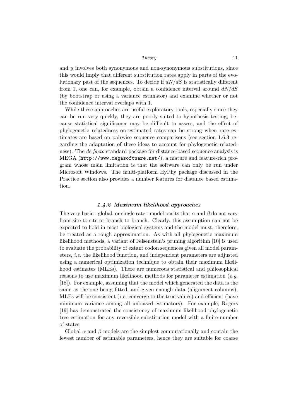and  $\gamma$  involves both synonymous and non-synonymous substitutions, since this would imply that different substitution rates apply in parts of the evolutionary past of the sequences. To decide if  $dN/dS$  is statistically different from 1, one can, for example, obtain a confidence interval around  $dN/dS$ (by bootstrap or using a variance estimator) and examine whether or not the confidence interval overlaps with 1.

While these approaches are useful exploratory tools, especially since they can be run very quickly, they are poorly suited to hypothesis testing, because statistical significance may be difficult to assess, and the effect of phylogenetic relatedness on estimated rates can be strong when rate estimates are based on pairwise sequence comparisons (see section 1.6.3 regarding the adaptation of these ideas to account for phylogenetic relatedness). The de facto standard package for distance-based sequence analysis is MEGA (http://www.megasoftware.net/), a mature and feature-rich program whose main limitation is that the software can only be run under Microsoft Windows. The multi-platform HyPhy package discussed in the Practice section also provides a number features for distance based estimation.

### 1.4.2 Maximum likelihood approaches

The very basic - global, or single rate - model posits that  $\alpha$  and  $\beta$  do not vary from site-to-site or branch to branch. Clearly, this assumption can not be expected to hold in most biological systems and the model must, therefore, be treated as a rough approximation. As with all phylogenetic maximum likelihood methods, a variant of Felsenstein's pruning algorithm [10] is used to evaluate the probability of extant codon sequences given all model parameters, i.e. the likelihood function, and independent parameters are adjusted using a numerical optimization technique to obtain their maximum likelihood estimates (MLEs). There are numerous statistical and philosophical reasons to use maximum likelihood methods for parameter estimation ( $e.g.$ [18]). For example, assuming that the model which generated the data is the same as the one being fitted, and given enough data (alignment columns), MLEs will be consistent (i.e. converge to the true values) and efficient (have minimum variance among all unbiased estimators). For example, Rogers [19] has demonstrated the consistency of maximum likelihood phylogenetic tree estimation for any reversible substitution model with a finite number of states.

Global  $\alpha$  and  $\beta$  models are the simplest computationally and contain the fewest number of estimable parameters, hence they are suitable for coarse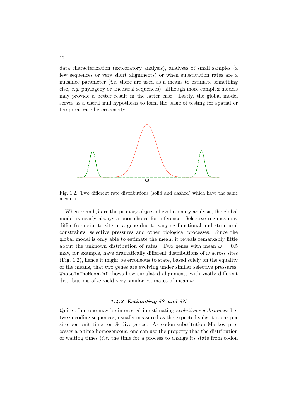data characterization (exploratory analysis), analyses of small samples (a few sequences or very short alignments) or when substitution rates are a nuisance parameter (i.e. there are used as a means to estimate something else, e.g. phylogeny or ancestral sequences), although more complex models may provide a better result in the latter case. Lastly, the global model serves as a useful null hypothesis to form the basic of testing for spatial or temporal rate heterogeneity.



Fig. 1.2. Two different rate distributions (solid and dashed) which have the same mean  $\omega$ .

When  $\alpha$  and  $\beta$  are the primary object of evolutionary analysis, the global model is nearly always a poor choice for inference. Selective regimes may differ from site to site in a gene due to varying functional and structural constraints, selective pressures and other biological processes. Since the global model is only able to estimate the mean, it reveals remarkably little about the unknown distribution of rates. Two genes with mean  $\omega = 0.5$ may, for example, have dramatically different distributions of  $\omega$  across sites (Fig. 1.2), hence it might be erroneous to state, based solely on the equality of the means, that two genes are evolving under similar selective pressures. WhatsInTheMean.bf shows how simulated alignments with vastly different distributions of  $\omega$  yield very similar estimates of mean  $\omega$ .

# 1.4.3 Estimating dS and dN

Quite often one may be interested in estimating evolutionary distances between coding sequences, usually measured as the expected substitutions per site per unit time, or % divergence. As codon-substitution Markov processes are time-homogeneous, one can use the property that the distribution of waiting times (*i.e.* the time for a process to change its state from codon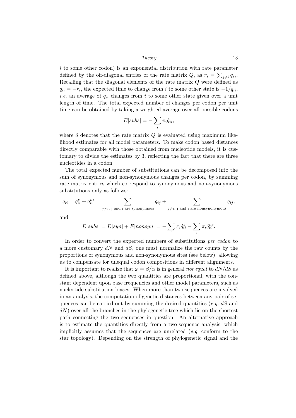i to some other codon) is an exponential distribution with rate parameter defined by the off-diagonal entries of the rate matrix  $Q$ , as  $r_i = \sum_{j \neq i} q_{ij}$ . Recalling that the diagonal elements of the rate matrix Q were defined as  $q_{ii} = -r_i$ , the expected time to change from i to some other state is  $-1/q_{ii}$ , *i.e.* an average of  $q_{ii}$  changes from i to some other state given over a unit length of time. The total expected number of changes per codon per unit time can be obtained by taking a weighted average over all possible codons

$$
E[subs] = -\sum_{i} \pi_i \hat{q}_{ii},
$$

where  $\hat{q}$  denotes that the rate matrix  $Q$  is evaluated using maximum likelihood estimates for all model parameters. To make codon based distances directly comparable with those obtained from nucleotide models, it is customary to divide the estimates by 3, reflecting the fact that there are three nucleotides in a codon.

The total expected number of substitutions can be decomposed into the sum of synonymous and non-synonymous changes per codon, by summing rate matrix entries which correspond to synonymous and non-synonymous substitutions only as follows:

$$
q_{ii} = q_{ii}^s + q_{ii}^{ns} = \sum_{j \neq i, j \text{ and } i \text{ are synonymous}} q_{ij} + \sum_{j \neq i, j \text{ and } i \text{ are nonsynonymous}} q_{ij},
$$

and

$$
E[subs] = E[syn] + E[nonsyn] = -\sum_{i} \pi_i \hat{q}_{ii}^s - \sum_{i} \pi_i \hat{q}_{ii}^{ns}.
$$

In order to convert the expected numbers of substitutions *per codon* to a more customary  $dN$  and  $dS$ , one must normalize the raw counts by the proportions of synonymous and non-synonymous sites (see below), allowing us to compensate for unequal codon compositions in different alignments.

It is important to realize that  $\omega = \beta/\alpha$  is in general not equal to  $dN/dS$  as defined above, although the two quantities are proportional, with the constant dependent upon base frequencies and other model parameters, such as nucleotide substitution biases. When more than two sequences are involved in an analysis, the computation of genetic distances between any pair of sequences can be carried out by summing the desired quantities (e.g.  $dS$  and  $dN$ ) over all the branches in the phylogenetic tree which lie on the shortest path connecting the two sequences in question. An alternative approach is to estimate the quantities directly from a two-sequence analysis, which implicitly assumes that the sequences are unrelated  $(e,q)$  conform to the star topology). Depending on the strength of phylogenetic signal and the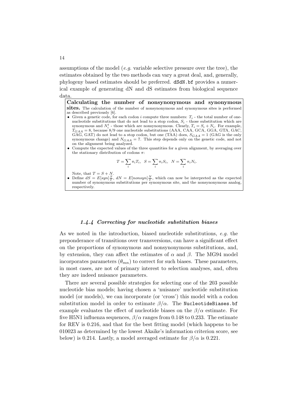assumptions of the model  $(e,q)$  variable selective pressure over the tree), the estimates obtained by the two methods can vary a great deal, and, generally, phylogeny based estimates should be preferred. dSdN.bf provides a numerical example of generating dN and dS estimates from biological sequence data.

Calculating the number of nonsynonymous and synonymous sites. The calculation of the number of nonsynonymous and synonymous sites is performed as described previously [6].

- Given a genetic code, for each codon i compute three numbers:  $T_i$  the total number of onenucleotide substitutions that do not lead to a stop codon,  $S_i$  - those substitution which are synonymous and  $N_i^t$  - those which are nonsynonymous. Clearly,  $T_i = S_i + N_i$ . For example,  $T_{GAA} = 8$ , because 8/9 one nucleotide substitutions (AAA, CAA, GCA, GGA, GTA, GAC GAG, GAT) do not lead to a stop codon, but one (TAA) does,  $S_{GAA} = 1$  (GAG is the only synonymous change) and  $N_{GAA} = 7$ . This step depends only on the genetic code, and not on the alignment being analyzed.
- Compute the expected values of the three quantities for a given alignment, by averaging over the stationary distribution of codons  $\pi$ :

$$
T = \sum_i \pi_i T_i, \quad S = \sum_i \pi_i S_i, \quad N = \sum_i \pi_i N_i.
$$

Note, that  $T = S + N$ .

• Define  $dS = E[syn]\frac{S}{T}$ ,  $dN = E[nonsyn]\frac{N}{T}$ , which can now be interpreted as the expected number of synonymous substitutions per synonymous site, and the nonsynonymous analog, respectively.

# 1.4.4 Correcting for nucleotide substitution biases

As we noted in the introduction, biased nucleotide substitutions, e.g. the preponderance of transitions over transversions, can have a significant effect on the proportions of synonymous and nonsynonymous substitutions, and, by extension, they can affect the estimates of  $\alpha$  and  $\beta$ . The MG94 model incorporates parameters  $(\theta_{mn})$  to correct for such biases. These parameters, in most cases, are not of primary interest to selection analyses, and, often they are indeed nuisance parameters.

There are several possible strategies for selecting one of the 203 possible nucleotide bias models; having chosen a 'nuisance' nucleotide substitution model (or models), we can incorporate (or 'cross') this model with a codon substitution model in order to estimate  $\beta/\alpha$ . The NucleotideBiases.bf example evaluates the effect of nucleotide biases on the  $\beta/\alpha$  estimate. For five H5N1 influenza sequences,  $\beta/\alpha$  ranges from 0.148 to 0.233. The estimate for REV is 0.216, and that for the best fitting model (which happens to be 010023 as determined by the lowest Akaike's information criterion score, see below) is 0.214. Lastly, a model averaged estimate for  $\beta/\alpha$  is 0.221.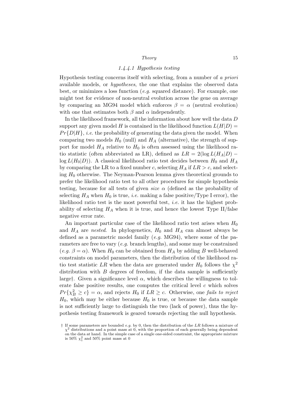# 1.4.4.1 Hypothesis testing

Hypothesis testing concerns itself with selecting, from a number of a priori available models, or hypotheses, the one that explains the observed data best, or minimizes a loss function (e.g. squared distance). For example, one might test for evidence of non-neutral evolution across the gene on average by comparing an MG94 model which enforces  $\beta = \alpha$  (neutral evolution) with one that estimates both  $\beta$  and  $\alpha$  independently.

In the likelihood framework, all the information about how well the data D support any given model H is contained in the likelihood function  $L(H|D)$  =  $Pr{D|H}$ , *i.e.* the probability of generating the data given the model. When comparing two models  $H_0$  (null) and  $H_A$  (alternative), the strength of support for model  $H_A$  relative to  $H_0$  is often assessed using the likelihood ratio statistic (often abbreviated as LR), defined as  $LR = 2(\log L(H_A|D)$  $log L(H_0|D)$ . A classical likelihood ratio test decides between  $H_0$  and  $H_A$ by comparing the LR to a fixed number c, selecting  $H_A$  if  $LR > c$ , and selecting  $H_0$  otherwise. The Neyman-Pearson lemma gives theoretical grounds to prefer the likelihood ratio test to all other procedures for simple hypothesis testing, because for all tests of given *size*  $\alpha$  (defined as the probability of selecting  $H_A$  when  $H_0$  is true, *i.e.* making a false positive/Type I error), the likelihood ratio test is the most powerful test, i.e. it has the highest probability of selecting  $H_A$  when it is true, and hence the lowest Type II/false negative error rate.

An important particular case of the likelihood ratio test arises when  $H_0$ and  $H_A$  are nested. In phylogenetics,  $H_0$  and  $H_A$  can almost always be defined as a parametric model family (e.g. MG94), where some of the parameters are free to vary (e.g. branch lengths), and some may be constrained  $(e.g. \beta = \alpha)$ . When  $H_0$  can be obtained from  $H_A$  by adding B well-behaved constraints on model parameters, then the distribution of the likelihood ratio test statistic LR when the data are generated under  $H_0$  follows the  $\chi^2$ distribution with  $B$  degrees of freedom, if the data sample is sufficiently large<sup>†</sup>. Given a significance level  $\alpha$ , which describes the willingness to tolerate false positive results, one computes the critical level  $c$  which solves  $Pr{\chi^2_B \ge c} = \alpha$ , and rejects  $H_0$  if  $LR \ge c$ . Otherwise, one fails to reject  $H_0$ , which may be either because  $H_0$  is true, or because the data sample is not sufficiently large to distinguish the two (lack of power), thus the hypothesis testing framework is geared towards rejecting the null hypothesis.

 $\dagger$  If some parameters are bounded e.g. by 0, then the distribution of the LR follows a mixture of  $\chi^2$  distributions and a point mass at 0, with the proportion of each generally being dependent on the data at hand. In the simple case of a single one-sided constraint, the appropriate mixture is 50%  $\chi_1^2$  and 50% point mass at 0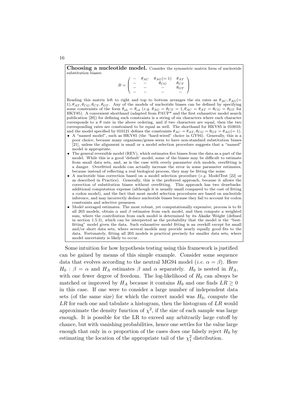Choosing a nucleotide model. Consider the symmetric matrix form of nucleotide substitution biases:

> $B =$  $\sqrt{ }$  $\overline{ }$  $\theta_{AC}$   $\theta_{AG}$ (= 1)  $\theta_{AT}$  $\theta_{CG}$   $\theta_{CT}$ − − − *θ<sub>GT</sub>*<br>− − − −  $\setminus$  $\bigg\}$

Reading this matrix left to right and top to bottom arranges the six rates as  $\theta_{AC}$ ,  $\theta_{AG}$ (=  $1), \theta_{AT}, \theta_{CG}, \theta_{CT}, \theta_{GT}$ . Any of the models of nucleotide biases can be defined by specifying some constraints of the form  $\theta_{ab} = \theta_{cd}$  (e.g.  $\theta_{AG} = \theta_{CT} = 1, \theta_{AC} = \theta_{AT} = \theta_{CG} = \theta_{GT}$  for HKY85). A convenient shorthand (adapted from PAUP<sup>\*</sup> and the first exhaustive model search publication [20]) for defining such constraints is a string of six characters where each character corresponds to a  $\theta$  rate in the above ordering, and if two characters are equal, then the two corresponding rates are constrained to be equal as well. The shorthand for HKY85 is 010010, and the model specified by 010121 defines the constraints  $\theta_{AC} = \theta_{AT}, \theta_{CG} = \theta_{GT} = \theta_{AG} (= 1)$ .

- A "named model", such as HKY85 (the "hard-wired" choice in GY94). Generally, this is a poor choice, because many organisms/genes seem to have non-standard substitution biases [21], unless the alignment is small or a model selection procedure suggests that a "named" model is appropriate.
- The general reversible model (REV), which estimates five biases from the data as a part of the model. While this is a good 'default' model, some of the biases may be difficult to estimate from small data sets, and, as is the case with overly parameter rich models, overfitting is a danger. Overfitted models can actually increase the error in some parameter estimates, because instead of reflecting a real biological process, they may be fitting the noise.
- A nucleotide bias correction based on a model selection procedure (e.g. ModelTest [22] or as described in Practice). Generally, this is the preferred approach, because it allows the correction of substitution biases without overfitting. This approach has two drawbacks: additional computation expense (although it is usually small compared to the cost of fitting a codon model), and the fact that most model selection procedures are based on nucleotide inference, and may incorrectly deduce nucleotide biases because they fail to account for codon constraints and selective pressures.
- Model averaged estimates. The most robust, yet computationally expensive, process is to fit all 203 models, obtain  $\alpha$  and  $\beta$  estimates from each model, and then compute a weighted sum, where the contribution from each model is determined by its Akaike Weight (defined in section 1.5.3), which can be interpreted as the probability that the model is the "bestfitting" model given the data. Such exhaustive model fitting is an overkill except for small and/or short data sets, where several models may provide nearly equally good fits to the data. Fortunately, fitting all 203 models is practical precisely for smaller data sets, where model uncertainty is likely to occur.

Some intuition for how hypothesis testing using this framework is justified can be gained by means of this simple example. Consider some sequence data that evolves according to the neutral MG94 model (*i.e.*  $\alpha = \beta$ ). Here  $H_0$ :  $\beta = \alpha$  and  $H_A$  estimates  $\beta$  and  $\alpha$  separately.  $H_0$  is nested in  $H_A$ , with one fewer degree of freedom. The log-likelihood of  $H_0$  can always be matched or improved by  $H_A$  because it contains  $H_0$  and one finds  $LR \geq 0$ in this case. If one were to consider a large number of independent data sets (of the same size) for which the correct model was  $H_0$ , compute the  $LR$  for each one and tabulate a histogram, then the histogram of  $LR$  would approximate the density function of  $\chi^2$ , if the size of each sample was large enough. It is possible for the LR to exceed any arbitrarily large cutoff by chance, but with vanishing probabilities, hence one settles for the value large enough that only in  $\alpha$  proportion of the cases does one falsely reject  $H_0$  by estimating the location of the appropriate tail of the  $\chi_1^2$  distribution.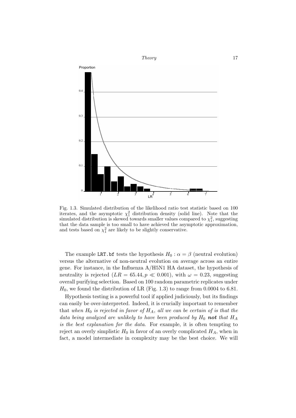

Fig. 1.3. Simulated distribution of the likelihood ratio test statistic based on 100 iterates, and the asymptotic  $\chi_1^2$  distribution density (solid line). Note that the simulated distribution is skewed towards smaller values compared to  $\chi_1^2$ , suggesting that the data sample is too small to have achieved the asymptotic approximation, and tests based on  $\chi_1^2$  are likely to be slightly conservative.

The example LRT.bf tests the hypothesis  $H_0$ :  $\alpha = \beta$  (neutral evolution) versus the alternative of non-neutral evolution on average across an entire gene. For instance, in the Influenza A/H5N1 HA dataset, the hypothesis of neutrality is rejected  $(LR = 65.44, p \ll 0.001)$ , with  $\omega = 0.23$ , suggesting overall purifying selection. Based on 100 random parametric replicates under  $H_0$ , we found the distribution of LR (Fig. 1.3) to range from 0.0004 to 6.81.

Hypothesis testing is a powerful tool if applied judiciously, but its findings can easily be over-interpreted. Indeed, it is crucially important to remember that when  $H_0$  is rejected in favor of  $H_A$ , all we can be certain of is that the data being analyzed are unlikely to have been produced by  $H_0$  not that  $H_A$ is the best explanation for the data. For example, it is often tempting to reject an overly simplistic  $H_0$  in favor of an overly complicated  $H_A$ , when in fact, a model intermediate in complexity may be the best choice. We will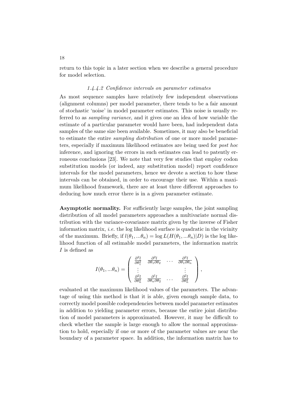return to this topic in a later section when we describe a general procedure for model selection.

#### 1.4.4.2 Confidence intervals on parameter estimates

As most sequence samples have relatively few independent observations (alignment columns) per model parameter, there tends to be a fair amount of stochastic 'noise' in model parameter estimates. This noise is usually referred to as sampling variance, and it gives one an idea of how variable the estimate of a particular parameter would have been, had independent data samples of the same size been available. Sometimes, it may also be beneficial to estimate the entire sampling distribution of one or more model parameters, especially if maximum likelihood estimates are being used for post hoc inference, and ignoring the errors in such estimates can lead to patently erroneous conclusions [23]. We note that very few studies that employ codon substitution models (or indeed, any substitution model) report confidence intervals for the model parameters, hence we devote a section to how these intervals can be obtained, in order to encourage their use. Within a maximum likelihood framework, there are at least three different approaches to deducing how much error there is in a given parameter estimate.

Asymptotic normality. For sufficiently large samples, the joint sampling distribution of all model parameters approaches a multivariate normal distribution with the variance-covariance matrix given by the inverse of Fisher information matrix, *i.e.* the log likelihood surface is quadratic in the vicinity of the maximum. Briefly, if  $l(\theta_1, \ldots \theta_n) = \log L(H(\theta_1, \ldots \theta_n)|D)$  is the log likelihood function of all estimable model parameters, the information matrix I is defined as

$$
I(\theta_1, \ldots \theta_n) = \begin{pmatrix} \frac{\partial^2 l}{\partial \theta_1^2} & \frac{\partial^2 l}{\partial \theta_1 \partial \theta_2} & \cdots & \frac{\partial^2 l}{\partial \theta_1 \partial \theta_n} \\ \vdots & & & \vdots \\ \frac{\partial^2 l}{\partial \theta_n^2} & \frac{\partial^1 l}{\partial \theta_n \partial \theta_2} & \cdots & \frac{\partial^2 l}{\partial \theta_n^2} \end{pmatrix},
$$

evaluated at the maximum likelihood values of the parameters. The advantage of using this method is that it is able, given enough sample data, to correctly model possible codependencies between model parameter estimates in addition to yielding parameter errors, because the entire joint distribution of model parameters is approximated. However, it may be difficult to check whether the sample is large enough to allow the normal approximation to hold, especially if one or more of the parameter values are near the boundary of a parameter space. In addition, the information matrix has to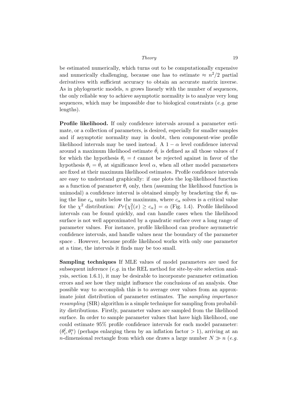be estimated numerically, which turns out to be computationally expensive and numerically challenging, because one has to estimate  $\approx n^2/2$  partial derivatives with sufficient accuracy to obtain an accurate matrix inverse. As in phylogenetic models,  $n$  grows linearly with the number of sequences, the only reliable way to achieve asymptotic normality is to analyze very long sequences, which may be impossible due to biological constraints (e.g. gene lengths).

Profile likelihood. If only confidence intervals around a parameter estimate, or a collection of parameters, is desired, especially for smaller samples and if asymptotic normality may in doubt, then component-wise profile likelihood intervals may be used instead. A  $1 - \alpha$  level confidence interval around a maximum likelihood estimate  $\hat{\theta}_i$  is defined as all those values of  $t$ for which the hypothesis  $\theta_i = t$  cannot be rejected against in favor of the hypothesis  $\theta_i = \hat{\theta}_i$  at significance level  $\alpha$ , when all other model parameters are fixed at their maximum likelihood estimates. Profile confidence intervals are easy to understand graphically: if one plots the log-likelihood function as a function of parameter  $\theta_i$  only, then (assuming the likelihood function is unimodal) a confidence interval is obtained simply by bracketing the  $\hat{\theta}_i$  using the line  $c_{\alpha}$  units below the maximum, where  $c_{\alpha}$  solves is a critical value for the  $\chi^2$  distribution:  $Pr{\chi_1^2(x) \ge c_\alpha} = \alpha$  (Fig. 1.4). Profile likelihood intervals can be found quickly, and can handle cases when the likelihood surface is not well approximated by a quadratic surface over a long range of parameter values. For instance, profile likelihood can produce asymmetric confidence intervals, and handle values near the boundary of the parameter space . However, because profile likelihood works with only one parameter at a time, the intervals it finds may be too small.

Sampling techniques If MLE values of model parameters are used for subsequent inference  $(e,q)$  in the REL method for site-by-site selection analysis, section 1.6.1), it may be desirable to incorporate parameter estimation errors and see how they might influence the conclusions of an analysis. One possible way to accomplish this is to average over values from an approximate joint distribution of parameter estimates. The *sampling importance* resampling (SIR) algorithm is a simple technique for sampling from probability distributions. Firstly, parameter values are sampled from the likelihood surface. In order to sample parameter values that have high likelihood, one could estimate 95% profile confidence intervals for each model parameter:  $(\theta_i^l, \theta_i^u)$  (perhaps enlarging them by an inflation factor > 1), arriving at an *n*-dimensional rectangle from which one draws a large number  $N \gg n$  (e.g.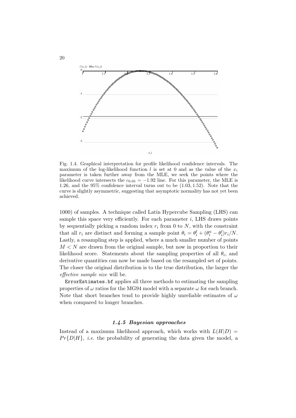

Fig. 1.4. Graphical interpretation for profile likelihood confidence intervals. The maximum of the log-likelihood function l is set at 0 and as the value of the  $x_i$ parameter is taken further away from the MLE, we seek the points where the likelihood curve intersects the  $c_{0.05} = -1.92$  line. For this parameter, the MLE is 1.26, and the 95% confidence interval turns out to be (1.03, 1.52). Note that the curve is slightly asymmetric, suggesting that asymptotic normality has not yet been achieved.

1000) of samples. A technique called Latin Hypercube Sampling (LHS) can sample this space very efficiently. For each parameter  $i$ , LHS draws points by sequentially picking a random index  $r_i$  from 0 to N, with the constraint that all  $r_i$  are distinct and forming a sample point  $\theta_i = \theta_i^l + (\theta_i^u - \theta_i^l)r_i/N$ . Lastly, a resampling step is applied, where a much smaller number of points  $M < N$  are drawn from the original sample, but now in proportion to their likelihood score. Statements about the sampling properties of all  $\theta_i$ , and derivative quantities can now be made based on the resampled set of points. The closer the original distribution is to the true distribution, the larger the effective sample size will be.

ErrorEstimates.bf applies all three methods to estimating the sampling properties of  $\omega$  ratios for the MG94 model with a separate  $\omega$  for each branch. Note that short branches tend to provide highly unreliable estimates of  $\omega$ when compared to longer branches.

# 1.4.5 Bayesian approaches

Instead of a maximum likelihood approach, which works with  $L(H|D)$  =  $Pr{D|H}$ , *i.e.* the probability of generating the data given the model, a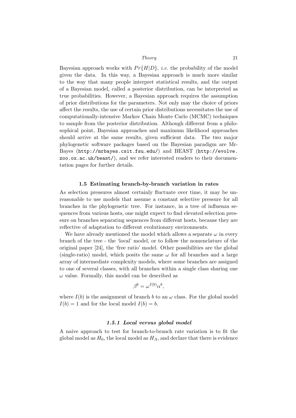Bayesian approach works with  $Pr{H|D}$ , *i.e.* the probability of the model given the data. In this way, a Bayesian approach is much more similar to the way that many people interpret statistical results, and the output of a Bayesian model, called a posterior distribution, can be interpreted as true probabilities. However, a Bayesian approach requires the assumption of prior distributions for the parameters. Not only may the choice of priors affect the results, the use of certain prior distributions necessitates the use of computationally-intensive Markov Chain Monte Carlo (MCMC) techniques to sample from the posterior distribution. Although different from a philosophical point, Bayesian approaches and maximum likelihood approaches should arrive at the same results, given sufficient data. The two major phylogenetic software packages based on the Bayesian paradigm are Mr-Bayes (http://mrbayes.csit.fsu.edu/) and BEAST (http://evolve. zoo.ox.ac.uk/beast/), and we refer interested readers to their documentation pages for further details.

#### 1.5 Estimating branch-by-branch variation in rates

As selection pressures almost certainly fluctuate over time, it may be unreasonable to use models that assume a constant selective pressure for all branches in the phylogenetic tree. For instance, in a tree of influenza sequences from various hosts, one might expect to find elevated selection pressure on branches separating sequences from different hosts, because they are reflective of adaptation to different evolutionary environments.

We have already mentioned the model which allows a separate  $\omega$  in every branch of the tree - the 'local' model, or to follow the nomenclature of the original paper [24], the 'free ratio' model. Other possibilities are the global (single-ratio) model, which posits the same  $\omega$  for all branches and a large array of intermediate complexity models, where some branches are assigned to one of several classes, with all branches within a single class sharing one  $\omega$  value. Formally, this model can be described as

$$
\beta^b = \omega^{I(b)} \alpha^b,
$$

where  $I(b)$  is the assignment of branch b to an  $\omega$  class. For the global model  $I(b) = 1$  and for the local model  $I(b) = b$ .

#### 1.5.1 Local versus global model

A naive approach to test for branch-to-branch rate variation is to fit the global model as  $H_0$ , the local model as  $H_A$ , and declare that there is evidence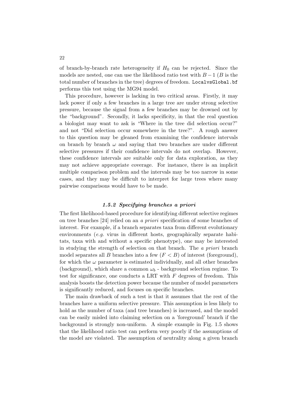of branch-by-branch rate heterogeneity if  $H_0$  can be rejected. Since the models are nested, one can use the likelihood ratio test with  $B-1$  (B is the total number of branches in the tree) degrees of freedom. LocalvsGlobal.bf performs this test using the MG94 model.

This procedure, however is lacking in two critical areas. Firstly, it may lack power if only a few branches in a large tree are under strong selective pressure, because the signal from a few branches may be drowned out by the "background". Secondly, it lacks specificity, in that the real question a biologist may want to ask is "Where in the tree did selection occur?" and not "Did selection occur somewhere in the tree?". A rough answer to this question may be gleaned from examining the confidence intervals on branch by branch  $\omega$  and saying that two branches are under different selective pressures if their confidence intervals do not overlap. However, these confidence intervals are suitable only for data exploration, as they may not achieve appropriate coverage. For instance, there is an implicit multiple comparison problem and the intervals may be too narrow in some cases, and they may be difficult to interpret for large trees where many pairwise comparisons would have to be made.

# 1.5.2 Specifying branches a priori

The first likelihood-based procedure for identifying different selective regimes on tree branches [24] relied on an a priori specification of some branches of interest. For example, if a branch separates taxa from different evolutionary environments (e.g. virus in different hosts, geographically separate habitats, taxa with and without a specific phenotype), one may be interested in studying the strength of selection on that branch. The a priori branch model separates all B branches into a few  $(F < B)$  of interest (foreground), for which the  $\omega$  parameter is estimated individually, and all other branches (background), which share a common  $\omega_b$  - background selection regime. To test for significance, one conducts a LRT with  $F$  degrees of freedom. This analysis boosts the detection power because the number of model parameters is significantly reduced, and focuses on specific branches.

The main drawback of such a test is that it assumes that the rest of the branches have a uniform selective pressure. This assumption is less likely to hold as the number of taxa (and tree branches) is increased, and the model can be easily misled into claiming selection on a 'foreground' branch if the background is strongly non-uniform. A simple example in Fig. 1.5 shows that the likelihood ratio test can perform very poorly if the assumptions of the model are violated. The assumption of neutrality along a given branch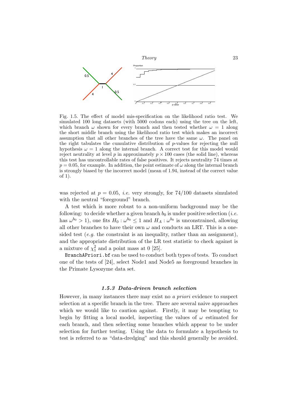

Fig. 1.5. The effect of model mis-specification on the likelihood ratio test. We simulated 100 long datasets (with 5000 codons each) using the tree on the left, which branch  $\omega$  shown for every branch and then tested whether  $\omega = 1$  along the short middle branch using the likelihood ratio test which makes an incorrect assumption that all other branches of the tree have the same  $\omega$ . The panel on the right tabulates the cumulative distribution of p-values for rejecting the null hypothesis  $\omega = 1$  along the internal branch. A correct test for this model would reject neutrality at level p in approximately  $p \times 100$  cases (the solid line), whereas this test has uncontrollable rates of false positives. It rejects neutrality 74 times at  $p = 0.05$ , for example. In addition, the point estimate of  $\omega$  along the internal branch is strongly biased by the incorrect model (mean of 1.94, instead of the correct value of 1).

was rejected at  $p = 0.05$ , *i.e.* very strongly, for 74/100 datasets simulated with the neutral "foreground" branch.

A test which is more robust to a non-uniform background may be the following: to decide whether a given branch  $b_0$  is under positive selection (*i.e.* has  $\omega^{b_0} > 1$ , one fits  $H_0: \omega^{b_0} \leq 1$  and  $H_A: \omega^{b_0}$  is unconstrained, allowing all other branches to have their own  $\omega$  and conducts an LRT. This is a onesided test (e.g. the constraint is an inequality, rather than an assignment), and the appropriate distribution of the LR test statistic to check against is a mixture of  $\chi_1^2$  and a point mass at 0 [25].

BranchAPriori.bf can be used to conduct both types of tests. To conduct one of the tests of [24], select Node1 and Node5 as foreground branches in the Primate Lysozyme data set.

#### 1.5.3 Data-driven branch selection

However, in many instances there may exist no a priori evidence to suspect selection at a specific branch in the tree. There are several naive approaches which we would like to caution against. Firstly, it may be tempting to begin by fitting a local model, inspecting the values of  $\omega$  estimated for each branch, and then selecting some branches which appear to be under selection for further testing. Using the data to formulate a hypothesis to test is referred to as "data-dredging" and this should generally be avoided.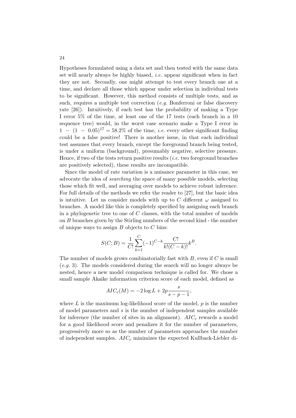Hypotheses formulated using a data set and then tested with the same data set will nearly always be highly biased, i.e. appear significant when in fact they are not. Secondly, one might attempt to test every branch one at a time, and declare all those which appear under selection in individual tests to be significant. However, this method consists of multiple tests, and as such, requires a multiple test correction  $(e,q)$ . Bonferroni or false discovery rate [26]). Intuitively, if each test has the probability of making a Type I error 5% of the time, at least one of the 17 tests (each branch in a 10 sequence tree) would, in the worst case scenario make a Type I error in  $1 - (1 - 0.05)^{17} = 58.2\%$  of the time, *i.e.* every other significant finding could be a false positive! There is another issue, in that each individual test assumes that every branch, except the foreground branch being tested, is under a uniform (background), presumably negative, selective pressure. Hence, if two of the tests return positive results (*i.e.* two foreground branches are positively selected), these results are incompatible.

Since the model of rate variation is a nuisance parameter in this case, we advocate the idea of searching the space of many possible models, selecting those which fit well, and averaging over models to achieve robust inference. For full details of the methods we refer the reader to [27], but the basic idea is intuitive. Let us consider models with up to C different  $\omega$  assigned to branches. A model like this is completely specified by assigning each branch in a phylogenetic tree to one of  $C$  classes, with the total number of models on B branches given by the Stirling numbers of the second kind - the number of unique ways to assign  $B$  objects to  $C$  bins:

$$
S(C; B) = \frac{1}{C!} \sum_{k=1}^{C} (-1)^{C-k} \frac{C!}{k!(C-k)!} k^{B}.
$$

The number of models grows combinatorially fast with  $B$ , even if C is small  $(e.g. 3)$ . The models considered during the search will no longer always be nested, hence a new model comparison technique is called for. We chose a small sample Akaike information criterion score of each model, defined as

$$
AIC_c(M) = -2\log L + 2p \frac{s}{s - p - 1},
$$

where  $L$  is the maximum log-likelihood score of the model,  $p$  is the number of model parameters and  $s$  is the number of independent samples available for inference (the number of sites in an alignment).  $AIC_c$  rewards a model for a good likelihood score and penalizes it for the number of parameters, progressively more so as the number of parameters approaches the number of independent samples.  $AIC_c$  minimizes the expected Kullback-Liebler di-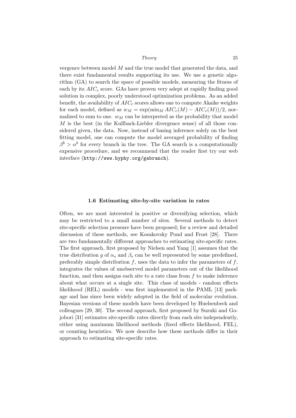vergence between model M and the true model that generated the data, and there exist fundamental results supporting its use. We use a genetic algorithm (GA) to search the space of possible models, measuring the fitness of each by its  $AIC_c$  score. GAs have proven very adept at rapidly finding good solution in complex, poorly understood optimization problems. As an added benefit, the availability of  $AIC_c$  scores allows one to compute Akaike weights for each model, defined as  $w_M = \exp(\min_M AIC_c(M) - AIC_c(M))/2$ , normalized to sum to one.  $w_M$  can be interpreted as the probability that model M is the best (in the Kullback-Liebler divergence sense) of all those considered given, the data. Now, instead of basing inference solely on the best fitting model, one can compute the model averaged probability of finding  $\beta^b > \alpha^b$  for every branch in the tree. The GA search is a computationally expensive procedure, and we recommend that the reader first try our web interface (http://www.hyphy.org/gabranch).

#### 1.6 Estimating site-by-site variation in rates

Often, we are most interested in positive or diversifying selection, which may be restricted to a small number of sites. Several methods to detect site-specific selection pressure have been proposed; for a review and detailed discussion of these methods, see Kosakovsky Pond and Frost [28]. There are two fundamentally different approaches to estimating site-specific rates. The first approach, first proposed by Nielsen and Yang [1] assumes that the true distribution g of  $\alpha_s$  and  $\beta_s$  can be well represented by some predefined, preferably simple distribution  $f$ , uses the data to infer the parameters of  $f$ , integrates the values of unobserved model parameters out of the likelihood function, and then assigns each site to a rate class from  $f$  to make inference about what occurs at a single site. This class of models - random effects likelihood (REL) models - was first implemented in the PAML [13] package and has since been widely adopted in the field of molecular evolution. Bayesian versions of these models have been developed by Huelsenbeck and colleagues [29, 30]. The second approach, first proposed by Suzuki and Gojobori [31] estimates site-specific rates directly from each site independently, either using maximum likelihood methods (fixed effects likelihood, FEL), or counting heuristics. We now describe how these methods differ in their approach to estimating site-specific rates.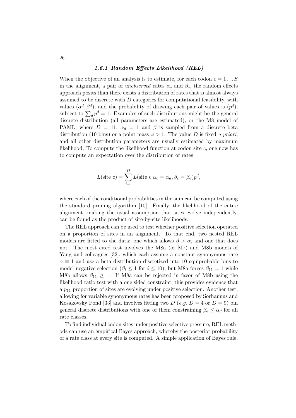# 1.6.1 Random Effects Likelihood (REL)

When the objective of an analysis is to estimate, for each codon  $c = 1 \dots S$ in the alignment, a pair of *unobserved* rates  $\alpha_s$  and  $\beta_s$ , the random effects approach posits than there exists a distribution of rates that is almost always assumed to be discrete with D categories for computational feasibility, with values  $(\alpha^d, \beta^d)$ , and the probability of drawing each pair of values is  $(p^d)$ , subject to  $\sum_d p^d = 1$ . Examples of such distributions might be the general discrete distribution (all parameters are estimated), or the M8 model of PAML, where  $D = 11$ ,  $\alpha_d = 1$  and  $\beta$  is sampled from a discrete beta distribution (10 bins) or a point mass  $\omega > 1$ . The value D is fixed a priori, and all other distribution parameters are usually estimated by maximum likelihood. To compute the likelihood function at codon site c, one now has to compute an expectation over the distribution of rates

$$
L(\text{site c}) = \sum_{d=1}^{D} L(\text{site c} | \alpha_c = \alpha_d, \beta_c = \beta_d) p^d,
$$

where each of the conditional probabilities in the sum can be computed using the standard pruning algorithm [10]. Finally, the likelihood of the entire alignment, making the usual assumption that sites evolve independently, can be found as the product of site-by-site likelihoods.

The REL approach can be used to test whether positive selection operated on a proportion of sites in an alignment. To that end, two nested REL models are fitted to the data: one which allows  $\beta > \alpha$ , and one that does not. The most cited test involves the M8a (or M7) and M8b models of Yang and colleagues [32], which each assume a constant synonymous rate  $\alpha \equiv 1$  and use a beta distribution discretized into 10 equiprobable bins to model negative selection ( $\beta_i \leq 1$  for  $i \leq 10$ ), but M8a forces  $\beta_{11} = 1$  while M8b allows  $\beta_{11} \geq 1$ . If M8a can be rejected in favor of M8b using the likelihood ratio test with a one sided constraint, this provides evidence that a  $p_{11}$  proportion of sites are evolving under positive selection. Another test, allowing for variable synonymous rates has been proposed by Sorhannus and Kosakovsky Pond [33] and involves fitting two D (e.g.  $D = 4$  or  $D = 9$ ) bin general discrete distributions with one of them constraining  $\beta_d \leq \alpha_d$  for all rate classes.

To find individual codon sites under positive selective pressure, REL methods can use an empirical Bayes approach, whereby the posterior probability of a rate class at every site is computed. A simple application of Bayes rule,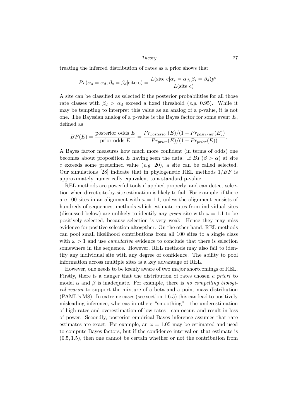treating the inferred distribution of rates as a prior shows that

$$
Pr(\alpha_s = \alpha_d, \beta_s = \beta_d | \text{site c}) = \frac{L(\text{site c} | \alpha_s = \alpha_d, \beta_s = \beta_d) p^d}{L(\text{site c})}.
$$

A site can be classified as selected if the posterior probabilities for all those rate classes with  $\beta_d > \alpha_d$  exceed a fixed threshold (*e.g.* 0.95). While it may be tempting to interpret this value as an analog of a p-value, it is not one. The Bayesian analog of a p-value is the Bayes factor for some event  $E$ . defined as

$$
BF(E) = \frac{\text{posterior odds } E}{\text{prior odds } E} = \frac{Pr_{posterior}(E)/(1 - Pr_{posterior}(E))}{Pr_{prior}(E)/(1 - Pr_{prior}(E))}.
$$

A Bayes factor measures how much more confident (in terms of odds) one becomes about proposition E having seen the data. If  $BF(\beta > \alpha)$  at site  $c$  exceeds some predefined value  $(e.g. 20)$ , a site can be called selected. Our simulations [28] indicate that in phylogenetic REL methods  $1/BF$  is approximately numerically equivalent to a standard p-value.

REL methods are powerful tools if applied properly, and can detect selection when direct site-by-site estimation is likely to fail. For example, if there are 100 sites in an alignment with  $\omega = 1.1$ , unless the alignment consists of hundreds of sequences, methods which estimate rates from individual sites (discussed below) are unlikely to identify any *given* site with  $\omega = 1.1$  to be positively selected, because selection is very weak. Hence they may miss evidence for positive selection altogether. On the other hand, REL methods can pool small likelihood contributions from all 100 sites to a single class with  $\omega > 1$  and use *cumulative* evidence to conclude that there is selection somewhere in the sequence. However, REL methods may also fail to identify any individual site with any degree of confidence. The ability to pool information across multiple sites is a key advantage of REL.

However, one needs to be keenly aware of two major shortcomings of REL. Firstly, there is a danger that the distribution of rates chosen a priori to model  $\alpha$  and  $\beta$  is inadequate. For example, there is no compelling biological reason to support the mixture of a beta and a point mass distribution (PAML's M8). In extreme cases (see section 1.6.5) this can lead to positively misleading inference, whereas in others "smoothing" - the underestimation of high rates and overestimation of low rates - can occur, and result in loss of power. Secondly, posterior empirical Bayes inference assumes that rate estimates are exact. For example, an  $\omega = 1.05$  may be estimated and used to compute Bayes factors, but if the confidence interval on that estimate is  $(0.5, 1.5)$ , then one cannot be certain whether or not the contribution from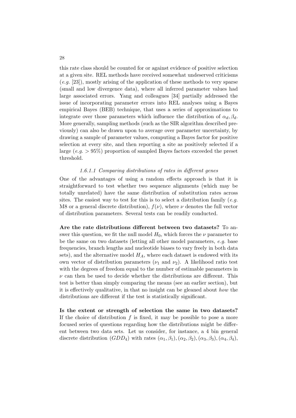this rate class should be counted for or against evidence of positive selection at a given site. REL methods have received somewhat undeserved criticisms  $(e.g. [23])$ , mostly arising of the application of these methods to very sparse (small and low divergence data), where all inferred parameter values had large associated errors. Yang and colleagues [34] partially addressed the issue of incorporating parameter errors into REL analyses using a Bayes empirical Bayes (BEB) technique, that uses a series of approximations to integrate over those parameters which influence the distribution of  $\alpha_d$ ,  $\beta_d$ . More generally, sampling methods (such as the SIR algorithm described previously) can also be drawn upon to average over parameter uncertainty, by drawing a sample of parameter values, computing a Bayes factor for positive selection at every site, and then reporting a site as positively selected if a large  $(e.g. > 95\%)$  proportion of sampled Bayes factors exceeded the preset threshold.

# 1.6.1.1 Comparing distributions of rates in different genes

One of the advantages of using a random effects approach is that it is straightforward to test whether two sequence alignments (which may be totally unrelated) have the same distribution of substitution rates across sites. The easiest way to test for this is to select a distribution family (e.g. M8 or a general discrete distribution),  $f(\nu)$ , where  $\nu$  denotes the full vector of distribution parameters. Several tests can be readily conducted.

Are the rate distributions different between two datasets? To answer this question, we fit the null model  $H_0$ , which forces the  $\nu$  parameter to be the same on two datasets (letting all other model parameters, e.g. base frequencies, branch lengths and nucleotide biases to vary freely in both data sets), and the alternative model  $H_A$ , where each dataset is endowed with its own vector of distribution parameters  $(\nu_1$  and  $\nu_2$ ). A likelihood ratio test with the degrees of freedom equal to the number of estimable parameters in  $\nu$  can then be used to decide whether the distributions are different. This test is better than simply comparing the means (see an earlier section), but it is effectively qualitative, in that no insight can be gleaned about how the distributions are different if the test is statistically significant.

Is the extent or strength of selection the same in two datasets? If the choice of distribution  $f$  is fixed, it may be possible to pose a more focused series of questions regarding how the distributions might be different between two data sets. Let us consider, for instance, a 4 bin general discrete distribution  $(GDD_4)$  with rates  $(\alpha_1, \beta_1), (\alpha_2, \beta_2), (\alpha_3, \beta_3), (\alpha_4, \beta_4),$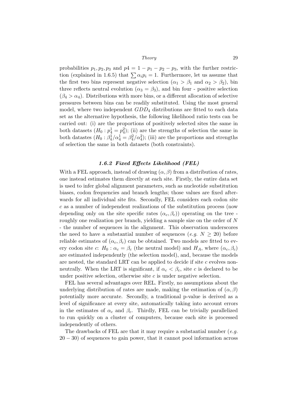probabilities  $p_1, p_2, p_3$  and  $p_4 = 1 - p_1 - p_2 - p_3$ , with the further restriction (explained in 1.6.5) that  $\sum \alpha_i p_i = 1$ . Furthermore, let us assume that the first two bins represent negative selection  $(\alpha_1 > \beta_1 \text{ and } \alpha_2 > \beta_2)$ , bin three reflects neutral evolution ( $\alpha_3 = \beta_3$ ), and bin four - positive selection  $(\beta_4 > \alpha_4)$ . Distributions with more bins, or a different allocation of selective pressures between bins can be readily substituted. Using the most general model, where two independent  $GDD<sub>4</sub>$  distributions are fitted to each data set as the alternative hypothesis, the following likelihood ratio tests can be carried out: (i) are the proportions of positively selected sites the same in both datasets  $(H_0: p_4^1 = p_4^2)$ ; (ii) are the strengths of selection the same in both datastes  $(H_0: \beta_4^1/\alpha_4^1 = \beta_4^2/\alpha_4^2)$ ; (iii) are the proportions and strengths of selection the same in both datasets (both constraints).

# 1.6.2 Fixed Effects Likelihood (FEL)

With a FEL approach, instead of drawing  $(\alpha, \beta)$  from a distribution of rates, one instead estimates them directly at each site. Firstly, the entire data set is used to infer global alignment parameters, such as nucleotide substitution biases, codon frequencies and branch lengths; those values are fixed afterwards for all individual site fits. Secondly, FEL considers each codon site c as a number of independent realizations of the substitution process (now depending only on the site specific rates  $(\alpha_c, \beta_c)$  operating on the tree roughly one realization per branch, yielding a sample size on the order of N - the number of sequences in the alignment. This observation underscores the need to have a substantial number of sequences  $(e.g. N \geq 20)$  before reliable estimates of  $(\alpha_c, \beta_c)$  can be obtained. Two models are fitted to every codon site c:  $H_0: \alpha_c = \beta_c$  (the neutral model) and  $H_A$ , where  $(\alpha_c, \beta_c)$ are estimated independently (the selection model), and, because the models are nested, the standard LRT can be applied to decide if site  $c$  evolves nonneutrally. When the LRT is significant, if  $\alpha_c < \beta_c$ , site c is declared to be under positive selection, otherwise site  $c$  is under negative selection.

FEL has several advantages over REL. Firstly, no assumptions about the underlying distribution of rates are made, making the estimation of  $(\alpha, \beta)$ potentially more accurate. Secondly, a traditional p-value is derived as a level of significance at every site, automatically taking into account errors in the estimates of  $\alpha_c$  and  $\beta_c$ . Thirdly, FEL can be trivially parallelized to run quickly on a cluster of computers, because each site is processed independently of others.

The drawbacks of FEL are that it may require a substantial number (*e.g.*)  $20 - 30$ ) of sequences to gain power, that it cannot pool information across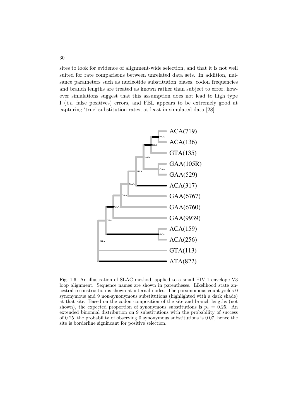sites to look for evidence of alignment-wide selection, and that it is not well suited for rate comparisons between unrelated data sets. In addition, nuisance parameters such as nucleotide substitution biases, codon frequencies and branch lengths are treated as known rather than subject to error, however simulations suggest that this assumption does not lead to high type I (i.e. false positives) errors, and FEL appears to be extremely good at capturing 'true' substitution rates, at least in simulated data [28].



Fig. 1.6. An illustration of SLAC method, applied to a small HIV-1 envelope V3 loop alignment. Sequence names are shown in parentheses. Likelihood state ancestral reconstruction is shown at internal nodes. The parsimonious count yields 0 synonymous and 9 non-synonymous substitutions (highlighted with a dark shade) at that site. Based on the codon composition of the site and branch lengths (not shown), the expected proportion of synonymous substitutions is  $p_e = 0.25$ . An extended binomial distribution on 9 substitutions with the probability of success of 0.25, the probability of observing 0 synonymous substitutions is 0.07, hence the site is borderline significant for positive selection.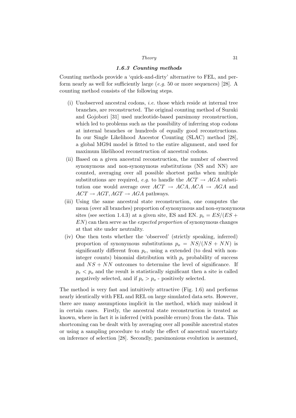# 1.6.3 Counting methods

Counting methods provide a 'quick-and-dirty' alternative to FEL, and perform nearly as well for sufficiently large  $(e.g. 50 \text{ or more sequences})$  [28]. A counting method consists of the following steps.

- (i) Unobserved ancestral codons, *i.e.* those which reside at internal tree branches, are reconstructed. The original counting method of Suzuki and Gojobori [31] used nucleotide-based parsimony reconstruction, which led to problems such as the possibility of inferring stop codons at internal branches or hundreds of equally good reconstructions. In our Single Likelihood Ancestor Counting (SLAC) method [28], a global MG94 model is fitted to the entire alignment, and used for maximum likelihood reconstruction of ancestral codons.
- (ii) Based on a given ancestral reconstruction, the number of observed synonymous and non-synonymous substitutions (NS and NN) are counted, averaging over all possible shortest paths when multiple substitutions are required, e.g. to handle the  $ACT \rightarrow AGA$  substitution one would average over  $ACT \rightarrow ACA, ACA \rightarrow AGA$  and  $ACT \rightarrow ACT$ ,  $AGT \rightarrow AGA$  pathways.
- (iii) Using the same ancestral state reconstruction, one computes the mean (over all branches) proportion of synonymous and non-synonymous sites (see section 1.4.3) at a given site, ES and EN.  $p_e = ES/(ES +$ EN) can then serve as the expected proportion of synonymous changes at that site under neutrality.
- (iv) One then tests whether the 'observed' (strictly speaking, inferred) proportion of synonymous substitutions  $p_o = NS/(NS + NN)$  is significantly different from  $p_e$ , using a extended (to deal with noninteger counts) binomial distribution with  $p_e$  probability of success and  $NS + NN$  outcomes to determine the level of significance. If  $p_e < p_o$  and the result is statistically significant then a site is called negatively selected, and if  $p_e > p_o$  - positively selected.

The method is very fast and intuitively attractive (Fig. 1.6) and performs nearly identically with FEL and REL on large simulated data sets. However, there are many assumptions implicit in the method, which may mislead it in certain cases. Firstly, the ancestral state reconstruction is treated as known, where in fact it is inferred (with possible errors) from the data. This shortcoming can be dealt with by averaging over all possible ancestral states or using a sampling procedure to study the effect of ancestral uncertainty on inference of selection [28]. Secondly, parsimonious evolution is assumed,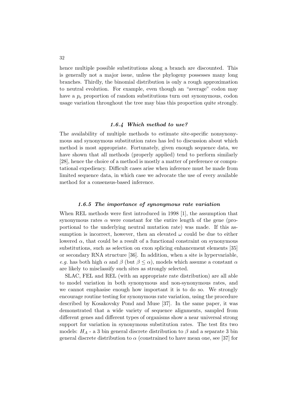hence multiple possible substitutions along a branch are discounted. This is generally not a major issue, unless the phylogeny possesses many long branches. Thirdly, the binomial distribution is only a rough approximation to neutral evolution. For example, even though an "average" codon may have a  $p_e$  proportion of random substitutions turn out synonymous, codon usage variation throughout the tree may bias this proportion quite strongly.

# 1.6.4 Which method to use?

The availability of multiple methods to estimate site-specific nonsynonymous and synonymous substitution rates has led to discussion about which method is most appropriate. Fortunately, given enough sequence data, we have shown that all methods (properly applied) tend to perform similarly [28], hence the choice of a method is mostly a matter of preference or computational expediency. Difficult cases arise when inference must be made from limited sequence data, in which case we advocate the use of every available method for a consensus-based inference.

# 1.6.5 The importance of synonymous rate variation

When REL methods were first introduced in 1998 [1], the assumption that synonymous rates  $\alpha$  were constant for the entire length of the gene (proportional to the underlying neutral mutation rate) was made. If this assumption is incorrect, however, then an elevated  $\omega$  could be due to either lowered  $\alpha$ , that could be a result of a functional constraint on synonymous substitutions, such as selection on exon splicing enhancement elements [35] or secondary RNA structure [36]. In addition, when a site is hypervariable, e.g. has both high  $\alpha$  and  $\beta$  (but  $\beta \leq \alpha$ ), models which assume a constant  $\alpha$ are likely to misclassify such sites as strongly selected.

SLAC, FEL and REL (with an appropriate rate distribution) are all able to model variation in both synonymous and non-synonymous rates, and we cannot emphasise enough how important it is to do so. We strongly encourage routine testing for synonymous rate variation, using the procedure described by Kosakovsky Pond and Muse [37]. In the same paper, it was demonstrated that a wide variety of sequence alignments, sampled from different genes and different types of organisms show a near universal strong support for variation in synonymous substitution rates. The test fits two models:  $H_A$  - a 3 bin general discrete distribution to  $\beta$  and a separate 3 bin general discrete distribution to  $\alpha$  (constrained to have mean one, see [37] for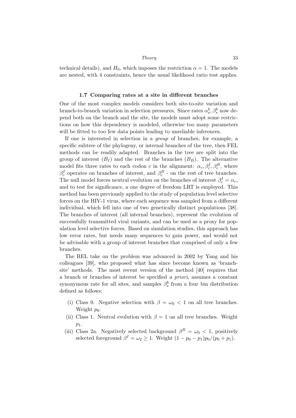technical details), and  $H_0$ , which imposes the restriction  $\alpha = 1$ . The models are nested, with 4 constraints, hence the usual likelihood ratio test applies.

# 1.7 Comparing rates at a site in different branches

One of the most complex models considers both site-to-site variation and branch-to-branch variation in selection pressures. Since rates  $\alpha_s^b, \beta_s^b$  now depend both on the branch and the site, the models must adopt some restrictions on how this dependency is modeled, otherwise too many parameters will be fitted to too few data points leading to unreliable inferences.

If one is interested in selection in a group of branches, for example, a specific subtree of the phylogeny, or internal branches of the tree, then FEL methods can be readily adapted. Branches in the tree are split into the group of interest  $(B_I)$  and the rest of the branches  $(B_B)$ . The alternative model fits three rates to each codon c in the alignment:  $\alpha_c, \beta_c^I, \beta_c^B$ , where  $\beta_c^I$  operates on branches of interest, and  $\beta_c^B$  - on the rest of tree branches. The null model forces neutral evolution on the branches of interest  $\beta_c^I = \alpha_c$ , and to test for significance, a one degree of freedom LRT is employed. This method has been previously applied to the study of population level selective forces on the HIV-1 virus, where each sequence was sampled from a different individual, which fell into one of two genetically distinct populations [38]. The branches of interest (all internal branches), represent the evolution of successfully transmitted viral variants, and can be used as a proxy for population level selective forces. Based on simulation studies, this approach has low error rates, but needs many sequences to gain power, and would not be advisable with a group of interest branches that comprised of only a few branches.

The REL take on the problem was advanced in 2002 by Yang and his colleagues [39], who proposed what has since become known as 'branchsite' methods. The most recent version of the method [40] requires that a branch or branches of interest be specified a priori, assumes a constant synonymous rate for all sites, and samples  $\beta_s^b$  from a four bin distribution defined as follows:

- (i) Class 0. Negative selection with  $\beta = \omega_0 < 1$  on all tree branches. Weight  $p_0$ .
- (ii) Class 1. Neutral evolution with  $\beta = 1$  on all tree branches. Weight  $p_1$ .
- (iii) Class 2a. Negatively selected background  $\beta^B = \omega_0 < 1$ , positively selected foreground  $\beta^I = \omega_2 \ge 1$ . Weight  $(1 - p_0 - p_1)p_0/(p_0 + p_1)$ .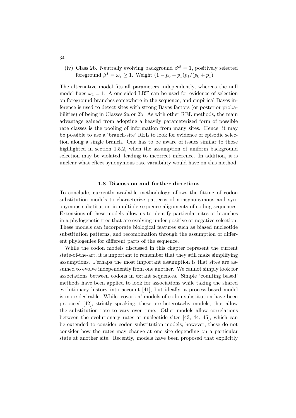(iv) Class 2b. Neutrally evolving background  $\beta^B = 1$ , positively selected foreground  $\beta^I = \omega_2 \ge 1$ . Weight  $(1 - p_0 - p_1)p_1/(p_0 + p_1)$ .

The alternative model fits all parameters independently, whereas the null model fixes  $\omega_2 = 1$ . A one sided LRT can be used for evidence of selection on foreground branches somewhere in the sequence, and empirical Bayes inference is used to detect sites with strong Bayes factors (or posterior probabilities) of being in Classes 2a or 2b. As with other REL methods, the main advantage gained from adopting a heavily parameterized form of possible rate classes is the pooling of information from many sites. Hence, it may be possible to use a 'branch-site' REL to look for evidence of episodic selection along a single branch. One has to be aware of issues similar to those highlighted in section 1.5.2, when the assumption of uniform background selection may be violated, leading to incorrect inference. In addition, it is unclear what effect synonymous rate variability would have on this method.

#### 1.8 Discussion and further directions

To conclude, currently available methodology allows the fitting of codon substitution models to characterize patterns of nonsynonymous and synonymous substitution in multiple sequence alignments of coding sequences. Extensions of these models allow us to identify particular sites or branches in a phylogenetic tree that are evolving under positive or negative selection. These models can incorporate biological features such as biased nucleotide substitution patterns, and recombination through the assumption of different phylogenies for different parts of the sequence.

While the codon models discussed in this chapter represent the current state-of-the-art, it is important to remember that they still make simplifying assumptions. Perhaps the most important assumption is that sites are assumed to evolve independently from one another. We cannot simply look for associations between codons in extant sequences. Simple 'counting based' methods have been applied to look for associations while taking the shared evolutionary history into account [41], but ideally, a process-based model is more desirable. While 'covarion' models of codon substitution have been proposed [42], strictly speaking, these are heterotachy models, that allow the substitution rate to vary over time. Other models allow correlations between the evolutionary rates at nucleotide sites [43, 44, 45], which can be extended to consider codon substitution models; however, these do not consider how the rates may change at one site depending on a particular state at another site. Recently, models have been proposed that explicitly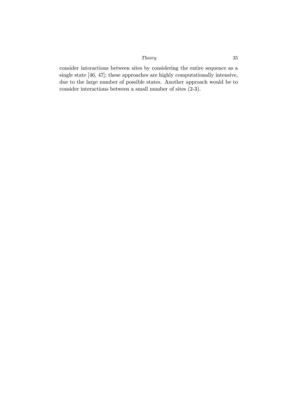# Theory 35

consider interactions between sites by considering the entire sequence as a single state [46, 47]; these approaches are highly computationally intensive, due to the large number of possible states. Another approach would be to consider interactions between a small number of sites (2-3).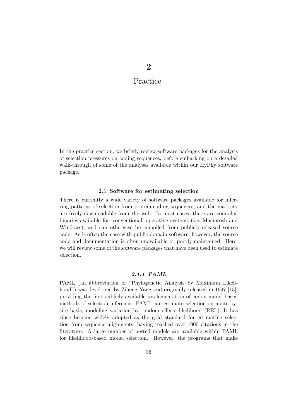In the practice section, we briefly review software packages for the analysis of selection pressures on coding sequences, before embarking on a detailed walk-through of some of the analyses available within our HyPhy software package.

### 2.1 Software for estimating selection

There is currently a wide variety of software packages available for inferring patterns of selection from protein-coding sequences, and the majority are freely-downloadable from the web. In most cases, there are compiled binaries available for 'conventional' operating systems (i.e. Macintosh and Windows), and can otherwise be compiled from publicly-released source code. As is often the case with public-domain software, however, the source code and documentation is often unavailable or poorly-maintained. Here, we will review some of the software packages that have been used to estimate selection.

# 2.1.1 PAML

PAML (an abbreviation of "Phylogenetic Analysis by Maximum Likelihood") was developed by Ziheng Yang and originally released in 1997 [13], providing the first publicly-available implementation of codon model-based methods of selection inference. PAML can estimate selection on a site-bysite basis, modeling variation by random effects likelihood (REL). It has since become widely adopted as the gold standard for estimating selection from sequence alignments, having reached over 1000 citations in the literature. A large number of nested models are available within PAML for likelihood-based model selection. However, the programs that make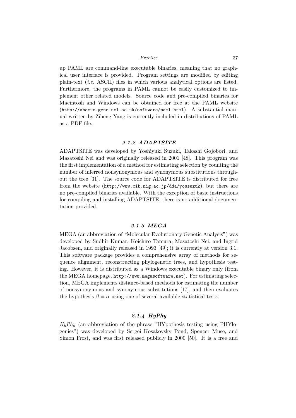up PAML are command-line executable binaries, meaning that no graphical user interface is provided. Program settings are modified by editing plain-text (i.e. ASCII) files in which various analytical options are listed. Furthermore, the programs in PAML cannot be easily customized to implement other related models. Source code and pre-compiled binaries for Macintosh and Windows can be obtained for free at the PAML website (http://abacus.gene.ucl.ac.uk/software/paml.html). A substantial manual written by Ziheng Yang is currently included in distributions of PAML as a PDF file.

### 2.1.2 ADAPTSITE

ADAPTSITE was developed by Yoshiyuki Suzuki, Takashi Gojobori, and Masatoshi Nei and was originally released in 2001 [48]. This program was the first implementation of a method for estimating selection by counting the number of inferred nonsynonymous and synonymous substitutions throughout the tree [31]. The source code for ADAPTSITE is distributed for free from the website (http://www.cib.nig.ac.jp/dda/yossuzuk), but there are no pre-compiled binaries available. With the exception of basic instructions for compiling and installing ADAPTSITE, there is no additional documentation provided.

# 2.1.3 MEGA

MEGA (an abbreviation of "Molecular Evolutionary Genetic Analysis") was developed by Sudhir Kumar, Koichiro Tamura, Masatoshi Nei, and Ingrid Jacobsen, and originally released in 1993 [49]; it is currently at version 3.1. This software package provides a comprehensive array of methods for sequence alignment, reconstructing phylogenetic trees, and hypothesis testing. However, it is distributed as a Windows executable binary only (from the MEGA homepage, http://www.megasoftware.net). For estimating selection, MEGA implements distance-based methods for estimating the number of nonsynonymous and synonymous substitutions [17], and then evaluates the hypothesis  $\beta = \alpha$  using one of several available statistical tests.

# 2.1.4 HyPhy

 $HyPhy$  (an abbreviation of the phrase "HYpothesis testing using PHYlogenies") was developed by Sergei Kosakovsky Pond, Spencer Muse, and Simon Frost, and was first released publicly in 2000 [50]. It is a free and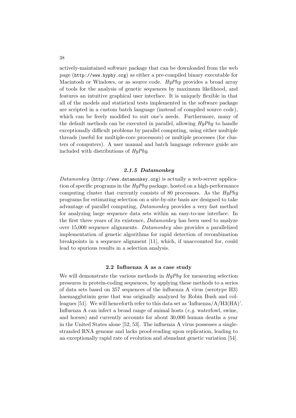actively-maintained software package that can be downloaded from the web page (http://www.hyphy.org) as either a pre-compiled binary executable for Macintosh or Windows, or as source code.  $HyPhy$  provides a broad array of tools for the analysis of genetic sequences by maximum likelihood, and features an intuitive graphical user interface. It is uniquely flexible in that all of the models and statistical tests implemented in the software package are scripted in a custom batch language (instead of compiled source code), which can be freely modified to suit one's needs. Furthermore, many of the default methods can be executed in parallel, allowing  $HyPhy$  to handle exceptionally difficult problems by parallel computing, using either multiple threads (useful for multiple-core processors) or multiple processes (for clusters of computers). A user manual and batch language reference guide are included with distributions of HyPhy.

#### 2.1.5 Datamonkey

 $Data monkey$  (http://www.datamonkey.org) is actually a web-server application of specific programs in the  $HyPhy$  package, hosted on a high-performance computing cluster that currently consists of 80 processors. As the HyPhy programs for estimating selection on a site-by-site basis are designed to take advantage of parallel computing, Datamonkey provides a very fast method for analyzing large sequence data sets within an easy-to-use interface. In the first three years of its existence, Datamonkey has been used to analyze over 15,000 sequence alignments. Datamonkey also provides a parallelized implementation of genetic algorithms for rapid detection of recombination breakpoints in a sequence alignment [11], which, if unaccounted for, could lead to spurious results in a selection analysis.

#### 2.2 Influenza A as a case study

We will demonstrate the various methods in  $HyPhy$  for measuring selection pressures in protein-coding sequences, by applying these methods to a series of data sets based on 357 sequences of the influenza A virus (serotype H3) haemagglutinin gene that was originally analyzed by Robin Bush and colleagues [51]. We will henceforth refer to this data set as 'Influenza/A/H3(HA)'. Influenza A can infect a broad range of animal hosts  $(e, q)$  waterfowl, swine, and horses) and currently accounts for about 30,000 human deaths a year in the United States alone [52, 53]. The influenza A virus possesses a singlestranded RNA genome and lacks proof-reading upon replication, leading to an exceptionally rapid rate of evolution and abundant genetic variation [54].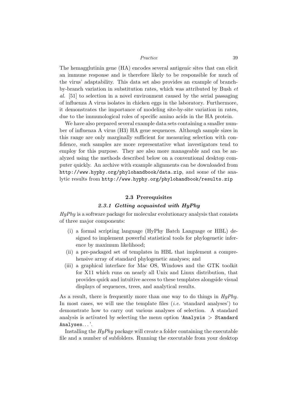The hemagglutinin gene (HA) encodes several antigenic sites that can elicit an immune response and is therefore likely to be responsible for much of the virus' adaptability. This data set also provides an example of branchby-branch variation in substitution rates, which was attributed by Bush et al. [51] to selection in a novel environment caused by the serial passaging of influenza A virus isolates in chicken eggs in the laboratory. Furthermore, it demonstrates the importance of modeling site-by-site variation in rates, due to the immunological roles of specific amino acids in the HA protein.

We have also prepared several example data sets containing a smaller number of influenza A virus (H3) HA gene sequences. Although sample sizes in this range are only marginally sufficient for measuring selection with confidence, such samples are more representative what investigators tend to employ for this purpose. They are also more manageable and can be analyzed using the methods described below on a conventional desktop computer quickly. An archive with example alignments can be downloaded from http://www.hyphy.org/phylohandbook/data.zip, and some of the analytic results from http://www.hyphy.org/phylohandbook/results.zip

# 2.3 Prerequisites

# 2.3.1 Getting acquainted with HyPhy

 $HyPhy$  is a software package for molecular evolutionary analysis that consists of three major components:

- (i) a formal scripting language (HyPhy Batch Language or HBL) designed to implement powerful statistical tools for phylogenetic inference by maximum likelihood;
- (ii) a pre-packaged set of templates in HBL that implement a comprehensive array of standard phylogenetic analyses; and
- (iii) a graphical interface for Mac OS, Windows and the GTK toolkit for X11 which runs on nearly all Unix and Linux distribution, that provides quick and intuitive access to these templates alongside visual displays of sequences, trees, and analytical results.

As a result, there is frequently more than one way to do things in  $HyPhy$ . In most cases, we will use the template files *(i.e.* 'standard analyses') to demonstrate how to carry out various analyses of selection. A standard analysis is activated by selecting the menu option 'Analysis > Standard Analyses. . . '.

Installing the  $HyPhy$  package will create a folder containing the executable file and a number of subfolders. Running the executable from your desktop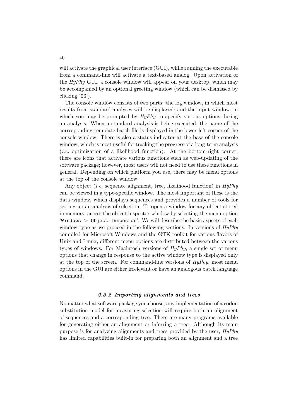will activate the graphical user interface (GUI), while running the executable from a command-line will activate a text-based analog. Upon activation of the  $HyPhy$  GUI, a console window will appear on your desktop, which may be accompanied by an optional greeting window (which can be dismissed by clicking 'OK').

The console window consists of two parts: the log window, in which most results from standard analyses will be displayed; and the input window, in which you may be prompted by  $HyPhy$  to specify various options during an analysis. When a standard analysis is being executed, the name of the corresponding template batch file is displayed in the lower-left corner of the console window. There is also a status indicator at the base of the console window, which is most useful for tracking the progress of a long-term analysis (*i.e.* optimization of a likelihood function). At the bottom-right corner, there are icons that activate various functions such as web-updating of the software package; however, most users will not need to use these functions in general. Depending on which platform you use, there may be menu options at the top of the console window.

Any object *(i.e.* sequence alignment, tree, likelihood function) in  $HyPhy$ can be viewed in a type-specific window. The most important of these is the data window, which displays sequences and provides a number of tools for setting up an analysis of selection. To open a window for any object stored in memory, access the object inspector window by selecting the menu option 'Windows  $> 0$ bject Inspector'. We will describe the basic aspects of each window type as we proceed in the following sections. In versions of  $HyPhy$ compiled for Microsoft Windows and the GTK toolkit for various flavors of Unix and Linux, different menu options are distributed between the various types of windows. For Macintosh versions of HyPhy, a single set of menu options that change in response to the active window type is displayed only at the top of the screen. For command-line versions of  $HyPhy$ , most menu options in the GUI are either irrelevant or have an analogous batch language command.

### 2.3.2 Importing alignments and trees

No matter what software package you choose, any implementation of a codon substitution model for measuring selection will require both an alignment of sequences and a corresponding tree. There are many programs available for generating either an alignment or inferring a tree. Although its main purpose is for analyzing alignments and trees provided by the user,  $HyPhy$ has limited capabilities built-in for preparing both an alignment and a tree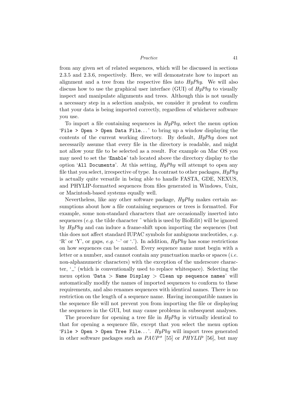from any given set of related sequences, which will be discussed in sections 2.3.5 and 2.3.6, respectively. Here, we will demonstrate how to import an alignment and a tree from the respective files into  $HyPhy$ . We will also discuss how to use the graphical user interface (GUI) of  $HyPhy$  to visually inspect and manipulate alignments and trees. Although this is not usually a necessary step in a selection analysis, we consider it prudent to confirm that your data is being imported correctly, regardless of whichever software you use.

To import a file containing sequences in  $HyPhy$ , select the menu option 'File > Open > Open Data File. . . ' to bring up a window displaying the contents of the current working directory. By default, HyPhy does not necessarily assume that every file in the directory is readable, and might not allow your file to be selected as a result. For example on Mac OS you may need to set the 'Enable' tab located above the directory display to the option 'All Documents'. At this setting,  $HyPhy$  will attempt to open any file that you select, irrespective of type. In contrast to other packages,  $H\nu Ph\nu$ is actually quite versatile in being able to handle FASTA, GDE, NEXUS, and PHYLIP-formatted sequences from files generated in Windows, Unix, or Macintosh-based systems equally well.

Nevertheless, like any other software package, HyPhy makes certain assumptions about how a file containing sequences or trees is formatted. For example, some non-standard characters that are occasionally inserted into sequences (e.g. the tilde character  $\tilde{\ }$  which is used by BioEdit) will be ignored by HyPhy and can induce a frame-shift upon importing the sequences (but this does not affect standard IUPAC symbols for ambiguous nucleotides, e.g. 'R' or 'Y', or gaps, e.g. '-' or '.'). In addition,  $HyPhy$  has some restrictions on how sequences can be named. Every sequence name must begin with a letter or a number, and cannot contain any punctuation marks or spaces (*i.e.* non-alphanumeric characters) with the exception of the underscore character,  $\frac{1}{2}$  (which is conventionally used to replace whitespace). Selecting the menu option 'Data > Name Display > Clean up sequence names' will automatically modify the names of imported sequences to conform to these requirements, and also renames sequences with identical names. There is no restriction on the length of a sequence name. Having incompatible names in the sequence file will not prevent you from importing the file or displaying the sequences in the GUI, but may cause problems in subsequent analyses.

The procedure for opening a tree file in  $HyPhy$  is virtually identical to that for opening a sequence file, except that you select the menu option 'File > Open > Open Tree File...'.  $HyPhy$  will import trees generated in other software packages such as  $PAUP^*$  [55] or  $PHYLIP$  [56], but may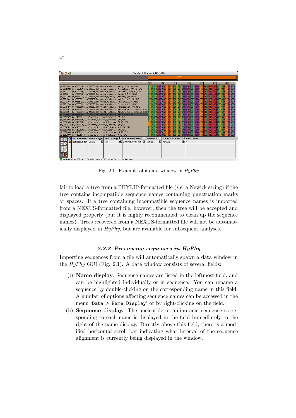

Fig. 2.1. Example of a data window in  $HyPhy$ 

fail to load a tree from a PHYLIP-formatted file  $(i.e.$  a Newick string) if the tree contains incompatible sequence names containing punctuation marks or spaces. If a tree containing incompatible sequence names is imported from a NEXUS-formatted file, however, then the tree will be accepted and displayed properly (but it is highly recommended to clean up the sequence names). Trees recovered from a NEXUS-formatted file will not be automatically displayed in HyPhy, but are available for subsequent analyses.

# 2.3.3 Previewing sequences in HyPhy

Importing sequences from a file will automatically spawn a data window in the  $HyPhy$  GUI (Fig. 2.1). A data window consists of several fields:

- (i) Name display. Sequence names are listed in the leftmost field, and can be highlighted individually or in sequence. You can rename a sequence by double-clicking on the corresponding name in this field. A number of options affecting sequence names can be accessed in the menu 'Data > Name Display' or by right-clicking on the field.
- (ii) Sequence display. The nucleotide or amino acid sequence corresponding to each name is displayed in the field immediately to the right of the name display. Directly above this field, there is a modified horizontal scroll bar indicating what interval of the sequence alignment is currently being displayed in the window.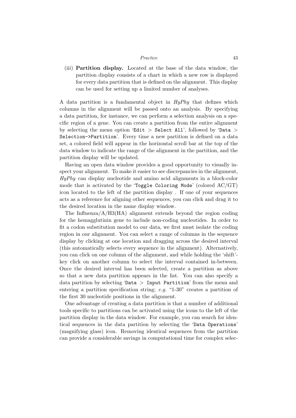(iii) Partition display. Located at the base of the data window, the partition display consists of a chart in which a new row is displayed for every data partition that is defined on the alignment. This display can be used for setting up a limited number of analyses.

A data partition is a fundamental object in  $HyPhy$  that defines which columns in the alignment will be passed onto an analysis. By specifying a data partition, for instance, we can perform a selection analysis on a specific region of a gene. You can create a partition from the entire alignment by selecting the menu option 'Edit  $>$  Select All', followed by 'Data  $>$ Selection->Partition'. Every time a new partition is defined on a data set, a colored field will appear in the horizontal scroll bar at the top of the data window to indicate the range of the alignment in the partition, and the partition display will be updated.

Having an open data window provides a good opportunity to visually inspect your alignment. To make it easier to see discrepancies in the alignment, HyPhy can display nucleotide and amino acid alignments in a block-color mode that is activated by the 'Toggle Coloring Mode' (colored AC/GT) icon located to the left of the partition display . If one of your sequences acts as a reference for aligning other sequences, you can click and drag it to the desired location in the name display window.

The Influenza/ $A/H3(HA)$  alignment extends beyond the region coding for the hemagglutinin gene to include non-coding nucleotides. In order to fit a codon substitution model to our data, we first must isolate the coding region in our alignment. You can select a range of columns in the sequence display by clicking at one location and dragging across the desired interval (this automatically selects every sequence in the alignment). Alternatively, you can click on one column of the alignment, and while holding the 'shift' key click on another column to select the interval contained in-between. Once the desired interval has been selected, create a partition as above so that a new data partition appears in the list. You can also specify a data partition by selecting 'Data  $>$  Input Partition' from the menu and entering a partition specification string; e.g. "1-30" creates a partition of the first 30 nucleotide positions in the alignment.

One advantage of creating a data partition is that a number of additional tools specific to partitions can be activated using the icons to the left of the partition display in the data window. For example, you can search for identical sequences in the data partition by selecting the 'Data Operations' (magnifying glass) icon. Removing identical sequences from the partition can provide a considerable savings in computational time for complex selec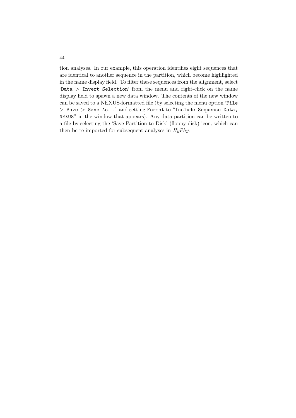tion analyses. In our example, this operation identifies eight sequences that are identical to another sequence in the partition, which become highlighted in the name display field. To filter these sequences from the alignment, select 'Data > Invert Selection' from the menu and right-click on the name display field to spawn a new data window. The contents of the new window can be saved to a NEXUS-formatted file (by selecting the menu option 'File  $>$  Save  $>$  Save As...' and setting Format to "Include Sequence Data, NEXUS" in the window that appears). Any data partition can be written to a file by selecting the 'Save Partition to Disk' (floppy disk) icon, which can then be re-imported for subsequent analyses in  $HyPhy$ .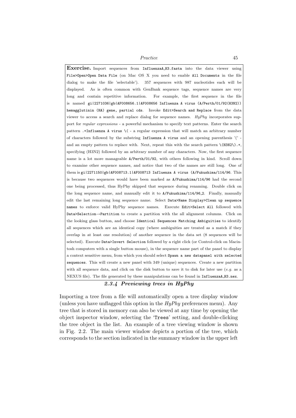Exercise. Import sequences from InfluenzaA H3.fasta into the data viewer using File>Open>Open Data File (on Mac OS X you need to enable All Documents in the file dialog to make the file 'selectable'). 357 sequences with 987 nucleotides each will be displayed. As is often common with GenBank sequence tags, sequence names are very long and contain repetitive information. For example, the first sequence in the file is named gi|2271036|gb|AF008656.1|AF008656 Influenza A virus (A/Perth/01/92(H3N2)) hemagglutinin (HA) gene, partial cds. Invoke Edit>Search and Replace from the data viewer to access a search and replace dialog for sequence names.  $HyPhy$  incorporates support for regular expressions - a powerful mechanism to specify text patterns. Enter the search pattern .+Influenza A virus \( - a regular expression that will match an arbitrary number of characters followed by the substring Influenza A virus and an opening parenthesis '(' and an empty pattern to replace with. Next, repeat this with the search pattern  $\(H3N2\)$ .+, specifying (H3N2) followed by an arbitrary number of any characters. Now, the first sequence name is a lot more manageable A/Perth/01/92, with others following in kind. Scroll down to examine other sequence names, and notice that two of the names are still long. One of them is gi|2271150|gb|AF008713.1|AF008713 Influenza A virus (A/Fukushima/114/96. This is because two sequences would have been marked as A/Fukushima/114/96 had the second one being processed, thus HyPhy skipped that sequence during renaming. Double click on the long sequence name, and manually edit it to A/Fukushima/114/96-2. Finally, manually edit the last remaining long sequence name. Select Data>Name Display>Clean up sequence names to enforce valid HyPhy sequence names. Execute Edit>Select All followed with Data>Selection→Partition to create a partition with the all alignment columns. Click on the looking glass button, and choose Identical Sequences Matching Ambiguities to identify all sequences which are an identical copy (where ambiguities are treated as a match if they overlap in at least one resolution) of another sequence in the data set (8 sequences will be selected). Execute Data>Invert Selection followed by a right click (or Control-click on Macintosh computers with a single button mouse), in the sequence name part of the panel to display a context sensitive menu, from which you should select Spawn a new datapanel with selected sequences. This will create a new panel with 349 (unique) sequences. Create a new partition with all sequence data, and click on the disk button to save it to disk for later use  $(e,q)$  as a NEXUS file). The file generated by these manipulations can be found in InfluenzaA H3.nex.

### 2.3.4 Previewing trees in HyPhy

Importing a tree from a file will automatically open a tree display window (unless you have unflagged this option in the  $H\nu Ph\nu$  preferences menu). Any tree that is stored in memory can also be viewed at any time by opening the object inspector window, selecting the 'Trees' setting, and double-clicking the tree object in the list. An example of a tree viewing window is shown in Fig. 2.2. The main viewer window depicts a portion of the tree, which corresponds to the section indicated in the summary window in the upper left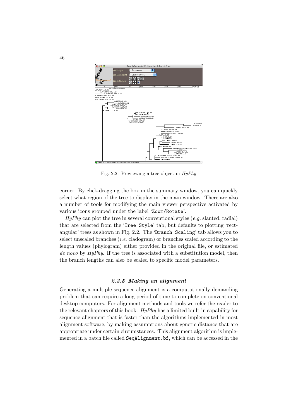

Fig. 2.2. Previewing a tree object in  $HyPhy$ 

corner. By click-dragging the box in the summary window, you can quickly select what region of the tree to display in the main window. There are also a number of tools for modifying the main viewer perspective activated by various icons grouped under the label 'Zoom/Rotate'.

 $HyPhy$  can plot the tree in several conventional styles (e.g. slanted, radial) that are selected from the 'Tree Style' tab, but defaults to plotting 'rectangular' trees as shown in Fig. 2.2. The 'Branch Scaling' tab allows you to select unscaled branches (i.e. cladogram) or branches scaled according to the length values (phylogram) either provided in the original file, or estimated de novo by  $HyPhy$ . If the tree is associated with a substitution model, then the branch lengths can also be scaled to specific model parameters.

### 2.3.5 Making an alignment

Generating a multiple sequence alignment is a computationally-demanding problem that can require a long period of time to complete on conventional desktop computers. For alignment methods and tools we refer the reader to the relevant chapters of this book.  $HyPhy$  has a limited built-in capability for sequence alignment that is faster than the algorithms implemented in most alignment software, by making assumptions about genetic distance that are appropriate under certain circumstances. This alignment algorithm is implemented in a batch file called SeqAlignment.bf, which can be accessed in the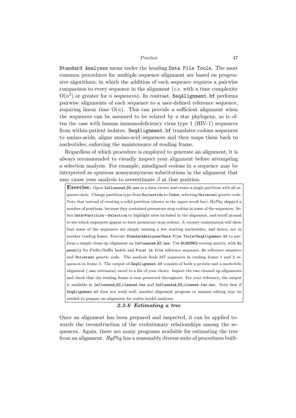Standard Analyses menu under the heading Data File Tools. The most common procedures for multiple sequence alignment are based on progressive algorithms, in which the addition of each sequence requires a pairwise comparison to every sequence in the alignment *(i.e.* with a time complexity  $O(n^2)$  or greater for n sequences). In contrast, SeqAlignment.bf performs pairwise alignments of each sequence to a user-defined reference sequence, requiring linear time  $O(n)$ . This can provide a sufficient alignment when the sequences can be assumed to be related by a star phylogeny, as is often the case with human immunodeficiency virus type 1 (HIV-1) sequences from within-patient isolates. SeqAlignment.bf translates codons sequences to amino-acids, aligns amino-acid sequences and then maps them back to nucleotides, enforcing the maintenance of reading frame.

Regardless of which procedure is employed to generate an alignment, it is always recommended to visually inspect your alignment before attempting a selection analysis. For example, misaligned codons in a sequence may be interpreted as spurious nonsynonymous substitutions in the alignment that may cause your analysis to overestimate  $\beta$  at that position.

Exercise. Open InfluenzaA H3.nex in a data viewer and create a single partition with all sequence data. Change partition type from Nucleotide to Codon, selecting Universal genetic code. Note that instead of creating a solid partition (shown in the upper scroll bar), HyPhy skipped a number of positions, because they contained premature stop codons in some of the sequences. Select Data>Partition→Selection to highlight sites included in the alignment, and scroll around to see which sequences appear to have premature stop codons. A cursory examination will show that some of the sequences are simply missing a few starting nucleotides, and hence, are in another reading frame. Execute StandardAnalyses>Data File Tools>SeqAlignment.bf to perform a simple clean-up alignment on InfluenzaA H3.nex. Use BLOSUM62 scoring matrix, with No penatly for Prefix/Suffix Indels and First in file reference sequence, No reference sequence and Universal genetic code. The analysis finds 347 sequences in reading frame 1 and 2 sequences in frame 3. The output of SeqAlignment.bf consists of both a protein and a nucleotide alignment (.nuc extension) saved to a file of your choice. Import the two cleaned up alignments and check that the reading frame is now preserved throughout. For your reference, the output is available in InfluenzaA H3 cleaned.fas and InfluenzaA H3 cleaned.fas.nuc. Note that if SeqAlignment.bf does not work well, another alignment program or manual editing may be needed to prepare an alignment for codon model analyses.

#### 2.3.6 Estimating a tree

Once an alignment has been prepared and inspected, it can be applied towards the reconstruction of the evolutionary relationships among the sequences. Again, there are many programs available for estimating the tree from an alignment. HyPhy has a reasonably diverse suite of procedures built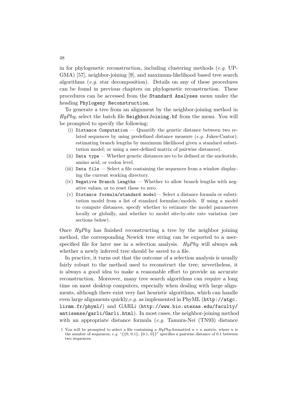in for phylogenetic reconstruction, including clustering methods (e.g.  $UP$ -GMA) [57], neighbor-joining [9], and maximum-likelihood based tree search algorithms (e.g. star decomposition). Details on any of these procedures can be found in previous chapters on phylogenetic reconstruction. These procedures can be accessed from the Standard Analyses menu under the heading Phylogeny Reconstruction.

To generate a tree from an alignment by the neighbor-joining method in  $HyPhy$ , select the batch file NeighborJoining.bf from the menu. You will be prompted to specify the following:

- (i) Distance Computation  $-$  Quantify the genetic distance between two related sequences by using predefined distance measure  $(e, q)$ . Jukes-Cantor); estimating branch lengths by maximum likelihood given a standard substitution model; or using a user-defined matrix of pairwise distances†.
- (ii) Data type Whether genetic distances are to be defined at the nucleotide, amino acid, or codon level.
- (iii)  $Data file Select a file containing the sequences from a window display$ ing the current working directory.
- (iv) Negative Branch Lengths Whether to allow branch lengths with negative values, or to reset these to zero.
- (v) Distance formula/standard model— Select a distance formula or substitution model from a list of standard formulae/models. If using a model to compute distances, specify whether to estimate the model parameters locally or globally, and whether to model site-by-site rate variation (see sections below).

Once  $HyPhy$  has finished reconstructing a tree by the neighbor joining method, the corresponding Newick tree string can be exported to a userspecified file for later use in a selection analysis.  $HyPhy$  will always ask whether a newly inferred tree should be saved to a file.

In practice, it turns out that the outcome of a selection analysis is usually fairly robust to the method used to reconstruct the tree; nevertheless, it is always a good idea to make a reasonable effort to provide an accurate reconstruction. Moreover, many tree search algorithms can require a long time on most desktop computers, especially when dealing with large alignments, although there exist very fast heuristic algorithms, which can handle even large alignments quickly,  $e.g.$  as implemented in PhyML (http://atgc. lirmm.fr/phyml/) and GARLi (http://www.bio.utexas.edu/faculty/ antisense/garli/Garli.html). In most cases, the neighbor-joining method with an appropriate distance formula *(e.g.* Tamura-Nei *(TN93)* distance

<sup>&</sup>lt;sup>†</sup> You will be prompted to select a file containing a  $HuPhu$ -formatted  $n \times n$  matrix, where n is the number of sequences; e.g. " $\{\{0, 0.1\}, \{0.1, 0\}\}$ " specifies a pairwise distance of 0.1 between two sequences.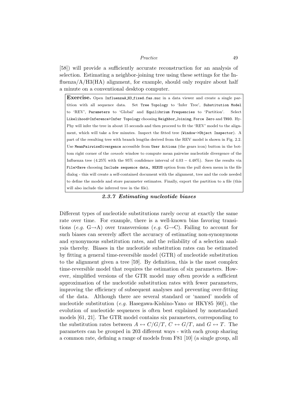[58]) will provide a sufficiently accurate reconstruction for an analysis of selection. Estimating a neighbor-joining tree using these settings for the Influenza/A/H3(HA) alignment, for example, should only require about half a minute on a conventional desktop computer.

Exercise. Open InfluenzaA H3 fixed.fas.nuc in a data viewer and create a single partition with all sequence data. Set Tree Topology to 'Infer Tree', Substitution Model to 'REV', Parameters to 'Global' and Equilibrium Frequencies to 'Partition'. Select Likelihood>Inference>Infer Topology choosing Neighbor Joining, Force Zero and TN93. Hy-Phy will infer the tree in about 15 seconds and then proceed to fit the 'REV' model to the alignment, which will take a few minutes. Inspect the fitted tree (Window->Object Inspector). A part of the resulting tree with branch lengths derived from the REV model is shown in Fig. 2.2. Use MeanPairwiseDivergence accessible from User Actions (the gears icon) button in the bottom right corner of the console window to compute mean pairwise nucleotide divergence of the Influenza tree (4.25% with the 95% confidence interval of 4.03 − 4.48%). Save the results via File>Save choosing Include sequence data, NEXUS option from the pull down menu in the file dialog - this will create a self-contained document with the alignment, tree and the code needed to define the models and store parameter estimates. Finally, export the partition to a file (this will also include the inferred tree in the file).

### 2.3.7 Estimating nucleotide biases

Different types of nucleotide substitutions rarely occur at exactly the same rate over time. For example, there is a well-known bias favoring transitions (e.g. G→A) over transversions (e.g. G→C). Failing to account for such biases can severely affect the accuracy of estimating non-synonymous and synonymous substitution rates, and the reliability of a selection analysis thereby. Biases in the nucleotide substitution rates can be estimated by fitting a general time-reversible model (GTR) of nucleotide substitution to the alignment given a tree [59]. By definition, this is the most complex time-reversible model that requires the estimation of six parameters. However, simplified versions of the GTR model may often provide a sufficient approximation of the nucleotide substitution rates with fewer parameters, improving the efficiency of subsequent analyses and preventing over-fitting of the data. Although there are several standard or 'named' models of nucleotide substitution (e.g. Hasegawa-Kishino-Yano or HKY85 [60]), the evolution of nucleotide sequences is often best explained by nonstandard models [61, 21]. The GTR model contains six parameters, corresponding to the substitution rates between  $A \leftrightarrow C/G/T$ ,  $C \leftrightarrow G/T$ , and  $G \leftrightarrow T$ . The parameters can be grouped in 203 different ways - with each group sharing a common rate, defining a range of models from F81 [10] (a single group, all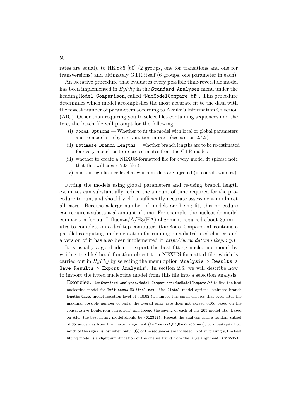rates are equal), to HKY85 [60] (2 groups, one for transitions and one for transversions) and ultimately GTR itself (6 groups, one parameter in each).

An iterative procedure that evaluates every possible time-reversible model has been implemented in  $HyPhy$  in the Standard Analyses menu under the heading Model Comparison, called "NucModelCompare.bf". This procedure determines which model accomplishes the most accurate fit to the data with the fewest number of parameters according to Akaike's Information Criterion (AIC). Other than requiring you to select files containing sequences and the tree, the batch file will prompt for the following:

- (i) Model Options Whether to fit the model with local or global parameters and to model site-by-site variation in rates (see section 2.4.2)
- (ii) Estimate Branch Lengths whether branch lengths are to be re-estimated for every model, or to re-use estimates from the GTR model;
- (iii) whether to create a NEXUS-formatted file for every model fit (please note that this will create 203 files);
- (iv) and the significance level at which models are rejected (in console window).

Fitting the models using global parameters and re-using branch length estimates can substantially reduce the amount of time required for the procedure to run, and should yield a sufficiently accurate assessment in almost all cases. Because a large number of models are being fit, this procedure can require a substantial amount of time. For example, the nucleotide model comparison for our Influenza/ $A/H3(HA)$  alignment required about 35 minutes to complete on a desktop computer. (NucModelCompare.bf contains a parallel-computing implementation for running on a distributed cluster, and a version of it has also been implemented in http://www.datamonkey.org.)

It is usually a good idea to export the best fitting nucleotide model by writing the likelihood function object to a NEXUS-formatted file, which is carried out in  $HyPhy$  by selecting the menu option 'Analysis > Results > Save Results > Export Analysis'. In section 2.6, we will describe how to import the fitted nucleotide model from this file into a selection analysis.

Exercise. Use Standard Analyses>Model Comparison>NucModelCompare.bf to find the best nucleotide model for InfluenzaA\_H3\_final.nex. Use Global model options, estimate branch lengths Once, model rejection level of 0.0002 (a number this small ensures that even after the maximal possible number of tests, the overall error rate does not exceed 0.05, based on the conservative Bonferroni correction) and forego the saving of each of the 203 model fits. Based on AIC, the best fitting model should be (012312). Repeat the analysis with a random subset of 35 sequences from the master alignment (InfluenzaA H3 Random35.nex), to investigate how much of the signal is lost when only 10% of the sequences are included. Not surprisingly, the best fitting model is a slight simplification of the one we found from the large alignment: (012212).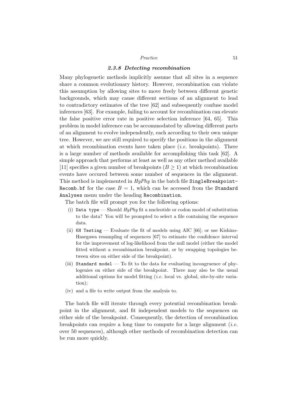### 2.3.8 Detecting recombination

Many phylogenetic methods implicitly assume that all sites in a sequence share a common evolutionary history. However, recombination can violate this assumption by allowing sites to move freely between different genetic backgrounds, which may cause different sections of an alignment to lead to contradictory estimates of the tree [62] and subsequently confuse model inferences [63]. For example, failing to account for recombination can elevate the false positive error rate in positive selection inference [64, 65]. This problem in model inference can be accommodated by allowing different parts of an alignment to evolve independently, each according to their own unique tree. However, we are still required to specify the positions in the alignment at which recombination events have taken place  $(i.e.$  breakpoints). There is a large number of methods available for accomplishing this task [62]. A simple approach that performs at least as well as any other method available [11] specifies a given number of breakpoints  $(B \ge 1)$  at which recombination events have occured between some number of sequences in the alignment. This method is implemented in  $HyPhy$  in the batch file SingleBreakpoint-Recomb. bf for the case  $B = 1$ , which can be accessed from the Standard Analyses menu under the heading Recombination.

The batch file will prompt you for the following options:

- (i) Data type Should  $HyPhy$  fit a nucleotide or codon model of substitution to the data? You will be prompted to select a file containing the sequence data.
- (ii) KH Testing Evaluate the fit of models using AIC  $[66]$ ; or use Kishino-Hasegawa resampling of sequences [67] to estimate the confidence interval for the improvement of log-likelihood from the null model (either the model fitted without a recombination breakpoint, or by swapping topologies between sites on either side of the breakpoint).
- (iii) Standard model  $-$  To fit to the data for evaluating incongruence of phylogenies on either side of the breakpoint. There may also be the usual additional options for model fitting  $(i.e.$  local vs. global, site-by-site variation);
- (iv) and a file to write output from the analysis to.

The batch file will iterate through every potential recombination breakpoint in the alignment, and fit independent models to the sequences on either side of the breakpoint. Consequently, the detection of recombination breakpoints can require a long time to compute for a large alignment (*i.e.* over 50 sequences), although other methods of recombination detection can be run more quickly.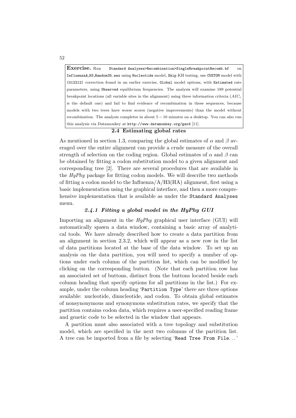Exercise. Run Standard Analyses>Recombination>SingleBreakpointRecomb.bf on InfluenzaA H3 Random35.nex using Nucleotide model, Skip KH testing, use CUSTOM model with (012212) correction found in an earlier exercise, Global model options, with Estimated rate parameters, using Observed equilibrium frequencies. The analysis will examine 189 potential breakpoint locations (all variable sites in the alignment) using three information criteria  $(AIC_c)$ is the default one) and fail to find evidence of recombination in these sequences, because models with two trees have worse scores (negative improvements) than the model without recombination. The analysis completes in about 5 − 10 minutes on a desktop. You can also run this analysis via Datamonkey at http://www.datamonkey.org/gard [11].

### 2.4 Estimating global rates

As mentioned in section 1.3, comparing the global estimates of  $\alpha$  and  $\beta$  averaged over the entire alignment can provide a crude measure of the overall strength of selection on the coding region. Global estimates of  $\alpha$  and  $\beta$  can be obtained by fitting a codon substitution model to a given alignment and corresponding tree [2]. There are several procedures that are available in the  $HyPhy$  package for fitting codon models. We will describe two methods of fitting a codon model to the Influenza/ $A/H3(HA)$  alignment, first using a basic implementation using the graphical interface, and then a more comprehensive implementation that is available as under the Standard Analyses menu.

# 2.4.1 Fitting a global model in the HyPhy GUI

Importing an alignment in the  $HyPhy$  graphical user interface (GUI) will automatically spawn a data window, containing a basic array of analytical tools. We have already described how to create a data partition from an alignment in section 2.3.2, which will appear as a new row in the list of data partitions located at the base of the data window. To set up an analysis on the data partition, you will need to specify a number of options under each column of the partition list, which can be modified by clicking on the corresponding button. (Note that each partition row has an associated set of buttons, distinct from the buttons located beside each column heading that specify options for all partitions in the list.) For example, under the column heading 'Partition Type' there are three options available: nucleotide, dinucleotide, and codon. To obtain global estimates of nonsynonymous and synonymous substitution rates, we specify that the partition contains codon data, which requires a user-specified reading frame and genetic code to be selected in the window that appears.

A partition must also associated with a tree topology and substitution model, which are specified in the next two columns of the partition list. A tree can be imported from a file by selecting 'Read Tree From File. . . '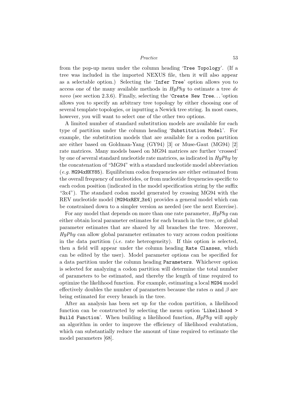from the pop-up menu under the column heading 'Tree Topology'. (If a tree was included in the imported NEXUS file, then it will also appear as a selectable option.) Selecting the 'Infer Tree' option allows you to access one of the many available methods in  $HyPhy$  to estimate a tree de novo (see section 2.3.6). Finally, selecting the 'Create New Tree...' option allows you to specify an arbitrary tree topology by either choosing one of several template topologies, or inputting a Newick tree string. In most cases, however, you will want to select one of the other two options.

A limited number of standard substitution models are available for each type of partition under the column heading 'Substitution Model'. For example, the substitution models that are available for a codon partition are either based on Goldman-Yang (GY94) [3] or Muse-Gaut (MG94) [2] rate matrices. Many models based on MG94 matrices are further 'crossed' by one of several standard nucleotide rate matrices, as indicated in  $HyPhy$  by the concatenation of "MG94" with a standard nucleotide model abbreviation  $(e.g., MG94xHKY85)$ . Equilibrium codon frequencies are either estimated from the overall frequency of nucleotides, or from nucleotide frequencies specific to each codon position (indicated in the model specification string by the suffix "3x4"). The standard codon model generated by crossing MG94 with the REV nucleotide model (MG94xREV 3x4) provides a general model which can be constrained down to a simpler version as needed (see the next Exercise).

For any model that depends on more than one rate parameter,  $HyPhy$  can either obtain local parameter estimates for each branch in the tree, or global parameter estimates that are shared by all branches the tree. Moreover,  $HyPhy$  can allow global parameter estimates to vary across codon positions in the data partition *(i.e.* rate heterogeneity). If this option is selected, then a field will appear under the column heading Rate Classes, which can be edited by the user). Model parameter options can be specified for a data partition under the column heading Parameters. Whichever option is selected for analyzing a codon partition will determine the total number of parameters to be estimated, and thereby the length of time required to optimize the likelihood function. For example, estimating a local MG94 model effectively doubles the number of parameters because the rates  $\alpha$  and  $\beta$  are being estimated for every branch in the tree.

After an analysis has been set up for the codon partition, a likelihood function can be constructed by selecting the menu option 'Likelihood > Build Function'. When building a likelihood function,  $HyPhy$  will apply an algorithm in order to improve the efficiency of likelihood evalutation, which can substantially reduce the amount of time required to estimate the model parameters [68].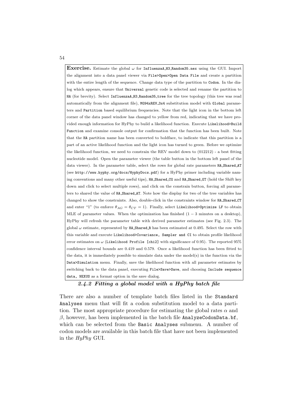**Exercise.** Estimate the global  $\omega$  for InfluenzaA H3 Random35.nex using the GUI. Import the alignment into a data panel viewer via File>Open>Open Data File and create a partition with the entire length of the sequence. Change data type of the partition to Codon. In the dialog which appears, ensure that Universal genetic code is selected and rename the partition to HA (for brevity). Select InfluenzaA H3 Random35 tree for the tree topology (this tree was read automatically from the alignment file), MG94xREV 3x4 substitution model with Global parameters and Partition based equilibrium frequencies. Note that the light icon in the bottom left corner of the data panel window has changed to yellow from red, indicating that we have provided enough information for HyPhy to build a likelihood function. Execute Likelihood>Build Function and examine console output for confirmation that the function has been built. Note that the HA partition name has been converted to boldface, to indicate that this partition is a part of an active likelihood function and the light icon has turned to green. Before we optimize the likelihood function, we need to constrain the REV model down to (012212) - a best fitting nucleotide model. Open the parameter viewer (the table button in the bottom left panel of the data viewer). In the parameter table, select the rows for global rate parameters HA Shared AT (see http://www.hyphy.org/docs/HyphyDocs.pdf) for a HyPhy primer including variable naming conventions and many other useful tips), HA Shared CG and HA Shared GT (hold the Shift key down and click to select multiple rows), and click on the constrain button, forcing all parameters to shared the value of HA Shared AT. Note how the display for two of the tree variables has changed to show the constraints. Also, double-click in the constraints window for HA Shared CT and enter "1" (to enforce  $\theta_{AG} = \theta_{CT} = 1$ ). Finally, select Likelihood>Optimize LF to obtain MLE of parameter values. When the optimization has finished  $(1 - 3$  minutes on a desktop), HyPhy will refresh the parameter table with derived parameter estimates (see Fig. 2.3). The global  $\omega$  estimate, represented by HA Shared R has been estimated at 0.495. Select the row with this variable and execute Likelihood>Covariance, Sampler and CI to obtain profile likelihood error estimates on  $\omega$  (Likelihood Profile [chi2] with significance of 0.95). The reported 95% confidence interval bounds are 0.419 and 0.579. Once a likelihood function has been fitted to the data, it is immediately possible to simulate data under the model(s) in the function via the Data>Simulation menu. Finally, save the likelihood function with all parameter estimates by switching back to the data panel, executing File>Save>Save, and choosing Include sequence data, NEXUS as a format option in the save dialog.

### 2.4.2 Fitting a global model with a HyPhy batch file

There are also a number of template batch files listed in the Standard Analyses menu that will fit a codon substitution model to a data partition. The most appropriate procedure for estimating the global rates  $\alpha$  and  $\beta$ , however, has been implemented in the batch file AnalyzeCodonData.bf, which can be selected from the Basic Analyses submenu. A number of codon models are available in this batch file that have not been implemented in the HyPhy GUI.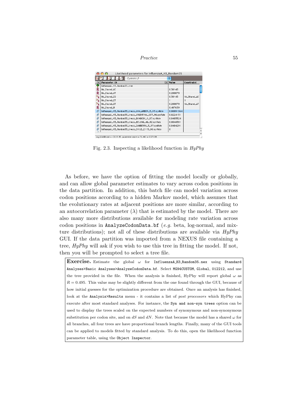|          | Current LF                                             |              |              |
|----------|--------------------------------------------------------|--------------|--------------|
| च        | Parameter ID<br>⊡∥                                     | <b>Yalue</b> | Constraint   |
|          | InfluenzaA_H3_Random35_tree                            |              |              |
| R        | HA_Shared_AC                                           | 0.30143      |              |
| R        | HA_Shared_AT                                           | 0.200079     |              |
| 气        | HA_Shared_CG                                           | 0.30143      | HA_Shared_AC |
| 喘        | HA_Shared_CT                                           |              |              |
| 喘        | HA_Shared_GT                                           | 0.200079     | HA_Shared_AT |
| R        | HA_Shared_R                                            | 0.487639     |              |
| $\theta$ | InfluenzaA_H3_Random35_tree.A_ANN_ARBOR_3_93.synRate   | 0.00891064   |              |
| Ĥ        | InfluenzaA_H3_Random35_tree.A_ARGENTINA_207_96.svnRate | 0.0224131    |              |
| Ĥ        | InfluenzaA_H3_Random35_tree.A_BANGKOK_1_97.synRate     | 0.0403524    |              |
| θ        | InfluenzaA_H3_Random35_tree.A_BEIJING_46_92.synRate    | 0.0044381    |              |
| Ĥ        | InfluenzaA_H3_Random35_tree.A_CANBERRA_5_97.svnRate    | 0.0404291    |              |
| θ        | InfluenzaA_H3_Random35_tree.A_CHILE_2115_96.synRate    | Ω            |              |

Fig. 2.3. Inspecting a likelihood function in  $HyPhy$ 

As before, we have the option of fitting the model locally or globally, and can allow global parameter estimates to vary across codon positions in the data partition. In addition, this batch file can model variation across codon positions according to a hidden Markov model, which assumes that the evolutionary rates at adjacent positions are more similar, according to an autocorrelation parameter  $(\lambda)$  that is estimated by the model. There are also many more distributions available for modeling rate variation across codon positions in AnalyzeCodonData.bf (e.g. beta, log-normal, and mixture distributions); not all of these distributions are available via  $HyPhy$ GUI. If the data partition was imported from a NEXUS file containing a tree, HyPhy will ask if you wish to use this tree in fitting the model. If not, then you will be prompted to select a tree file.

**Exercise.** Estimate the global  $\omega$  for InfluenzaA H3 Random35.nex using Standard Analyses>Basic Analyses>AnalyzeCodonData.bf. Select MG94CUSTOM, Global, 012212, and use the tree provided in the file. When the analysis is finished, HyPhy will report global  $\omega$  as  $R = 0.495$ . This value may be slightly different from the one found through the GUI, because of how initial guesses for the optimization procedure are obtained. Once an analysis has finished, look at the Analysis>Results menu - it contains a list of post processors which HyPhy can execute after most standard analyses. For instance, the Syn and non-syn trees option can be used to display the trees scaled on the expected numbers of synonymous and non-synonymous substitution per codon site, and on dS and dN. Note that because the model has a shared  $\omega$  for all branches, all four trees are have proportional branch lengths. Finally, many of the GUI tools can be applied to models fitted by standard analysis. To do this, open the likelihood function parameter table, using the Object Inspector.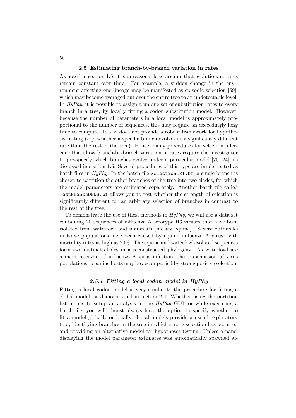# 2.5 Estimating branch-by-branch variation in rates

As noted in section 1.5, it is unreasonable to assume that evolutionary rates remain constant over time. For example, a sudden change in the environment affecting one lineage may be manifested as episodic selection [69], which may become averaged out over the entire tree to an undetectable level. In  $HyPhy$ , it is possible to assign a unique set of substitution rates to every branch in a tree, by locally fitting a codon substitution model. However, because the number of parameters in a local model is approximately proportional to the number of sequences, this may require an exceedingly long time to compute. It also does not provide a robust framework for hypothesis testing  $(e,q)$ , whether a specific branch evolves at a significantly different rate than the rest of the tree). Hence, many procedures for selection inference that allow branch-by-branch variation in rates require the investigator to pre-specify which branches evolve under a particular model [70, 24], as discussed in section 1.5. Several procedures of this type are implemented as batch files in  $HyPhy$ . In the batch file SelectionLRT.bf, a single branch is chosen to partition the other branches of the tree into two clades, for which the model parameters are estimated separately. Another batch file called TestBranchDNDS.bf allows you to test whether the strength of selection is significantly different for an arbitrary selection of branches in contrast to the rest of the tree.

To demonstrate the use of these methods in  $HyPhy$ , we will use a data set containing 20 sequences of influenza A serotype H3 viruses that have been isolated from waterfowl and mammals (mostly equine). Severe outbreaks in horse populations have been caused by equine influenza A virus, with mortality rates as high as 20%. The equine and waterfowl-isolated sequences form two distinct clades in a reconstructed phylogeny. As waterfowl are a main reservoir of influenza A virus infection, the transmission of virus populations to equine hosts may be accompanied by strong positive selection.

### 2.5.1 Fitting a local codon model in HyPhy

Fitting a local codon model is very similar to the procedure for fitting a global model, as demonstrated in section 2.4. Whether using the partition list menus to setup an analysis in the  $HyPhy$  GUI, or while executing a batch file, you will almost always have the option to specify whether to fit a model globally or locally. Local models provide a useful exploratory tool, identifying branches in the tree in which strong selection has occurred and providing an alternative model for hypotheses testing. Unless a panel displaying the model parameter estimates was automatically spawned af-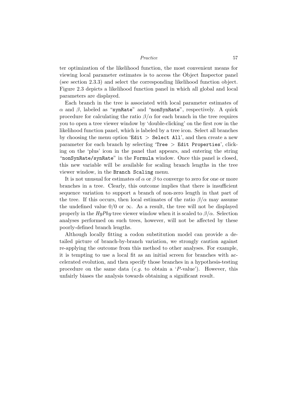ter optimization of the likelihood function, the most convenient means for viewing local parameter estimates is to access the Object Inspector panel (see section 2.3.3) and select the corresponding likelihood function object. Figure 2.3 depicts a likelihood function panel in which all global and local parameters are displayed.

Each branch in the tree is associated with local parameter estimates of  $\alpha$  and  $\beta$ , labeled as "synRate" and "nonSynRate", respectively. A quick procedure for calculating the ratio  $\beta/\alpha$  for each branch in the tree requires you to open a tree viewer window by 'double-clicking' on the first row in the likelihood function panel, which is labeled by a tree icon. Select all branches by choosing the menu option 'Edit  $\geq$  Select All', and then create a new parameter for each branch by selecting 'Tree > Edit Properties', clicking on the 'plus' icon in the panel that appears, and entering the string "nonSynRate/synRate" in the Formula window. Once this panel is closed, this new variable will be available for scaling branch lengths in the tree viewer window, in the Branch Scaling menu.

It is not unusual for estimates of  $\alpha$  or  $\beta$  to converge to zero for one or more branches in a tree. Clearly, this outcome implies that there is insufficient sequence variation to support a branch of non-zero length in that part of the tree. If this occurs, then local estimates of the ratio  $\beta/\alpha$  may assume the undefined value  $0/0$  or  $\infty$ . As a result, the tree will not be displayed properly in the HyPhy tree viewer window when it is scaled to  $\beta/\alpha$ . Selection analyses performed on such trees, however, will not be affected by these poorly-defined branch lengths.

Although locally fitting a codon substitution model can provide a detailed picture of branch-by-branch variation, we strongly caution against re-applying the outcome from this method to other analyses. For example, it is tempting to use a local fit as an initial screen for branches with accelerated evolution, and then specify those branches in a hypothesis-testing procedure on the same data (e.g. to obtain a 'P-value'). However, this unfairly biases the analysis towards obtaining a significant result.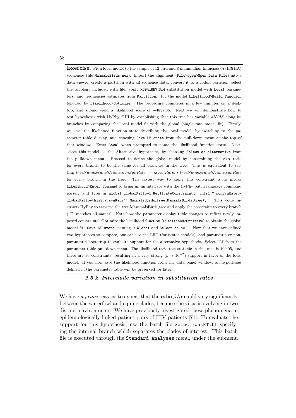Exercise. Fit a local model to the sample of 12 bird and 8 mammalian Influenza/A/H3(HA) sequences (file MammalsBirds.nex). Import the alignment (File>Open>Open Data File) into a data viewer, create a partition with all sequence data, convert it to a codon partition, select the topology included with file, apply MG94xREV 3x4 substitution model with Local parameters, and frequencies estimates from Partition. Fit the model Likelihood>Build Function followed by Likelihood>Optimize. The procedure completes in a few minutes on a desktop, and should yield a likelihood score of −4837.85. Next we will demonstrate how to test hypotheses with HyPhy GUI by establishing that this tree has variable  $dN/dS$  along its branches by comparing the local model fit with the global (single rate model fit). Firstly, we save the likelihood function state describing the local model, by switching to the parameter table display, and choosing Save LF state from the pull-down menu at the top of that window. Enter Local when prompted to name the likelihood function state. Next, select this model as the Alternative hypothesis, by choosing Select as alternative from the pulldown menu. Proceed to define the global model by constraining the  $\beta/\alpha$  ratio for every branch to be the same for all branches in the tree. This is equivalent to setting treeName.branchName.nonSynRate := globalRatio ∗ treeName.branchName.synRate for every branch in the tree. The fastest way to apply this constraint is to invoke Likelihood>Enter Command to bring up an interface with the HyPhy batch language command parser, and type in global globalRatio=1;ReplicateConstraint(''this1.?.nonSynRate:= globalRatio\*this2.?.synRate'',MammalsBirds tree,MammalsBirds tree);. This code instructs HyPhy to traverse the tree MammalsBirds tree and apply the constraint to every branch ('?' matches all names). Note how the parameter display table changes to reflect newly imposed constraints. Optimize the likelihood function (Likelihood>Optimize) to obtain the global model fit. Save LF state, naming it Global and Select as null. Now that we have defined two hypotheses to compare, one can use the LRT (for nested models), and parametric or nonparametric bootstrap to evaluate support for the alternative hypothesis. Select LRT from the parameter table pull-down menu. The likelihood ratio test statistic in this case is 100.05, and there are 36 constraints, resulting in a very strong  $(p \approx 10^{-7})$  support in favor of the local model. If you now save the likelihood function from the data panel window, all hypotheses defined in the parameter table will be preserved for later.

#### 2.5.2 Interclade variation in substitution rates

We have a priori reasons to expect that the ratio  $\beta/\alpha$  could vary significantly between the waterfowl and equine clades, because the virus is evolving in two distinct environments. We have previously investigated these phenomena in epidemiologically linked patient pairs of HIV patients [71]. To evaluate the support for this hypothesis, use the batch file SelectionLRT.bf specifying the internal branch which separates the clades of interest. This batch file is executed through the Standard Analyses menu, under the submenu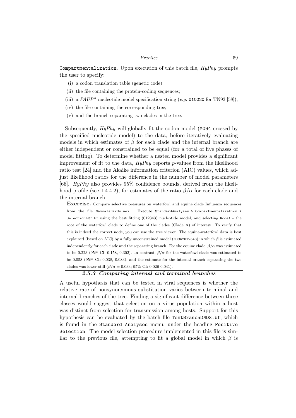Compartmentalization. Upon execution of this batch file,  $HyPhy$  prompts the user to specify:

- (i) a codon translation table (genetic code);
- (ii) the file containing the protein-coding sequences;
- (iii) a  $PAUP^*$  nucleotide model specification string (e.g. 010020 for TN93 [58]);
- (iv) the file containing the corresponding tree;
- (v) and the branch separating two clades in the tree.

Subsequently, *HyPhy* will globally fit the codon model (MG94 crossed by the specified nucleotide model) to the data, before iteratively evaluating models in which estimates of  $\beta$  for each clade and the internal branch are either independent or constrained to be equal (for a total of five phases of model fitting). To determine whether a nested model provides a significant improvement of fit to the data,  $HyPhy$  reports p-values from the likelihood ratio test [24] and the Akaike information criterion (AIC) values, which adjust likelihood ratios for the difference in the number of model parameters [66]. HyPhy also provides  $95\%$  confidence bounds, derived from the likelihood profile (see 1.4.4.2), for estimates of the ratio  $\beta/\alpha$  for each clade and the internal branch.

Exercise. Compare selective pressures on waterfowl and equine clade Influenza sequences from the file MammalsBirds.nex. Execute StandardAnalyses > Compartmentalization > SelectionLRT.bf using the best fitting (012343) nucleotide model, and selecting Node1 - the root of the waterfowl clade to define one of the clades (Clade A) of interest. To verify that this is indeed the correct node, you can use the tree viewer. The equine-waterfowl data is best explained (based on AIC) by a fully unconstrained model (MG94x012343) in which  $\beta$  is estimated independently for each clade and the separating branch. For the equine clade,  $\beta/\alpha$  was estimated to be 0.223 (95% CI: 0.158, 0.302). In contrast,  $\beta/\alpha$  for the waterfowl clade was estimated to be 0.058 (95% CI: 0.038, 0.083), and the estimate for the internal branch separating the two clades was lower still  $(\beta/\alpha = 0.033; 95\% \text{ CI: } 0.026 \text{ } 0.041).$ 

### 2.5.3 Comparing internal and terminal branches

A useful hypothesis that can be tested in viral sequences is whether the relative rate of nonsynonymous substitution varies between terminal and internal branches of the tree. Finding a significant difference between these classes would suggest that selection on a virus population within a host was distinct from selection for transmission among hosts. Support for this hypothesis can be evaluated by the batch file TestBranchDNDS.bf, which is found in the Standard Analyses menu, under the heading Positive Selection. The model selection procedure implemented in this file is similar to the previous file, attempting to fit a global model in which  $\beta$  is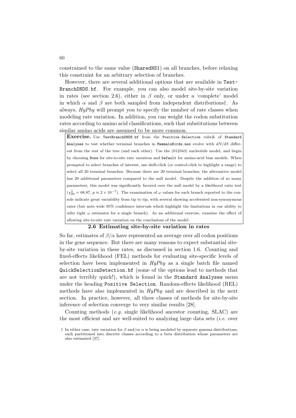constrained to the same value (SharedNS1) on all branches, before relaxing this constraint for an arbitrary selection of branches.

However, there are several additional options that are available in Test-BranchDNDS.bf. For example, you can also model site-by-site variation in rates (see section 2.6), either in  $\beta$  only, or under a 'complete' model in which  $\alpha$  and  $\beta$  are both sampled from independent distributions†. As always,  $HyPhy$  will prompt you to specify the number of rate classes when modeling rate variation. In addition, you can weight the codon substitution rates according to amino acid classifications, such that substitutions between similar amino acids are assumed to be more common.

Exercise. Use TestBranchDNDS.bf from the Positive Selection rubrik of Standard Analyses to test whether terminal branches in MammalsBirds.nex evolve with  $dN/dS$  different from the rest of the tree (and each other). Use the (012343) nucleotide model, and begin by choosing None for site-to-site rate variation and Default for amino-acid bias models. When prompted to select branches of interest, use shift-click (or control-click to highlight a range) to select all 20 terminal branches. Because there are 20 terminal branches, the alternative model has 20 additional parameters compared to the null model. Despite the addition of so many parameters, this model was significantly favored over the null model by a likelihood ratio test  $(\chi_{20}^2 = 68.87, p \approx 2 \times 10^{-7})$ . The examination of  $\omega$  values for each branch reported to the console indicate great variability from tip to tip, with several showing accelerated non-synonymous rates (but note wide 95% confidence intervals which highlight the limitations in our ability to infer tight  $\omega$  estimates for a single branch). As an additional exercise, examine the effect of allowing site-to-site rate variation on the conclusions of the model.

#### 2.6 Estimating site-by-site variation in rates

So far, estimates of  $\beta/\alpha$  have represented an average over all codon positions in the gene sequence. But there are many reasons to expect substantial siteby-site variation in these rates, as discussed in section 1.6. Counting and fixed-effects likelihood (FEL) methods for evaluating site-specific levels of selection have been implemented in  $HyPhy$  as a single batch file named QuickSelectionDetection.bf (some of the options lead to methods that are not terribly quick!), which is found in the Standard Analyses menu under the heading Positive Selection. Random-effects likelihood (REL) methods have also implemented in  $HyPhy$  and are described in the next section. In practice, however, all three classes of methods for site-by-site inference of selection converge to very similar results [28].

Counting methods (e.g. single likelihood ancestor counting, SLAC) are the most efficient and are well-suited to analyzing large data sets  $(i.e.$  over

<sup>&</sup>lt;sup>†</sup> In either case, rate variation for β and/or  $\alpha$  is being modeled by separate gamma distributions, each partitioned into discrete classes according to a beta distribution whose parameters are also estimated [37].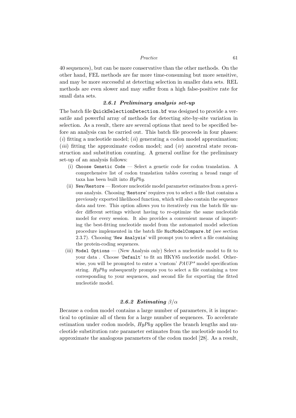40 sequences), but can be more conservative than the other methods. On the other hand, FEL methods are far more time-consuming but more sensitive, and may be more successful at detecting selection in smaller data sets. REL methods are even slower and may suffer from a high false-positive rate for small data sets.

### 2.6.1 Preliminary analysis set-up

The batch file QuickSelectionDetection.bf was designed to provide a versatile and powerful array of methods for detecting site-by-site variation in selection. As a result, there are several options that need to be specified before an analysis can be carried out. This batch file proceeds in four phases: (i) fitting a nucleotide model; (ii) generating a codon model approximation; (*iii*) fitting the approximate codon model; and (*iv*) ancestral state reconstruction and substitution counting. A general outline for the preliminary set-up of an analysis follows:

- (i) Choose Genetic Code Select a genetic code for codon translation. A comprehensive list of codon translation tables covering a broad range of taxa has been built into  $HyPhy$ .
- (ii) New/Restore Restore nucleotide model parameter estimates from a previous analysis. Choosing 'Restore' requires you to select a file that contains a previously exported likelihood function, which will also contain the sequence data and tree. This option allows you to iteratively run the batch file under different settings without having to re-optimize the same nucleotide model for every session. It also provides a convenient means of importing the best-fitting nucleotide model from the automated model selection procedure implemented in the batch file NucModelCompare.bf (see section 2.3.7). Choosing 'New Analysis' will prompt you to select a file containing the protein-coding sequences.
- (iii) Model Options (New Analysis only) Select a nucleotide model to fit to your data . Choose 'Default' to fit an HKY85 nucleotide model. Otherwise, you will be prompted to enter a 'custom'  $PAUP^*$  model specification string.  $H \psi P h \psi$  subsequently prompts you to select a file containing a tree corresponding to your sequences, and second file for exporting the fitted nucleotide model.

### 2.6.2 Estimating  $\beta/\alpha$

Because a codon model contains a large number of parameters, it is impractical to optimize all of them for a large number of sequences. To accelerate estimation under codon models,  $HyPhy$  applies the branch lengths and nucleotide substitution rate parameter estimates from the nucleotide model to approximate the analogous parameters of the codon model [28]. As a result,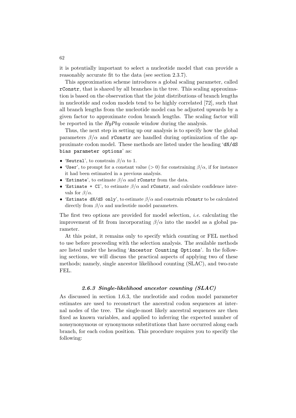it is potentially important to select a nucleotide model that can provide a reasonably accurate fit to the data (see section 2.3.7).

This approximation scheme introduces a global scaling parameter, called rConstr, that is shared by all branches in the tree. This scaling approximation is based on the observation that the joint distributions of branch lengths in nucleotide and codon models tend to be highly correlated [72], such that all branch lengths from the nucleotide model can be adjusted upwards by a given factor to approximate codon branch lengths. The scaling factor will be reported in the  $HyPhy$  console window during the analysis.

Thus, the next step in setting up our analysis is to specify how the global parameters  $\beta/\alpha$  and rConstr are handled during optimization of the approximate codon model. These methods are listed under the heading 'dN/dS bias parameter options' as:

- 'Neutral', to constrain  $\beta/\alpha$  to 1.
- 'User', to prompt for a constant value (> 0) for constraining  $\beta/\alpha$ , if for instance it had been estimated in a previous analysis.
- 'Estimate', to estimate  $\beta/\alpha$  and rConstr from the data.
- 'Estimate + CI', to estimate  $\beta/\alpha$  and rConstr, and calculate confidence intervals for  $\beta/\alpha$ .
- 'Estimate dN/dS only', to estimate  $\beta/\alpha$  and constrain rConstr to be calculated directly from  $\beta/\alpha$  and nucleotide model parameters.

The first two options are provided for model selection, i.e. calculating the improvement of fit from incorporating  $\beta/\alpha$  into the model as a global parameter.

At this point, it remains only to specify which counting or FEL method to use before proceeding with the selection analysis. The available methods are listed under the heading 'Ancestor Counting Options'. In the following sections, we will discuss the practical aspects of applying two of these methods; namely, single ancestor likelihood counting (SLAC), and two-rate FEL.

### 2.6.3 Single-likelihood ancestor counting (SLAC)

As discussed in section 1.6.3, the nucleotide and codon model parameter estimates are used to reconstruct the ancestral codon sequences at internal nodes of the tree. The single-most likely ancestral sequences are then fixed as known variables, and applied to inferring the expected number of nonsynonymous or synonymous substitutions that have occurred along each branch, for each codon position. This procedure requires you to specify the following: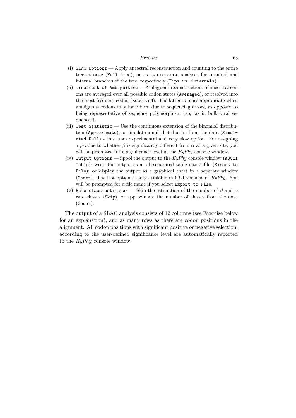- (i) SLAC Options Apply ancestral reconstruction and counting to the entire tree at once (Full tree), or as two separate analyses for terminal and internal branches of the tree, respectively (Tips vs. internals).
- (ii) Treatment of Ambiguities Ambiguous reconstructions of ancestral codons are averaged over all possible codon states (Averaged), or resolved into the most frequent codon (Resolved). The latter is more appropriate when ambiguous codons may have been due to sequencing errors, as opposed to being representative of sequence polymorphism  $(e.g.$  as in bulk viral sequences).
- (iii) Test Statistic Use the continuous extension of the binomial distribution (Approximate), or simulate a null distribution from the data (Simulated Null) - this is an experimental and very slow option. For assigning a p-value to whether  $\beta$  is significantly different from  $\alpha$  at a given site, you will be prompted for a significance level in the  $HyPhy$  console window.
- (iv) Output Options Spool the output to the  $HyPhy$  console window (ASCII Table); write the output as a tab-separated table into a file (Export to File); or display the output as a graphical chart in a separate window (Chart). The last option is only available in GUI versions of  $HyPhy$ . You will be prompted for a file name if you select Export to File.
- (v) Rate class estimator Skip the estimation of the number of  $\beta$  and  $\alpha$ rate classes (Skip), or approximate the number of classes from the data (Count).

The output of a SLAC analysis consists of 12 columns (see Exercise below for an explanation), and as many rows as there are codon positions in the alignment. All codon positions with significant positive or negative selection, according to the user-defined significance level are automatically reported to the HyPhy console window.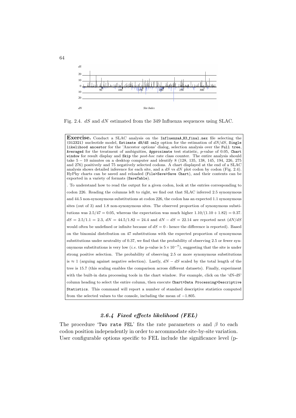

Fig. 2.4. dS and dN estimated from the 349 Influenza sequences using SLAC.

Exercise. Conduct a SLAC analysis on the InfluenzaA H3 final.nex file selecting the (012321) nucleotide model, Estimate  $dN/dS$  only option for the estimation of  $dN/dS$ , Single likelihood ancestor for the 'Ancestor options' dialog, selection analysis over the Full tree, Averaged for the treatment of ambiguities, Approximate test statistic, p-value of 0.05, Chart window for result display and Skip the *post-hoc* rate class counter. The entire analysis should take 5 − 10 minutes on a desktop computer and identify 8 (128, 135, 138, 145, 194, 226, 275 and 276) positively and 75 negatively selected codons. A chart displayed at the end of a SLAC analysis shows detailed inference for each site, and a  $dS$  vs  $dN$  plot codon by codon (Fig. 2.4). HyPhy charts can be saved and reloaded (File>Save>Save Chart), and their contents can be exported in a variety of formats (SaveTable).

. To understand how to read the output for a given codon, look at the entries corresponding to codon 226. Reading the columns left to right, we find out that SLAC inferred 2.5 synonymous and 44.5 non-synonymous substitutions at codon 226, the codon has an expected 1.1 synonymous sites (out of 3) and 1.8 non-synonymous sites. The observed proportion of synonymous substitutions was  $2.5/47 = 0.05$ , whereas the expectation was much higher  $1.10/(1.10 + 1.82) = 0.37$ .  $dS = 2.5/1.1 = 2.3$ ,  $dN = 44.5/1.82 = 24.4$  and  $dN - dS = 22.14$  are reported next  $(dN/dS)$ would often be undefined or infinite because of  $dS = 0$  - hence the difference is reported). Based on the binomial distribution on 47 substitutions with the expected proportion of synonymous substitutions under neutrality of 0.37, we find that the probability of observing 2.5 or fewer synonymous substitutions is very low (*i.e.* the p-value is  $5 \times 10^{-7}$ ), suggesting that the site is under strong positive selection. The probability of observing 2.5 or more synonymous substitutions is  $\approx$  1 (arguing against negative selection). Lastly,  $dN - dS$  scaled by the total length of the tree is 15.7 (this scaling enables the comparison across different datasets). Finally, experiment with the built-in data processing tools in the chart window. For example, click on the 'dN-dS' column heading to select the entire column, then execute Chart>Data Processing>Descriptive Statistics. This command will report a number of standard descriptive statistics computed from the selected values to the console, including the mean of −1.805.

# 2.6.4 Fixed effects likelihood (FEL)

The procedure 'Two rate FEL' fits the rate parameters  $\alpha$  and  $\beta$  to each codon position independently in order to accommodate site-by-site variation. User configurable options specific to FEL include the significance level (p-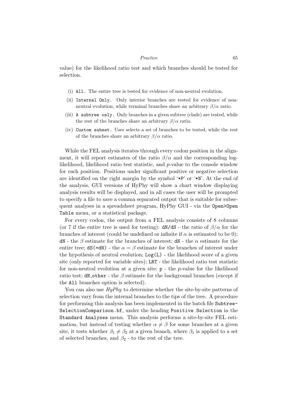value) for the likelihood ratio test and which branches should be tested for selection.

- (i) All. The entire tree is tested for evidence of non-neutral evolution.
- (ii) Internal Only. Only interior branches are tested for evidence of nonneutral evolution, while terminal branches share an arbitrary  $\beta/\alpha$  ratio.
- (iii) A subtree only. Only branches in a given subtree (clade) are tested, while the rest of the branches share an arbitrary  $\beta/\alpha$  ratio.
- (iv) Custom subset. User selects a set of branches to be tested, while the rest of the branches share an arbitrary  $\beta/\alpha$  ratio.

While the FEL analysis iterates through every codon position in the alignment, it will report estimates of the ratio  $\beta/\alpha$  and the corresponding loglikelihood, likelihood ratio test statistic, and p-value to the console window for each position. Positions under significant positive or negative selection are identified on the right margin by the symbol '\*P' or '\*N'. At the end of the analysis, GUI versions of HyPhy will show a chart window displaying analysis results will be displayed, and in all cases the user will be prompted to specify a file to save a comma separated output that is suitable for subsequent analyses in a spreadsheet program, HyPhy GUI - via the Open>Open Table menu, or a statistical package.

For every codon, the output from a FEL analysis consists of 8 columns (or 7 if the entire tree is used for testing):  $dN/dS$  - the ratio of  $\beta/\alpha$  for the branches of interest (could be undefined or infinite if  $\alpha$  is estimated to be 0);  $dN$  - the  $\beta$  estimate for the branches of interest;  $dN$  - the  $\alpha$  estimate for the entire tree;  $dS(-dN)$  - the  $\alpha = \beta$  estimate for the branches of interest under the hypothesis of neutral evolution;  $Log(L)$  - the likelihood score of a given site (only reported for variable sites); LRT - the likelihood ratio test statistic for non-neutral evolution at a given site;  $p$  - the  $p$ -value for the likelihood ratio test; dN other - the  $\beta$  estimate for the background branches (except if the All branches option is selected).

You can also use *HyPhy* to determine whether the site-by-site patterns of selection vary from the internal branches to the tips of the tree. A procedure for performing this analysis has been implemented in the batch file Subtree-SelectionComparison.bf, under the heading Positive Selection in the Standard Analyses menu. This analysis performs a site-by-site FEL estimation, but instead of testing whether  $\alpha \neq \beta$  for some branches at a given site, it tests whether  $\beta_1 \neq \beta_2$  at a given branch, where  $\beta_1$  is applied to a set of selected branches, and  $\beta_2$  - to the rest of the tree.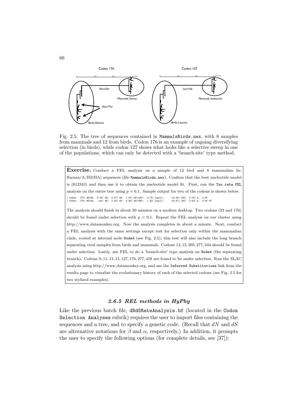

Fig. 2.5. The tree of sequences contained in MammalsBirds.nex, with 8 samples from mammals and 12 from birds. Codon 176 is an example of ongoing diversifying selection (in birds), while codon 127 shows what looks like a selective sweep in one of the populations, which can only be detected with a 'branch-site' type method.

Exercise. Conduct a FEL analysis on a sample of 12 bird and 8 mammalian Influenza/A/H3(HA) sequences (file MammalsBirds.nex). Confirm that the best nucleotide model is (012343) and then use it to obtain the nucleotide model fit. First, run the Two rate FEL analysis on the entire tree using  $p = 0.1$ . Sample output for two of the codons is shown below. | Codon: 175| dN/dS: 0.54| dN: 0.57| dS: 1.05| dS(=dN): 0.75| Log(L): -10.90| LRT: 0.16| p: 0.69 | Codon: 176| dN/dS: inf| dN: 2.35| dS: 0.00| dS(=dN): 1.32| Log(L): -16.67| LRT: 3.62| p: 0.06 \*P The analysis should finish in about 30 minutes on a modern desktop. Two codons (23 and 176) should be found under selection with  $p < 0.1$ . Repeat the FEL analysis on our cluster using http://www.datamonkey.org. Now the analysis completes in about a minute. Next, conduct a FEL analysis with the same settings except test for selection only within the mammalian clade, rooted at internal node Node4 (see Fig. 2.5); this test will also include the long branch separating viral samples from birds and mammals. Codons 13, 15, 205, 277, 344 should be found under selection. Lastly, use FEL to do a 'branch-site' type analysis on Node4 (the separating branch). Codons 9, 11, 13, 15, 127, 176, 277, 458 are found to be under selection. Run the SLAC analysis using http://www.datamonkey.org, and use the Inferred Substitutions link from the

# 2.6.5 REL methods in HyPhy

two stylized examples).

results page to visualize the evolutionary history of each of the selected codons (see Fig. 2.5 for

Like the previous batch file, dNdSRateAnalysis.bf (located in the Codon Selection Analyses rubrik) requires the user to import files containing the sequences and a tree, and to specify a genetic code. (Recall that  $dN$  and  $dS$ are alternative notations for  $\beta$  and  $\alpha$ , respectively.) In addition, it prompts the user to specify the following options (for complete details, see [37]):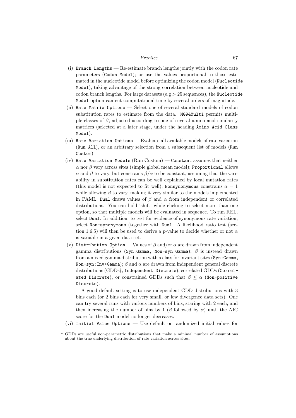- (i) Branch Lengths Re-estimate branch lengths jointly with the codon rate parameters (Codon Model); or use the values proportional to those estimated in the nucleotide model before optimizing the codon model (Nucleotide Model), taking advantage of the strong correlation between nucleotide and codon branch lengths. For large datasets (e.g  $> 25$  sequences), the Nucleotide Model option can cut computational time by several orders of magnitude.
- (ii) Rate Matrix Options Select one of several standard models of codon substitution rates to estimate from the data. MG94Multi permits multiple classes of  $\beta$ , adjusted according to one of several amino acid similarity matrices (selected at a later stage, under the heading Amino Acid Class Model).
- (iii) Rate Variation Options Evaluate all available models of rate variation (Run All), or an arbitrary selection from a subsequent list of models (Run Custom).
- (iv) Rate Variation Models (Run Custom) Constant assumes that neither  $\alpha$  nor  $\beta$  vary across sites (simple global mean model); Proportional allows  $\alpha$  and  $\beta$  to vary, but constrains  $\beta/\alpha$  to be constant, assuming that the variability in substitution rates can be well explained by local mutation rates (this model is not expected to fit well); Nonsynonymous constrains  $\alpha = 1$ while allowing  $\beta$  to vary, making it very similar to the models implemented in PAML; Dual draws values of  $\beta$  and  $\alpha$  from independent or correlated distributions. You can hold 'shift' while clicking to select more than one option, so that multiple models will be evaluated in sequence. To run REL, select Dual. In addition, to test for evidence of synonymous rate variation, select Non-synonymous (together with Dual. A likelihood ratio test (section 1.6.5) will then be used to derive a p-value to decide whether or not  $\alpha$ is variable in a given data set.
- (v) Distribution Option Values of  $\beta$  and/or  $\alpha$  are drawn from independent gamma distributions (Syn:Gamma, Non-syn:Gamma);  $\beta$  is instead drawn from a mixed gamma distribution with a class for invariant sites (Syn: Gamma, Non-syn:Inv+Gamma);  $\beta$  and  $\alpha$  are drawn from independent general discrete distributions (GDDs†, Independent Discrete), correlated GDDs (Correlated Discrete), or constrained GDDs such that  $\beta \leq \alpha$  (Non-positive Discrete).

A good default setting is to use independent GDD distributions with 3 bins each (or 2 bins each for very small, or low divergence data sets). One can try several runs with various numbers of bins, staring with 2 each, and then increasing the number of bins by 1 ( $\beta$  followed by  $\alpha$ ) until the AIC score for the Dual model no longer decreases.

(vi) Initial Value Options — Use default or randomized initial values for

<sup>†</sup> GDDs are useful non-parametric distributions that make a minimal number of assumptions about the true underlying distribution of rate variation across sites.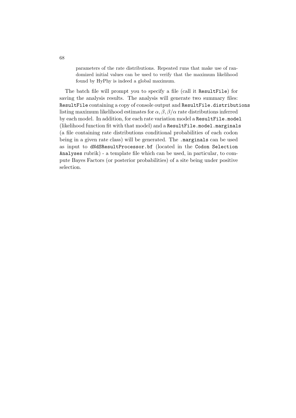parameters of the rate distributions. Repeated runs that make use of randomized initial values can be used to verify that the maximum likelihood found by HyPhy is indeed a global maximum.

The batch file will prompt you to specify a file (call it ResultFile) for saving the analysis results. The analysis will generate two summary files: ResultFile containing a copy of console output and ResultFile.distributions listing maximum likelihood estimates for  $\alpha$ ,  $\beta$ ,  $\beta/\alpha$  rate distributions inferred by each model. In addition, for each rate variation model a ResultFile.model (likelihood function fit with that model) and a ResultFile.model.marginals (a file containing rate distributions conditional probabilities of each codon being in a given rate class) will be generated. The .marginals can be used as input to dNdSResultProcessor.bf (located in the Codon Selection Analyses rubrik) - a template file which can be used, in particular, to compute Bayes Factors (or posterior probabilities) of a site being under positive selection.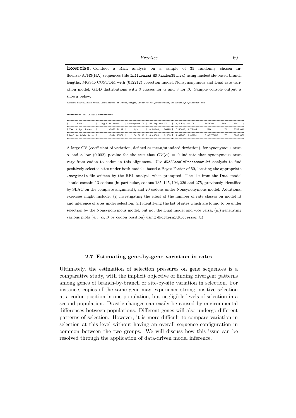Exercise. Conduct a REL analysis on a sample of 35 randomly chosen Influenza/A/H3(HA) sequences (file InfluenzaA H3 Random35.nex) using nucleotide-based branch lengths, MG94×CUSTOM with (012212) corection model, Nonsynonymous and Dual rate variation model, GDD distributions with 3 classes for  $\alpha$  and 3 for  $\beta$ . Sample console output is shown below.

RUNNING MG94x012212 MODEL COMPARISONS on /home/sergei/Latest/HYPHY\_Source/data/InfluenzaA\_H3\_Random35.nex

########### 3x3 CLASSES ###########

| Model               | Log Likelihood | Synonymous CV   NS Exp and CV | N/S Exp and CV                                   | P-Value      | Prm 1 | AIC     |
|---------------------|----------------|-------------------------------|--------------------------------------------------|--------------|-------|---------|
| Var. N.Syn. Rates   | $-3053.54189$  | N/A                           | $0.50446, 1.76495$   0.50446, 1.76495   N/A      |              | 741   | 6255.08 |
| Dual Variable Rates | $-3044.93374$  |                               | 1.04164118   0.49665, 1.81033   1.02586, 2.08251 | 0.00175455 l | 781   | 6245.87 |
|                     |                |                               |                                                  |              |       |         |

A large CV (coefficient of variation, defined as mean/standard deviation), for synonymous rates  $\alpha$  and a low (0.002) p-value for the test that  $CV(\alpha) = 0$  indicate that synonymous rates vary from codon to codon in this alignment. Use dNdSResultProcessor.bf analysis to find positively selected sites under both models, based a Bayes Factor of 50, locating the appropriate .marginals file written by the REL analysis when prompted. The list from the Dual model should contain 13 codons (in particular, codons 135, 145, 194, 226 and 275, previously identified by SLAC on the complete alignment), and 20 codons under Nonsynonymous model. Additional exercises might include: (i) investigating the effect of the number of rate classes on model fit and inference of sites under selection; (ii) identifying the list of sites which are found to be under selection by the Nonsynonymous model, but not the Dual model and vice versa; (iii) generating various plots (e.g.  $\alpha$ ,  $\beta$  by codon position) using dNdSResultProcessor.bf.

### 2.7 Estimating gene-by-gene variation in rates

Ultimately, the estimation of selection pressures on gene sequences is a comparative study, with the implicit objective of finding divergent patterns among genes of branch-by-branch or site-by-site variation in selection. For instance, copies of the same gene may experience strong positive selection at a codon position in one population, but negligible levels of selection in a second population. Drastic changes can easily be caused by environmental differences between populations. Different genes will also undergo different patterns of selection. However, it is more difficult to compare variation in selection at this level without having an overall sequence configuration in common between the two groups. We will discuss how this issue can be resolved through the application of data-driven model inference.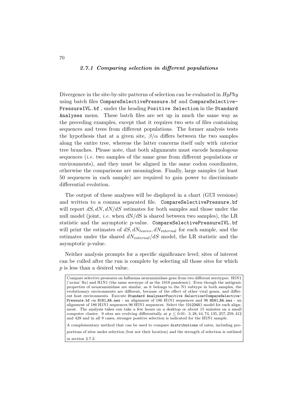# 2.7.1 Comparing selection in different populations

Divergence in the site-by-site patterns of selection can be evaluated in  $HyPhy$ using batch files CompareSelectivePressure.bf and CompareSelective-PressureIVL.bf , under the heading Positive Selection in the Standard Analyses menu. These batch files are set up in much the same way as the preceding examples, except that it requires two sets of files containing sequences and trees from different populations. The former analysis tests the hypothesis that at a given site,  $\beta/\alpha$  differs between the two samples along the entire tree, whereas the latter concerns itself only with interior tree branches. Please note, that both alignments must encode homologous sequences (i.e. two samples of the same gene from different populations or environments), and they must be aligned in the same codon coordinates, otherwise the comparisons are meaningless. Finally, large samples (at least 50 sequences in each sample) are required to gain power to discriminate differential evolution.

The output of these analyses will be displayed in a chart (GUI versions) and written to a comma separated file. CompareSelectivePressure.bf will report  $dS, dN, dN/dS$  estimates for both samples and those under the null model (joint, *i.e.* when  $dN/dS$  is shared between two samples), the LR statistic and the asymptotic p-value. CompareSelectivePressureIVL.bf will print the estimates of  $dS$ ,  $dN_{leaves}$ ,  $dN_{internal}$  for each sample, and the estimates under the shared  $dN_{internal}/dS$  model, the LR statistic and the asymptotic p-value.

Neither analysis prompts for a specific significance level; sites of interest can be culled after the run is complete by selecting all those sites for which p is less than a desired value.

A complementary method that can be used to compare distributions of rates, including pro-

portions of sites under selection (but not their location) and the strength of selection is outlined in section 2.7.2.

Compare selective pressures on Influenza neuraminidase gene from two different serotypes: H5N1 ('avian' flu) and H1N1 (the same serotype of as the 1918 pandemic). Even though the antigenic properties of neuaraminidase are similar, as it belongs to the N1 subtype in both samples, the evolutionary environments are different, because of the effect of other viral genes, and different host environments. Execute Standard Analyses>Positive Selection>CompareSelective-Pressure.bf on H1N1 NA.nex - an alignment of 186 H1N1 sequences and 96 H5N1 NA.nex - an alignment of 186 H1N1 sequences 96 H5N1 sequences. Select the (012345) model for each alignment. The analysis takes can take a few hours on a desktop or about 15 minutes on a small computer cluster. 9 sites are evolving differentially at  $p \lt 0.01$ : 3, 28, 44, 74, 135, 257, 259, 412 and 429 and in all 9 cases, stronger positive selection is indicated for the H5N1 sample.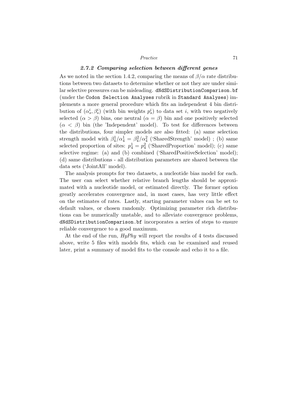#### Practice 71

# 2.7.2 Comparing selection between different genes

As we noted in the section 1.4.2, comparing the means of  $\beta/\alpha$  rate distributions between two datasets to determine whether or not they are under similar selective pressures can be misleading. dNdSDistributionComparison.bf (under the Codon Selection Analyses rubrik in Standard Analyses) implements a more general procedure which fits an independent 4 bin distribution of  $(\alpha_s^i, \beta_s^i)$  (with bin weights  $p_s^i$ ) to data set *i*, with two negatively selected  $(\alpha > \beta)$  bins, one neutral  $(\alpha = \beta)$  bin and one positively selected  $(\alpha < \beta)$  bin (the 'Independent' model). To test for differences between the distributions, four simpler models are also fitted: (a) same selection strength model with  $\beta_4^1/\alpha_4^1 = \beta_4^2/\alpha_4^2$  ('SharedStrength' model) ; (b) same selected proportion of sites:  $p_4^1 = p_4^2$  ('SharedProportion' model); (c) same selective regime: (a) and (b) combined ('SharedPositiveSelection' model); (d) same distributions - all distribution parameters are shared between the data sets ('JointAll' model).

The analysis prompts for two datasets, a nucleotide bias model for each. The user can select whether relative branch lengths should be approximated with a nucleotide model, or estimated directly. The former option greatly accelerates convergence and, in most cases, has very little effect on the estimates of rates. Lastly, starting parameter values can be set to default values, or chosen randomly. Optimizing parameter rich distributions can be numerically unstable, and to alleviate convergence problems, dNdSDistributionComparison.bf incorporates a series of steps to ensure reliable convergence to a good maximum.

At the end of the run,  $HyPhy$  will report the results of 4 tests discussed above, write 5 files with models fits, which can be examined and reused later, print a summary of model fits to the console and echo it to a file.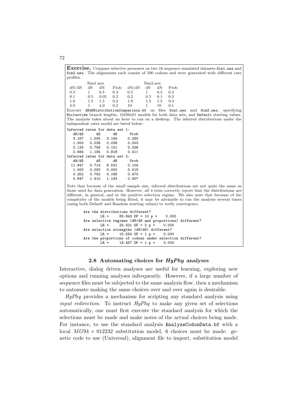Exercise. Compare selective pressures on two 16 sequence simulated datasets Sim1.nex and Sim2.nex. The alignments each consist of 500 codons and were generated with different rate profiles.

| Sim1.next |               |      |     | Sim2.next    |               |               |      |
|-----------|---------------|------|-----|--------------|---------------|---------------|------|
| dN/dS     | dS            | dN   |     | $Prob$ dN/dS | dS            | dN            | Prob |
| 0.5       | L             | 0.5  | 0.4 | 0.5          | $\sim$ 1      | $0.5^{\circ}$ | 0.3  |
| 0.1       | 0.5           | 0.05 | 0.2 | 0.2          | 0.5           | 0.1           | 0.3  |
| 1.0       | $1.5^{\circ}$ | 1.5  | 0.2 | 1.0          | $1.5^{\circ}$ | $1.5^{\circ}$ | 0.3  |
| 4.0       |               | 4.0  | 0.2 | 10           |               | 10            | 0.1  |

Execute dNdSDistributionComparison.bf on files Sim1.nex and Sim2.nex, specifying Nucleotide branch lengths, (010010) models for both data sets, and Default starting values. The analysis takes about an hour to run on a desktop. The inferred distributions under the independent rates model are listed below:

|        | Inferred rates for data set 1: |       |       |
|--------|--------------------------------|-------|-------|
| dN/dS  | dS                             | dN    | Prob  |
| 3.167  | 1.005                          | 3.184 | 0.260 |
| 1.000  | 0.038                          | 0.038 | 0.003 |
| 0.133  | 0.758                          | 0.101 | 0.326 |
| 0.684  | 1.195                          | 0.818 | 0.411 |
|        | Inferred rates for data set 2: |       |       |
| dN/dS  | dS                             | dN    | Prob  |
| 11.947 | 0.714                          | 8.531 | 0.104 |
| 1.000  | 0.000                          | 0.000 | 0.019 |
|        |                                |       |       |
| 0.252  | 0.750                          | 0.189 | 0.470 |

Note that because of the small sample size, inferred distributions are not quite the same as those used for data generation. However, all 4 tests correctly report that the distributions are different, in general, and in the positive selection regime. We also note that because of the complexity of the models being fitted, it may be advisable to run the analysis several times (using both Default and Random starting values) to verify convergence.

```
Are the distributions different?<br>LR = 89.843 DF = 10
                89.843 DF = 10 p = 0.000
Are selective regimes (dN/dS and proportions) different?
        LR = 25.421 \text{ DF} = 2 \text{ p} = 0.000Are selection strengths (dN/dS) different?
        LR = 15.554 DF = 1 p = 0.000Are the proportions of codons under selection different?
        LR = 18.457 DF = 1 p = 0.000
```
# 2.8 Automating choices for  $HyPhy$  analyses

Interactive, dialog driven analyses are useful for learning, exploring new options and running analyses infrequently. However, if a large number of sequence files must be subjected to the same analysis flow, then a mechanism to automate making the same choices over and over again is desirable.

 $HyPhy$  provides a mechanism for scripting any standard analysis using *input redirection.* To instruct  $HyPhy$  to make any given set of selections automatically, one must first execute the standard analysis for which the selections must be made and make notes of the actual choices being made. For instance, to use the standard analysis AnalyzeCodonData.bf with a local  $MG94 \times 012232$  substitution model, 6 choices must be made: genetic code to use (Universal), alignment file to import, substitution model

72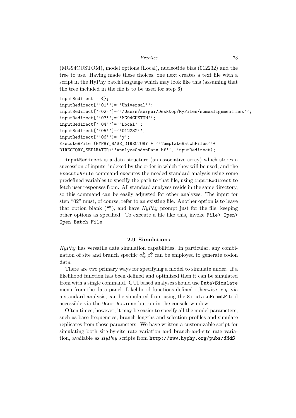## Practice 73

(MG94CUSTOM), model options (Local), nucleotide bias (012232) and the tree to use. Having made these choices, one next creates a text file with a script in the HyPhy batch language which may look like this (assuming that the tree included in the file is to be used for step 6).

```
inputRedirect = {};
inputRedirect[''01'']=''Universal'';
inputRedirect[''02'']=''/Users/sergei/Desktop/MyFiles/somealignment.nex'';
inputRedirect[''03'']=''MG94CUSTOM'';
inputRedirect[''04'']=''Local'';
inputRedirect[''05'']=''012232'';
inputRedirect[''06'']=''y';
ExecuteAFile (HYPHY_BASE_DIRECTORY + ''TemplateBatchFiles''+
DIRECTORY_SEPARATOR+''AnalyzeCodonData.bf'', inputRedirect);
```
inputRedirect is a data structure (an associative array) which stores a succession of inputs, indexed by the order in which they will be used, and the ExecuteAFile command executes the needed standard analysis using some predefined variables to specify the path to that file, using inputRedirect to fetch user responses from. All standard analyses reside in the same directory, so this command can be easily adjusted for other analyses. The input for step "02" must, of course, refer to an existing file. Another option is to leave that option blank  $($ <sup>(""</sup>), and have  $HyPhy$  prompt just for the file, keeping other options as specified. To execute a file like this, invoke File> Open> Open Batch File.

### 2.9 Simulations

 $HyPhy$  has versatile data simulation capabilities. In particular, any combination of site and branch specific  $\alpha_s^b, \beta_s^b$  can be employed to generate codon data.

There are two primary ways for specifying a model to simulate under. If a likelihood function has been defined and optimized then it can be simulated from with a single command. GUI based analyses should use Data>Simulate menu from the data panel. Likelihood functions defined otherwise, e.g. via a standard analysis, can be simulated from using the SimulateFromLF tool accessible via the User Actions button in the console window.

Often times, however, it may be easier to specify all the model parameters, such as base frequencies, branch lengths and selection profiles and simulate replicates from those parameters. We have written a customizable script for simulating both site-by-site rate variation and branch-and-site rate variation, available as  $HyPhy$  scripts from  $http://www.hyphy.org/pubs/dNdS_$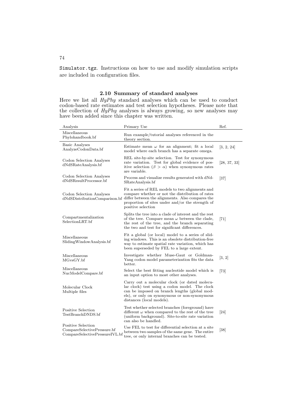Simulator.tgz. Instructions on how to use and modify simulation scripts are included in configuration files.

# 2.10 Summary of standard analyses

Here we list all  $HyPhy$  standard analyses which can be used to conduct codon-based rate estimates and test selection hypotheses. Please note that the collection of HyPhy analyses is always growing, so new analyses may have been added since this chapter was written.

 $\overline{\phantom{a}}$ 

| Analysis                                                                                   | Primary Use                                                                                                                                                                                                                        | Ref.              |
|--------------------------------------------------------------------------------------------|------------------------------------------------------------------------------------------------------------------------------------------------------------------------------------------------------------------------------------|-------------------|
| Miscellaneous<br>Phylohandbook.bf                                                          | Run example/tutorial analyses referenced in the<br>theory section.                                                                                                                                                                 |                   |
| <b>Basic Analyses</b><br>AnalyzeCodonData.bf                                               | Estimate mean $\omega$ for an alignment; fit a local<br>model where each branch has a separate omega.                                                                                                                              | [3, 2, 24]        |
| Codon Selection Analyses<br>dNdSRateAnalysis.bf                                            | REL site-by-site selection. Test for synonymous<br>rate variation. Test for global evidence of pos-<br>itive selection $(\beta > \alpha)$ when synonymous rates<br>are variable.                                                   | [28, 37, 33]      |
| Codon Selection Analyses<br>dNdSResultProcessor.bf                                         | Process and visualize results generated with dNd-<br>SRateAnalysis.bf                                                                                                                                                              | $[37]$            |
| Codon Selection Analyses<br>dNdSDistributionComparison.bf                                  | Fit a series of REL models to two alignments and<br>compare whether or not the distribution of rates<br>differ between the alignments. Also compares the<br>proportion of sites under and/or the strength of<br>positive selection |                   |
| Compartmentalization<br>$\rm SelectionLRT.bf$                                              | Splits the tree into a clade of interest and the rest<br>of the tree. Compare mean $\omega$ between the clade,<br>the rest of the tree, and the branch separating<br>the two and test for significant differences.                 | $[71]$            |
| Miscellaneous<br>SlidingWindowAnalysis.bf                                                  | Fit a global (or local) model to a series of slid-<br>ing windows. This is an obsolete distribution-free<br>way to estimate spatial rate variation, which has<br>been superseded by FEL to a large extent.                         |                   |
| Miscellaneous<br>MGvsGY.bf                                                                 | Investigate whether Muse-Gaut or Goldman-<br>Yang codon model parameterization fits the data<br>better.                                                                                                                            | [3, 2]            |
| Miscellaneous<br>NucModelCompare.bf                                                        | Select the best fitting nucleotide model which is<br>an input option to most other analyses.                                                                                                                                       | 73                |
| Molecular Clock<br>Multiple files                                                          | Carry out a molecular clock (or dated molecu-<br>lar clock) test using a codon model. The clock<br>can be imposed on branch lengths (global mod-<br>els), or only on synonymous or non-synonymous<br>distances (local models).     |                   |
| <b>Positive Selection</b><br>TestBranchDNDS.bf                                             | Test whether selected branches (foreground) have<br>different $\omega$ when compared to the rest of the tree<br>(uniform background). Site-to-site rate variation<br>can also be handled.                                          | $\left[24\right]$ |
| <b>Positive Selection</b><br>CompareSelectivePressure.bf<br>CompareSelectivePressureIVL.bf | Use FEL to test for differential selection at a site<br>between two samples of the same gene. The entire<br>tree, or only internal branches can be tested.                                                                         | $[38]$            |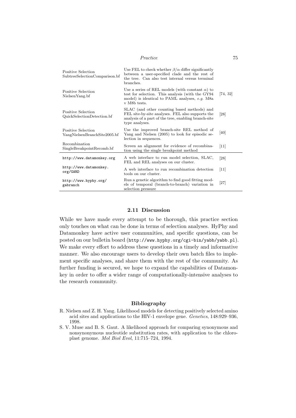#### Practice 75

| Positive Selection<br>SubtreeSelectionComparison.bf | Use FEL to check whether $\beta/\alpha$ differ significantly<br>between a user-specified clade and the rest of<br>the tree. Can also test internal versus terminal<br>branches. |                              |
|-----------------------------------------------------|---------------------------------------------------------------------------------------------------------------------------------------------------------------------------------|------------------------------|
| Positive Selection<br>Nielsen Yang.bf               | Use a series of REL models (with constant $\alpha$ ) to<br>test for selection. This analysis (with the GY94<br>model) is identical to PAML analyses, e.g. M8a<br>v M8b tests.   | [74, 32]                     |
| Positive Selection<br>QuickSelectionDetection.bf    | SLAC (and other counting based methods) and<br>FEL site-by-site analyses. FEL also supports the<br>analysis of a part of the tree, enabling branch-site<br>type analyses.       | [28]                         |
| Positive Selection<br>YangNielsenBranchSite2005.bf  | Use the improved branch-site REL method of<br>Yang and Nielsen (2005) to look for episodic se-<br>lection in sequences.                                                         | [40]                         |
| Recombination<br>SingleBreakpointRecomb.bf          | Screen an alignment for evidence of recombina-<br>tion using the single breakpoint method                                                                                       | 11                           |
| http://www.datamonkey.org                           | A web interface to run model selection, SLAC,<br>FEL and REL analyses on our cluster.                                                                                           | [28]                         |
| http://www.datamonkey.<br>org/GARD                  | A web interface to run recombination detection<br>tools on our cluster.                                                                                                         | 11                           |
| http://www.hyphy.org/<br>gabranch                   | Run a genetic algorithm to find good fitting mod-<br>els of temporal (branch-to-branch) variation in<br>selection pressure                                                      | $\left\lceil 27\right\rceil$ |

# 2.11 Discussion

While we have made every attempt to be thorough, this practice section only touches on what can be done in terms of selection analyses. HyPhy and Datamonkey have active user communities, and specific questions, can be posted on our bulletin board (http://www.hyphy.org/cgi-bin/yabb/yabb.pl). We make every effort to address these questions in a timely and informative manner. We also encourage users to develop their own batch files to implement specific analyses, and share them with the rest of the community. As further funding is secured, we hope to expand the capabilities of Datamonkey in order to offer a wider range of computationally-intensive analyses to the research community.

# Bibliography

- R. Nielsen and Z. H. Yang. Likelihood models for detecting positively selected amino acid sites and applications to the HIV-1 envelope gene. Genetics, 148:929–936, 1998.
- S. V. Muse and B. S. Gaut. A likelihood approach for comparing synonymous and nonsynonymous nucleotide substitution rates, with application to the chloroplast genome. Mol Biol Evol, 11:715–724, 1994.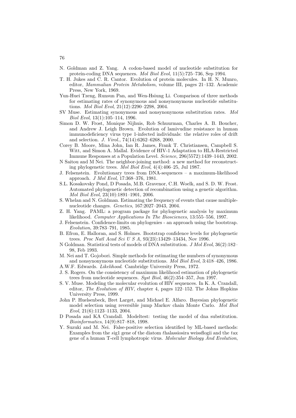- N. Goldman and Z. Yang. A codon-based model of nucleotide substitution for protein-coding DNA sequences. Mol Biol Evol, 11(5):725–736, Sep 1994.
- T. H. Jukes and C. R. Cantor. Evolution of protein molecules. In H. N. Munro, editor, Mammalian Protein Metabolism, volume III, pages 21–132. Academic Press, New York, 1969.
- Yun-Huei Tzeng, Runsun Pan, and Wen-Hsiung Li. Comparison of three methods for estimating rates of synonymous and nonsynonymous nucleotide substitutions. Mol Biol Evol, 21(12):2290–2298, 2004.
- SV Muse. Estimating synonymous and nonsynonymous substitution rates. Mol Biol Evol, 13(1):105–114, 1996.
- Simon D. W. Frost, Monique Nijhuis, Rob Schuurman, Charles A. B. Boucher, and Andrew J. Leigh Brown. Evolution of lamivudine resistance in human immunodeficiency virus type 1-infected individuals: the relative roles of drift and selection. J. Virol., 74(14):6262–6268, 2000.
- Corey B. Moore, Mina John, Ian R. James, Frank T. Christiansen, Campbell S. Witt, and Simon A. Mallal. Evidence of HIV-1 Adaptation to HLA-Restricted Immune Responses at a Population Level. Science, 296(5572):1439–1443, 2002.
- N Saitou and M Nei. The neighbor-joining method: a new method for reconstructing phylogenetic trees. Mol Biol Evol, 4(4):406–25, Jul 1987.
- J. Felsenstein. Evolutionary trees from DNA-sequences a maximum-likelihood approach. J Mol Evol, 17:368–376, 1981.
- S.L. Kosakovsky Pond, D Posada, M.B. Gravenor, C.H. Woelk, and S. D. W. Frost. Automated phylogenetic detection of recombination using a genetic algorithm. Mol Biol Evol, 23(10):1891–1901, 2006.
- S. Whelan and N. Goldman. Estimating the frequency of events that cause multiplenucleotide changes. Genetics, 167:2027–2043, 2004.
- Z. H. Yang. PAML: a program package for phylogenetic analysis by maximum likelihood. Computer Applications In The Biosciences, 13:555-556, 1997.
- J. Felsenstein. Confidence-limits on phylogenies an approach using the bootstrap. Evolution, 39:783–791, 1985.
- B. Efron, E. Halloran, and S. Holmes. Bootstrap confidence levels for phylogenetic trees. Proc Natl Acad Sci U S A, 93(23):13429–13434, Nov 1996.
- N Goldman. Statistical tests of models of DNA substitution. J Mol Evol, 36(2):182– 98, Feb 1993.
- M. Nei and T. Gojobori. Simple methods for estimating the numbers of synonymous and nonsynonymous nucleotide substitutions. Mol Biol Evol, 3:418–426, 1986.
- A.W.F. Edwards. Likelihood. Cambridge University Press, 1972.
- J. S. Rogers. On the consistency of maximum likelihood estimation of phylogenetic trees from nucleotide sequences. Syst Biol, 46(2):354–357, Jun 1997.
- S. V. Muse. Modeling the molecular evolution of HIV sequences. In K. A. Crandall, editor, The Evolution of HIV, chapter 4, pages 122–152. The Johns Hopkins University Press, 1999.
- John P. Huelsenbeck, Bret Larget, and Michael E. Alfaro. Bayesian phylogenetic model selection using reversible jump Markov chain Monte Carlo. Mol Biol Evol, 21(6):1123–1133, 2004.
- D Posada and KA Crandall. Modeltest: testing the model of dna substitution. Bioinformatics, 14(9):817–818, 1998.
- Y. Suzuki and M. Nei. False-positive selection identified by ML-based methods: Examples from the sig1 gene of the diatom thalassiosira weissflogii and the tax gene of a human T-cell lymphotropic virus. Molecular Biology And Evolution,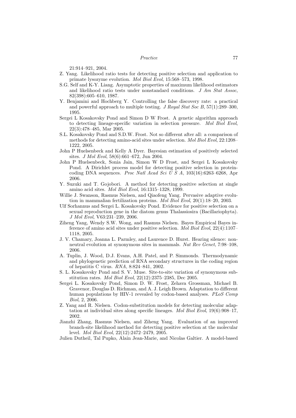21:914–921, 2004.

- Z. Yang. Likelihood ratio tests for detecting positive selection and application to primate lysozyme evolution. Mol Biol Evol, 15:568–573, 1998.
- S.G. Self and K-Y. Liang. Asymptotic properties of maximum likelihood estimators and likelihood ratio tests under nonstandard conditions. J Am Stat Assoc, 82(398):605–610, 1987.
- Y. Benjamini and Hochberg Y. Controlling the false discovery rate: a practical and powerful approach to multiple testing. J Royal Stat Soc B,  $57(1):289-300$ , 1995.
- Sergei L Kosakovsky Pond and Simon D W Frost. A genetic algorithm approach to detecting lineage-specific variation in selection pressure. Mol Biol Evol, 22(3):478–485, Mar 2005.
- S.L. Kosakovsky Pond and S.D.W. Frost. Not so different after all: a comparison of methods for detecting amino-acid sites under selection. Mol Biol Evol, 22:1208– 1222, 2005.
- John P Huelsenbeck and Kelly A Dyer. Bayesian estimation of positively selected sites. J Mol Evol, 58(6):661–672, Jun 2004.
- John P Huelsenbeck, Sonia Jain, Simon W D Frost, and Sergei L Kosakovsky Pond. A Dirichlet process model for detecting positive selection in proteincoding DNA sequences. Proc Natl Acad Sci U S A, 103(16):6263–6268, Apr 2006.
- Y. Suzuki and T. Gojobori. A method for detecting positive selection at single amino acid sites. Mol Biol Evol, 16:1315–1328, 1999.
- Willie J. Swanson, Rasmus Nielsen, and Qiaofeng Yang. Pervasive adaptive evolution in mammalian fertilization proteins. Mol Biol Evol, 20(1):18–20, 2003.
- Ulf Sorhannus and Sergei L. Kosakovsky Pond. Evidence for positive selection on a sexual reproduction gene in the diatom genus Thalassiosira (Bacillariophyta). J Mol Evol, V63:231–239, 2006.
- Ziheng Yang, Wendy S.W. Wong, and Rasmus Nielsen. Bayes Empirical Bayes inference of amino acid sites under positive selection. Mol Biol Evol, 22(4):1107– 1118, 2005.
- J. V. Chamary, Joanna L. Parmley, and Laurence D. Hurst. Hearing silence: nonneutral evolution at synonymous sites in mammals. Nat Rev Genet, 7:98–108, 2006.
- A. Tuplin, J. Wood, D.J. Evans, A.H. Patel, and P. Simmonds. Thermodynamic and phylogenetic prediction of RNA secondary structures in the coding region of hepatitis C virus. RNA, 8:824–841, 2002.
- S. L. Kosakovsky Pond and S. V. Muse. Site-to-site variation of synonymous substitution rates. Mol Biol Evol, 22(12):2375–2385, Dec 2005.
- Sergei L. Kosakovsky Pond, Simon D. W. Frost, Zehava Grossman, Michael B. Gravenor, Douglas D. Richman, and A. J. Leigh Brown. Adaptation to different human populations by HIV-1 revealed by codon-based analyses. PLoS Comp Biol, 2, 2006.
- Z. Yang and R. Nielsen. Codon-substitution models for detecting molecular adaptation at individual sites along specific lineages. Mol Biol Evol, 19(6):908–17, 2002.
- Jianzhi Zhang, Rasmus Nielsen, and Ziheng Yang. Evaluation of an improved branch-site likelihood method for detecting positive selection at the molecular level. Mol Biol Evol, 22(12):2472–2479, 2005.
- Julien Dutheil, Tal Pupko, Alain Jean-Marie, and Nicolas Galtier. A model-based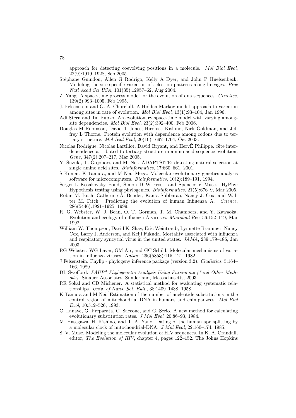approach for detecting coevolving positions in a molecule. Mol Biol Evol, 22(9):1919–1928, Sep 2005.

- Stéphane Guindon, Allen G Rodrigo, Kelly A Dyer, and John P Huelsenbeck. Modeling the site-specific variation of selection patterns along lineages. Proc Natl Acad Sci USA, 101(35):12957–62, Aug 2004.
- Z. Yang. A space-time process model for the evolution of dna sequences. Genetics, 139(2):993–1005, Feb 1995.
- J. Felsenstein and G. A. Churchill. A Hidden Markov model approach to variation among sites in rate of evolution. Mol Biol Evol, 13(1):93–104, Jan 1996.
- Adi Stern and Tal Pupko. An evolutionary space-time model with varying amongsite dependencies. Mol Biol Evol, 23(2):392–400, Feb 2006.
- Douglas M Robinson, David T Jones, Hirohisa Kishino, Nick Goldman, and Jeffrey L Thorne. Protein evolution with dependence among codons due to tertiary structure. Mol Biol Evol, 20(10):1692–1704, Oct 2003.
- Nicolas Rodrigue, Nicolas Lartillot, David Bryant, and HervE Philippe. Site inter- ` dependence attributed to tertiary structure in amino acid sequence evolution. Gene, 347(2):207–217, Mar 2005.
- Y. Suzuki, T. Gojobori, and M. Nei. ADAPTSITE: detecting natural selection at single amino acid sites. *Bioinformatics*, 17:660–661, 2001.
- S Kumar, K Tamura, and M Nei. Mega: Molecular evolutionary genetics analysis software for microcomputers. Bioinformatics, 10(2):189–191, 1994.
- Sergei L Kosakovsky Pond, Simon D W Frost, and Spencer V Muse. HyPhy: Hypothesis testing using phylogenies. Bioinformatics, 21(5):676–9, Mar 2005.
- Robin M. Bush, Catherine A. Bender, Kanta Subbarao, Nancy J. Cox, and Walter M. Fitch. Predicting the evolution of human Influenza A. Science, 286(5446):1921–1925, 1999.
- R. G. Webster, W. J. Bean, O. T. Gorman, T. M. Chambers, and Y. Kawaoka. Evolution and ecology of influenza A viruses. Microbiol Rev, 56:152–179, Mar 1992.
- William W. Thompson, David K. Shay, Eric Weintraub, Lynnette Brammer, Nancy Cox, Larry J. Anderson, and Keiji Fukuda. Mortality associated with influenza and respiratory syncytial virus in the united states. JAMA, 289:179–186, Jan 2003.
- RG Webster, WG Laver, GM Air, and GC Schild. Molecular mechanisms of variation in influenza viruses. Nature, 296(5853):115–121, 1982.
- J Felsenstein. Phylip phylogeny inference package (version 3.2). Cladistics, 5:164– 166, 1989.
- DL Swofford. PAUP\* Phylogenetic Analysis Using Parsimony (\*and Other Methods). Sinauer Associates, Sunderland, Massachusetts, 2003.
- RR Sokal and CD Michener. A statistical method for evaluating systematic relationships. Univ. of Kans. Sci. Bull., 38:1409–1438, 1958.
- K Tamura and M Nei. Estimation of the number of nucleotide substitutions in the control region of mitochondrial DNA in humans and chimpanzees. Mol Biol Evol, 10:512–526, 1993.
- C. Lanave, G. Preparata, C. Saccone, and G. Serio. A new method for calculating evolutionary substitution rates. J Mol Evol, 20:86–93, 1984.
- M. Hasegawa, H. Kishino, and T. A. Yano. Dating of the human ape splitting by a molecular clock of mitochondrial-DNA. J Mol Evol, 22:160–174, 1985.
- S. V. Muse. Modeling the molecular evolution of HIV sequences. In K. A. Crandall, editor, The Evolution of HIV, chapter 4, pages 122–152. The Johns Hopkins